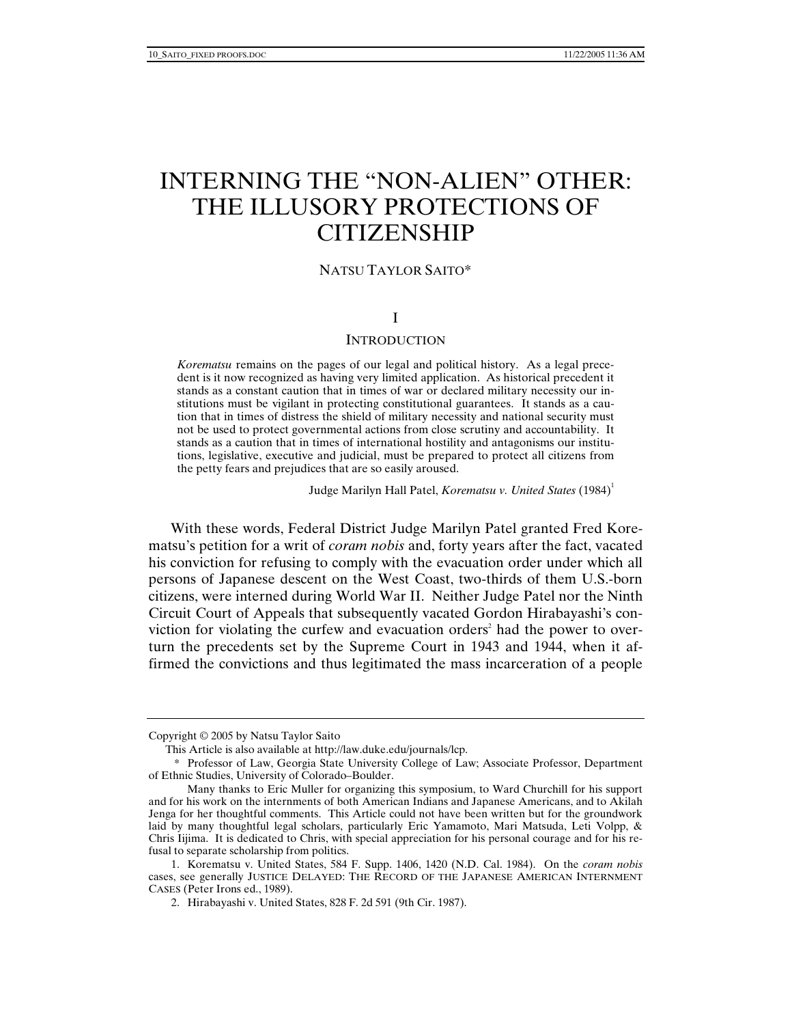# INTERNING THE "NON-ALIEN" OTHER: THE ILLUSORY PROTECTIONS OF CITIZENSHIP

# NATSU TAYLOR SAITO\*

# I

## **INTRODUCTION**

*Korematsu* remains on the pages of our legal and political history. As a legal precedent is it now recognized as having very limited application. As historical precedent it stands as a constant caution that in times of war or declared military necessity our institutions must be vigilant in protecting constitutional guarantees. It stands as a caution that in times of distress the shield of military necessity and national security must not be used to protect governmental actions from close scrutiny and accountability. It stands as a caution that in times of international hostility and antagonisms our institutions, legislative, executive and judicial, must be prepared to protect all citizens from the petty fears and prejudices that are so easily aroused.

Judge Marilyn Hall Patel, *Korematsu v. United States* (1984)<sup>1</sup>

With these words, Federal District Judge Marilyn Patel granted Fred Korematsu's petition for a writ of *coram nobis* and, forty years after the fact, vacated his conviction for refusing to comply with the evacuation order under which all persons of Japanese descent on the West Coast, two-thirds of them U.S.-born citizens, were interned during World War II. Neither Judge Patel nor the Ninth Circuit Court of Appeals that subsequently vacated Gordon Hirabayashi's conviction for violating the curfew and evacuation orders<sup>2</sup> had the power to overturn the precedents set by the Supreme Court in 1943 and 1944, when it affirmed the convictions and thus legitimated the mass incarceration of a people

Copyright © 2005 by Natsu Taylor Saito

This Article is also available at http://law.duke.edu/journals/lcp.

 <sup>\*</sup> Professor of Law, Georgia State University College of Law; Associate Professor, Department of Ethnic Studies, University of Colorado–Boulder.

Many thanks to Eric Muller for organizing this symposium, to Ward Churchill for his support and for his work on the internments of both American Indians and Japanese Americans, and to Akilah Jenga for her thoughtful comments. This Article could not have been written but for the groundwork laid by many thoughtful legal scholars, particularly Eric Yamamoto, Mari Matsuda, Leti Volpp, & Chris Iijima. It is dedicated to Chris, with special appreciation for his personal courage and for his refusal to separate scholarship from politics.

 <sup>1.</sup> Korematsu v. United States, 584 F. Supp. 1406, 1420 (N.D. Cal. 1984). On the *coram nobis* cases, see generally JUSTICE DELAYED: THE RECORD OF THE JAPANESE AMERICAN INTERNMENT CASES (Peter Irons ed., 1989).

 <sup>2.</sup> Hirabayashi v. United States, 828 F. 2d 591 (9th Cir. 1987).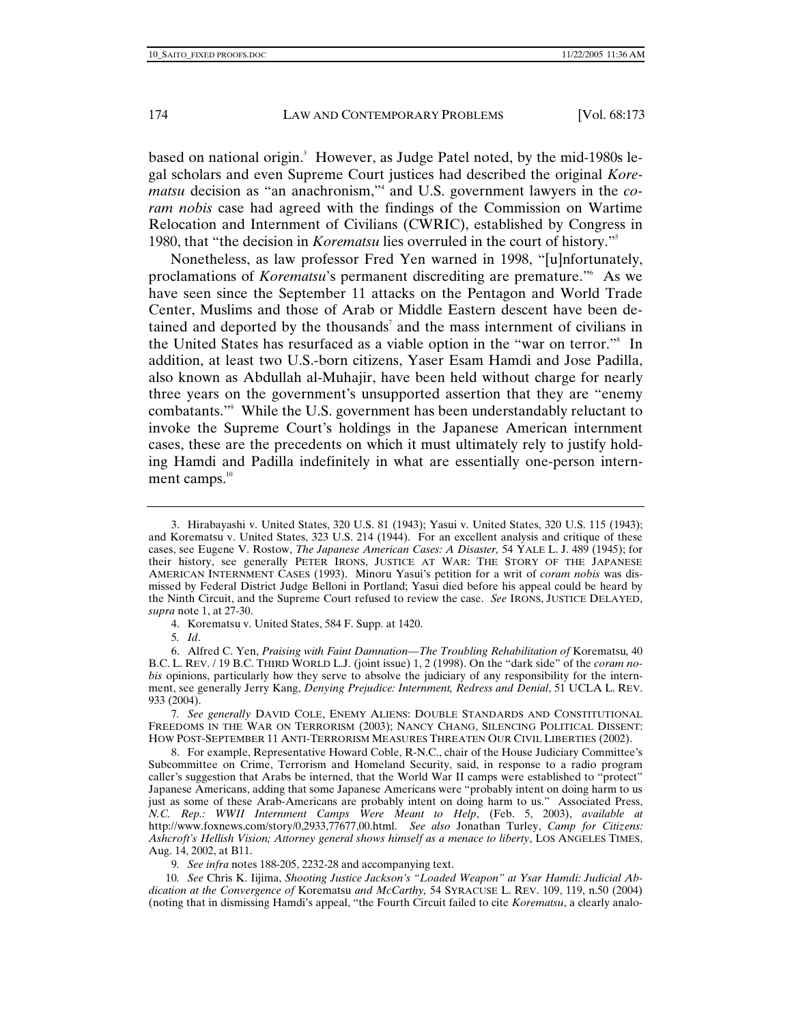based on national origin.<sup>3</sup> However, as Judge Patel noted, by the mid-1980s legal scholars and even Supreme Court justices had described the original *Korematsu* decision as "an anachronism,"4 and U.S. government lawyers in the *coram nobis* case had agreed with the findings of the Commission on Wartime Relocation and Internment of Civilians (CWRIC), established by Congress in 1980, that "the decision in *Korematsu* lies overruled in the court of history."5

Nonetheless, as law professor Fred Yen warned in 1998, "[u]nfortunately, proclamations of *Korematsu*'s permanent discrediting are premature."6 As we have seen since the September 11 attacks on the Pentagon and World Trade Center, Muslims and those of Arab or Middle Eastern descent have been detained and deported by the thousands<sup>7</sup> and the mass internment of civilians in the United States has resurfaced as a viable option in the "war on terror."8 In addition, at least two U.S.-born citizens, Yaser Esam Hamdi and Jose Padilla, also known as Abdullah al-Muhajir, have been held without charge for nearly three years on the government's unsupported assertion that they are "enemy combatants."9 While the U.S. government has been understandably reluctant to invoke the Supreme Court's holdings in the Japanese American internment cases, these are the precedents on which it must ultimately rely to justify holding Hamdi and Padilla indefinitely in what are essentially one-person internment camps. $10$ 

4. Korematsu v. United States, 584 F. Supp. at 1420.

 <sup>3.</sup> Hirabayashi v. United States, 320 U.S. 81 (1943); Yasui v. United States, 320 U.S. 115 (1943); and Korematsu v. United States, 323 U.S. 214 (1944). For an excellent analysis and critique of these cases, see Eugene V. Rostow, *The Japanese American Cases: A Disaster,* 54 YALE L. J. 489 (1945); for their history, see generally PETER IRONS, JUSTICE AT WAR: THE STORY OF THE JAPANESE AMERICAN INTERNMENT CASES (1993). Minoru Yasui's petition for a writ of *coram nobis* was dismissed by Federal District Judge Belloni in Portland; Yasui died before his appeal could be heard by the Ninth Circuit, and the Supreme Court refused to review the case. *See* IRONS, JUSTICE DELAYED, *supra* note 1, at 27-30.

<sup>5</sup>*. Id*.

 <sup>6.</sup> Alfred C. Yen, *Praising with Faint Damnation—The Troubling Rehabilitation of* Korematsu*,* 40 B.C. L. REV. / 19 B.C. THIRD WORLD L.J. (joint issue) 1, 2 (1998). On the "dark side" of the *coram nobis* opinions, particularly how they serve to absolve the judiciary of any responsibility for the internment, see generally Jerry Kang, *Denying Prejudice: Internment, Redress and Denial*, 51 UCLA L. REV. 933 (2004).

<sup>7</sup>*. See generally* DAVID COLE, ENEMY ALIENS: DOUBLE STANDARDS AND CONSTITUTIONAL FREEDOMS IN THE WAR ON TERRORISM (2003); NANCY CHANG, SILENCING POLITICAL DISSENT: HOW POST-SEPTEMBER 11 ANTI-TERRORISM MEASURES THREATEN OUR CIVIL LIBERTIES (2002).

 <sup>8.</sup> For example, Representative Howard Coble, R-N.C., chair of the House Judiciary Committee's Subcommittee on Crime, Terrorism and Homeland Security, said, in response to a radio program caller's suggestion that Arabs be interned, that the World War II camps were established to "protect" Japanese Americans, adding that some Japanese Americans were "probably intent on doing harm to us just as some of these Arab-Americans are probably intent on doing harm to us." Associated Press, *N.C. Rep.: WWII Internment Camps Were Meant to Help*, (Feb. 5, 2003), *available at* http://www.foxnews.com/story/0,2933,77677,00.html. *See also* Jonathan Turley, *Camp for Citizens: Ashcroft's Hellish Vision; Attorney general shows himself as a menace to liberty*, LOS ANGELES TIMES, Aug. 14, 2002, at B11.

<sup>9</sup>*. See infra* notes 188-205, 2232-28 and accompanying text.

<sup>10</sup>*. See* Chris K. Iijima, *Shooting Justice Jackson's "Loaded Weapon" at Ysar Hamdi: Judicial Abdication at the Convergence of* Korematsu *and McCarthy,* 54 SYRACUSE L. REV. 109, 119, n.50 (2004) (noting that in dismissing Hamdi's appeal, "the Fourth Circuit failed to cite *Korematsu*, a clearly analo-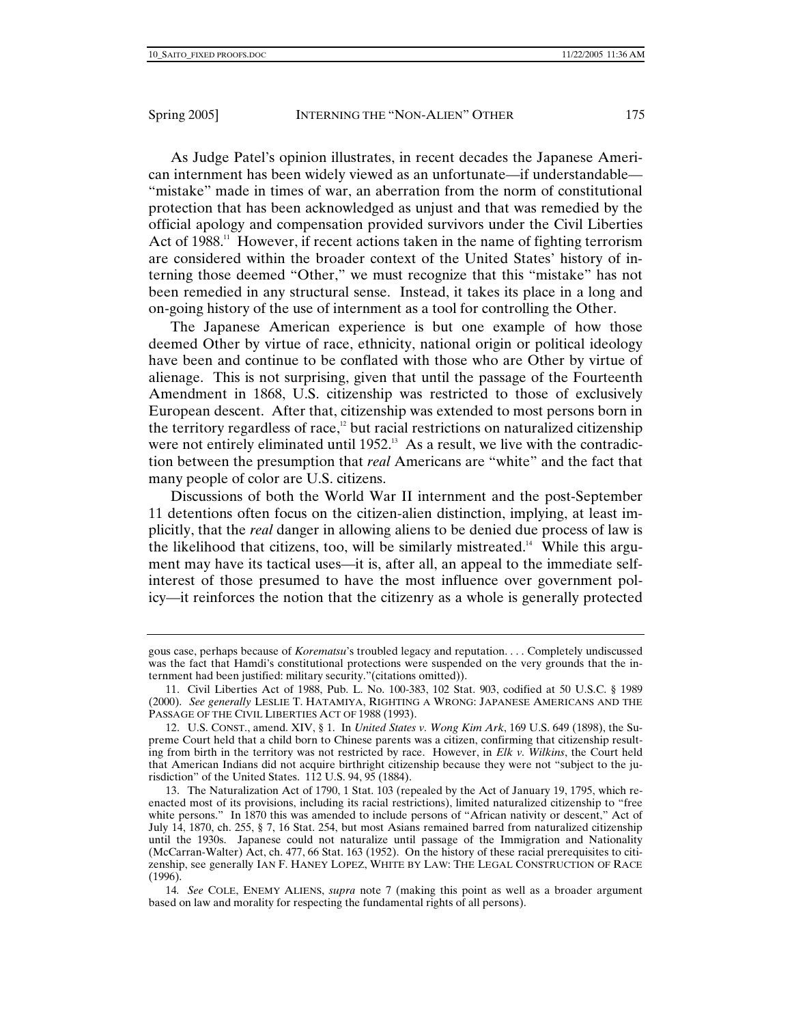As Judge Patel's opinion illustrates, in recent decades the Japanese American internment has been widely viewed as an unfortunate—if understandable— "mistake" made in times of war, an aberration from the norm of constitutional protection that has been acknowledged as unjust and that was remedied by the official apology and compensation provided survivors under the Civil Liberties Act of  $1988$ .<sup>11</sup> However, if recent actions taken in the name of fighting terrorism are considered within the broader context of the United States' history of interning those deemed "Other," we must recognize that this "mistake" has not been remedied in any structural sense. Instead, it takes its place in a long and on-going history of the use of internment as a tool for controlling the Other.

The Japanese American experience is but one example of how those deemed Other by virtue of race, ethnicity, national origin or political ideology have been and continue to be conflated with those who are Other by virtue of alienage. This is not surprising, given that until the passage of the Fourteenth Amendment in 1868, U.S. citizenship was restricted to those of exclusively European descent. After that, citizenship was extended to most persons born in the territory regardless of race,<sup>12</sup> but racial restrictions on naturalized citizenship were not entirely eliminated until  $1952$ <sup>13</sup> As a result, we live with the contradiction between the presumption that *real* Americans are "white" and the fact that many people of color are U.S. citizens.

Discussions of both the World War II internment and the post-September 11 detentions often focus on the citizen-alien distinction, implying, at least implicitly, that the *real* danger in allowing aliens to be denied due process of law is the likelihood that citizens, too, will be similarly mistreated.<sup>14</sup> While this argument may have its tactical uses—it is, after all, an appeal to the immediate selfinterest of those presumed to have the most influence over government policy—it reinforces the notion that the citizenry as a whole is generally protected

gous case, perhaps because of *Korematsu*'s troubled legacy and reputation. . . . Completely undiscussed was the fact that Hamdi's constitutional protections were suspended on the very grounds that the internment had been justified: military security."(citations omitted)).

 <sup>11.</sup> Civil Liberties Act of 1988, Pub. L. No. 100-383, 102 Stat. 903, codified at 50 U.S.C. § 1989 (2000). *See generally* LESLIE T. HATAMIYA, RIGHTING A WRONG: JAPANESE AMERICANS AND THE PASSAGE OF THE CIVIL LIBERTIES ACT OF 1988 (1993).

 <sup>12.</sup> U.S. CONST., amend. XIV, § 1. In *United States v. Wong Kim Ark*, 169 U.S. 649 (1898), the Supreme Court held that a child born to Chinese parents was a citizen, confirming that citizenship resulting from birth in the territory was not restricted by race. However, in *Elk v. Wilkins*, the Court held that American Indians did not acquire birthright citizenship because they were not "subject to the jurisdiction" of the United States. 112 U.S. 94, 95 (1884).

 <sup>13.</sup> The Naturalization Act of 1790, 1 Stat. 103 (repealed by the Act of January 19, 1795, which reenacted most of its provisions, including its racial restrictions), limited naturalized citizenship to "free white persons." In 1870 this was amended to include persons of "African nativity or descent," Act of July 14, 1870, ch. 255, § 7, 16 Stat. 254, but most Asians remained barred from naturalized citizenship until the 1930s. Japanese could not naturalize until passage of the Immigration and Nationality (McCarran-Walter) Act, ch. 477, 66 Stat. 163 (1952). On the history of these racial prerequisites to citizenship, see generally IAN F. HANEY LOPEZ, WHITE BY LAW: THE LEGAL CONSTRUCTION OF RACE  $(1996).$ 

<sup>14</sup>*. See* COLE, ENEMY ALIENS, *supra* note 7 (making this point as well as a broader argument based on law and morality for respecting the fundamental rights of all persons).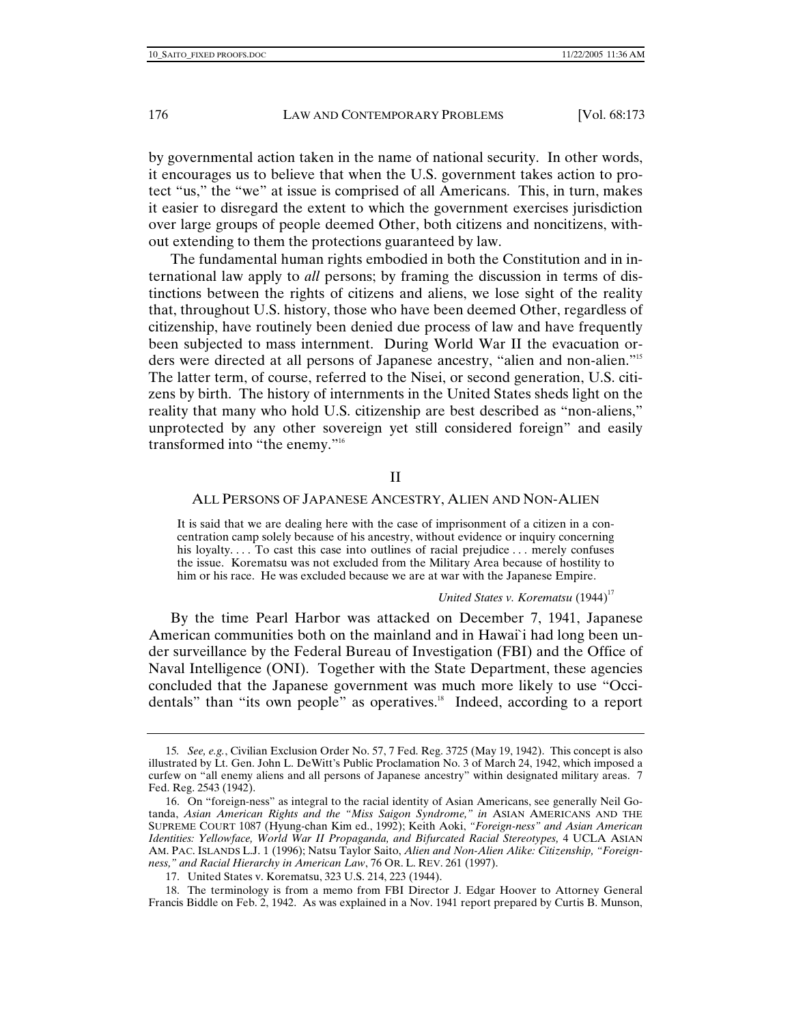by governmental action taken in the name of national security. In other words, it encourages us to believe that when the U.S. government takes action to protect "us," the "we" at issue is comprised of all Americans. This, in turn, makes it easier to disregard the extent to which the government exercises jurisdiction over large groups of people deemed Other, both citizens and noncitizens, without extending to them the protections guaranteed by law.

The fundamental human rights embodied in both the Constitution and in international law apply to *all* persons; by framing the discussion in terms of distinctions between the rights of citizens and aliens, we lose sight of the reality that, throughout U.S. history, those who have been deemed Other, regardless of citizenship, have routinely been denied due process of law and have frequently been subjected to mass internment. During World War II the evacuation orders were directed at all persons of Japanese ancestry, "alien and non-alien."15 The latter term, of course, referred to the Nisei, or second generation, U.S. citizens by birth. The history of internments in the United States sheds light on the reality that many who hold U.S. citizenship are best described as "non-aliens," unprotected by any other sovereign yet still considered foreign" and easily transformed into "the enemy."16

## II

## ALL PERSONS OF JAPANESE ANCESTRY, ALIEN AND NON-ALIEN

It is said that we are dealing here with the case of imprisonment of a citizen in a concentration camp solely because of his ancestry, without evidence or inquiry concerning his loyalty. . . To cast this case into outlines of racial prejudice . . . merely confuses the issue. Korematsu was not excluded from the Military Area because of hostility to him or his race. He was excluded because we are at war with the Japanese Empire.

### *United States v. Korematsu* (1944)<sup>17</sup>

By the time Pearl Harbor was attacked on December 7, 1941, Japanese American communities both on the mainland and in Hawai`i had long been under surveillance by the Federal Bureau of Investigation (FBI) and the Office of Naval Intelligence (ONI). Together with the State Department, these agencies concluded that the Japanese government was much more likely to use "Occidentals" than "its own people" as operatives.<sup>18</sup> Indeed, according to a report

<sup>15</sup>*. See, e.g.*, Civilian Exclusion Order No. 57, 7 Fed. Reg. 3725 (May 19, 1942). This concept is also illustrated by Lt. Gen. John L. DeWitt's Public Proclamation No. 3 of March 24, 1942, which imposed a curfew on "all enemy aliens and all persons of Japanese ancestry" within designated military areas. 7 Fed. Reg. 2543 (1942).

 <sup>16.</sup> On "foreign-ness" as integral to the racial identity of Asian Americans, see generally Neil Gotanda, *Asian American Rights and the "Miss Saigon Syndrome," in* ASIAN AMERICANS AND THE SUPREME COURT 1087 (Hyung-chan Kim ed., 1992); Keith Aoki, *"Foreign-ness" and Asian American Identities: Yellowface, World War II Propaganda, and Bifurcated Racial Stereotypes,* 4 UCLA ASIAN AM. PAC. ISLANDS L.J. 1 (1996); Natsu Taylor Saito, *Alien and Non-Alien Alike: Citizenship, "Foreignness," and Racial Hierarchy in American Law*, 76 OR. L. REV. 261 (1997).

 <sup>17.</sup> United States v. Korematsu, 323 U.S. 214, 223 (1944).

 <sup>18.</sup> The terminology is from a memo from FBI Director J. Edgar Hoover to Attorney General Francis Biddle on Feb. 2, 1942. As was explained in a Nov. 1941 report prepared by Curtis B. Munson,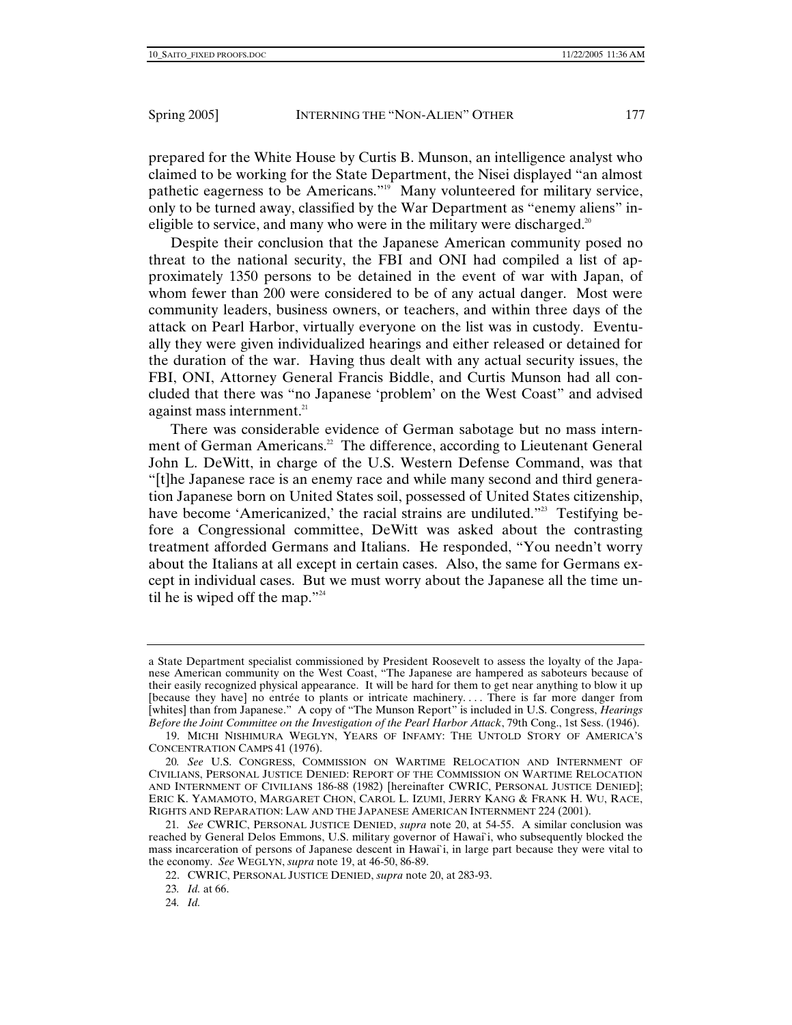prepared for the White House by Curtis B. Munson, an intelligence analyst who claimed to be working for the State Department, the Nisei displayed "an almost pathetic eagerness to be Americans."19 Many volunteered for military service, only to be turned away, classified by the War Department as "enemy aliens" ineligible to service, and many who were in the military were discharged.<sup>20</sup>

Despite their conclusion that the Japanese American community posed no threat to the national security, the FBI and ONI had compiled a list of approximately 1350 persons to be detained in the event of war with Japan, of whom fewer than 200 were considered to be of any actual danger. Most were community leaders, business owners, or teachers, and within three days of the attack on Pearl Harbor, virtually everyone on the list was in custody. Eventually they were given individualized hearings and either released or detained for the duration of the war. Having thus dealt with any actual security issues, the FBI, ONI, Attorney General Francis Biddle, and Curtis Munson had all concluded that there was "no Japanese 'problem' on the West Coast" and advised against mass internment.<sup>21</sup>

There was considerable evidence of German sabotage but no mass internment of German Americans.<sup>22</sup> The difference, according to Lieutenant General John L. DeWitt, in charge of the U.S. Western Defense Command, was that "[t]he Japanese race is an enemy race and while many second and third generation Japanese born on United States soil, possessed of United States citizenship, have become 'Americanized,' the racial strains are undiluted."<sup>23</sup> Testifying before a Congressional committee, DeWitt was asked about the contrasting treatment afforded Germans and Italians. He responded, "You needn't worry about the Italians at all except in certain cases. Also, the same for Germans except in individual cases. But we must worry about the Japanese all the time until he is wiped off the map."<sup>24</sup>

a State Department specialist commissioned by President Roosevelt to assess the loyalty of the Japanese American community on the West Coast, "The Japanese are hampered as saboteurs because of their easily recognized physical appearance. It will be hard for them to get near anything to blow it up [because they have] no entrée to plants or intricate machinery. . . . There is far more danger from [whites] than from Japanese." A copy of "The Munson Report" is included in U.S. Congress, *Hearings Before the Joint Committee on the Investigation of the Pearl Harbor Attack*, 79th Cong., 1st Sess. (1946).

 <sup>19.</sup> MICHI NISHIMURA WEGLYN, YEARS OF INFAMY: THE UNTOLD STORY OF AMERICA'S CONCENTRATION CAMPS 41 (1976).

<sup>20</sup>*. See* U.S. CONGRESS, COMMISSION ON WARTIME RELOCATION AND INTERNMENT OF CIVILIANS, PERSONAL JUSTICE DENIED: REPORT OF THE COMMISSION ON WARTIME RELOCATION AND INTERNMENT OF CIVILIANS 186-88 (1982) [hereinafter CWRIC, PERSONAL JUSTICE DENIED]; ERIC K. YAMAMOTO, MARGARET CHON, CAROL L. IZUMI, JERRY KANG & FRANK H. WU, RACE, RIGHTS AND REPARATION: LAW AND THE JAPANESE AMERICAN INTERNMENT 224 (2001).

<sup>21</sup>*. See* CWRIC, PERSONAL JUSTICE DENIED, *supra* note 20, at 54-55. A similar conclusion was reached by General Delos Emmons, U.S. military governor of Hawai`i, who subsequently blocked the mass incarceration of persons of Japanese descent in Hawai`i, in large part because they were vital to the economy. *See* WEGLYN, *supra* note 19, at 46-50, 86-89.

 <sup>22.</sup> CWRIC, PERSONAL JUSTICE DENIED, *supra* note 20, at 283-93.

<sup>23</sup>*. Id.* at 66.

<sup>24</sup>*. Id.*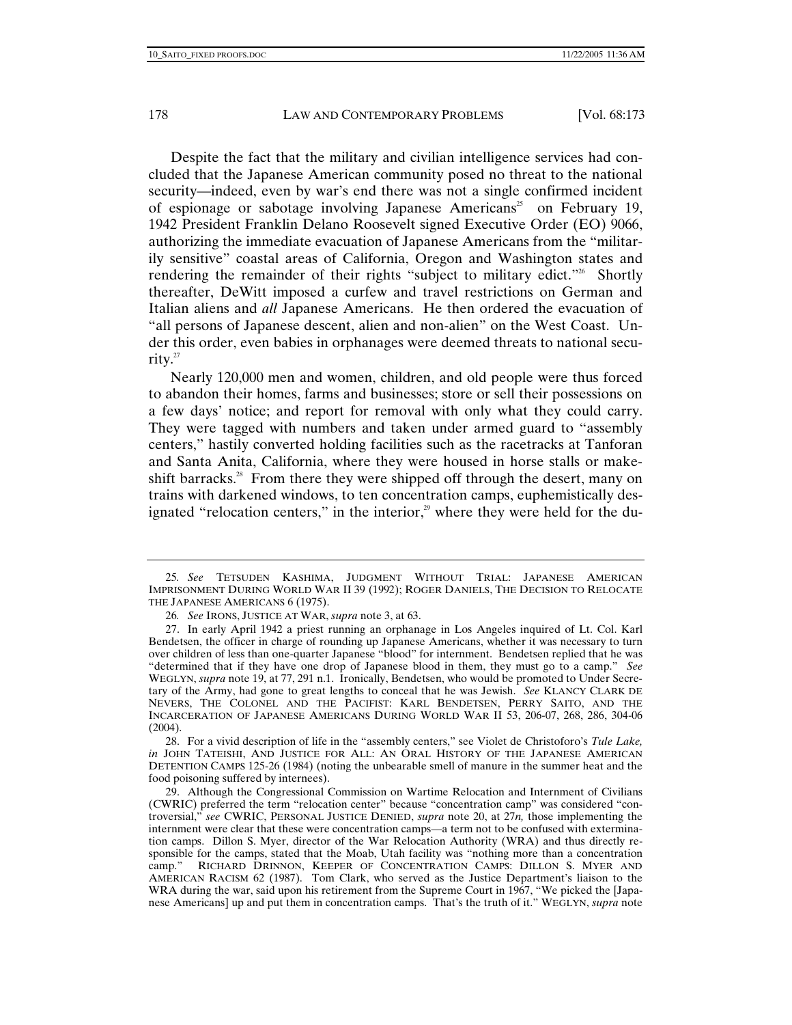Despite the fact that the military and civilian intelligence services had concluded that the Japanese American community posed no threat to the national security—indeed, even by war's end there was not a single confirmed incident of espionage or sabotage involving Japanese Americans<sup>25</sup> on February 19, 1942 President Franklin Delano Roosevelt signed Executive Order (EO) 9066, authorizing the immediate evacuation of Japanese Americans from the "militarily sensitive" coastal areas of California, Oregon and Washington states and rendering the remainder of their rights "subject to military edict."<sup>26</sup> Shortly thereafter, DeWitt imposed a curfew and travel restrictions on German and Italian aliens and *all* Japanese Americans. He then ordered the evacuation of "all persons of Japanese descent, alien and non-alien" on the West Coast. Under this order, even babies in orphanages were deemed threats to national security.27

Nearly 120,000 men and women, children, and old people were thus forced to abandon their homes, farms and businesses; store or sell their possessions on a few days' notice; and report for removal with only what they could carry. They were tagged with numbers and taken under armed guard to "assembly centers," hastily converted holding facilities such as the racetracks at Tanforan and Santa Anita, California, where they were housed in horse stalls or makeshift barracks.<sup>28</sup> From there they were shipped off through the desert, many on trains with darkened windows, to ten concentration camps, euphemistically designated "relocation centers," in the interior, $2^9$  where they were held for the du-

 28. For a vivid description of life in the "assembly centers," see Violet de Christoforo's *Tule Lake, in* JOHN TATEISHI, AND JUSTICE FOR ALL: AN ORAL HISTORY OF THE JAPANESE AMERICAN DETENTION CAMPS 125-26 (1984) (noting the unbearable smell of manure in the summer heat and the food poisoning suffered by internees).

<sup>25</sup>*. See* TETSUDEN KASHIMA, JUDGMENT WITHOUT TRIAL: JAPANESE AMERICAN IMPRISONMENT DURING WORLD WAR II 39 (1992); ROGER DANIELS, THE DECISION TO RELOCATE THE JAPANESE AMERICANS 6 (1975).

<sup>26</sup>*. See* IRONS, JUSTICE AT WAR, *supra* note 3, at 63.

 <sup>27.</sup> In early April 1942 a priest running an orphanage in Los Angeles inquired of Lt. Col. Karl Bendetsen, the officer in charge of rounding up Japanese Americans, whether it was necessary to turn over children of less than one-quarter Japanese "blood" for internment. Bendetsen replied that he was "determined that if they have one drop of Japanese blood in them, they must go to a camp." *See* WEGLYN, *supra* note 19, at 77, 291 n.1. Ironically, Bendetsen, who would be promoted to Under Secretary of the Army, had gone to great lengths to conceal that he was Jewish. *See* KLANCY CLARK DE NEVERS, THE COLONEL AND THE PACIFIST: KARL BENDETSEN, PERRY SAITO, AND THE INCARCERATION OF JAPANESE AMERICANS DURING WORLD WAR II 53, 206-07, 268, 286, 304-06 (2004).

 <sup>29.</sup> Although the Congressional Commission on Wartime Relocation and Internment of Civilians (CWRIC) preferred the term "relocation center" because "concentration camp" was considered "controversial," *see* CWRIC, PERSONAL JUSTICE DENIED, *supra* note 20, at 27*n,* those implementing the internment were clear that these were concentration camps—a term not to be confused with extermination camps. Dillon S. Myer, director of the War Relocation Authority (WRA) and thus directly responsible for the camps, stated that the Moab, Utah facility was "nothing more than a concentration camp." RICHARD DRINNON, KEEPER OF CONCENTRATION CAMPS: DILLON S. MYER AND AMERICAN RACISM 62 (1987). Tom Clark, who served as the Justice Department's liaison to the WRA during the war, said upon his retirement from the Supreme Court in 1967, "We picked the [Japanese Americans] up and put them in concentration camps. That's the truth of it." WEGLYN, *supra* note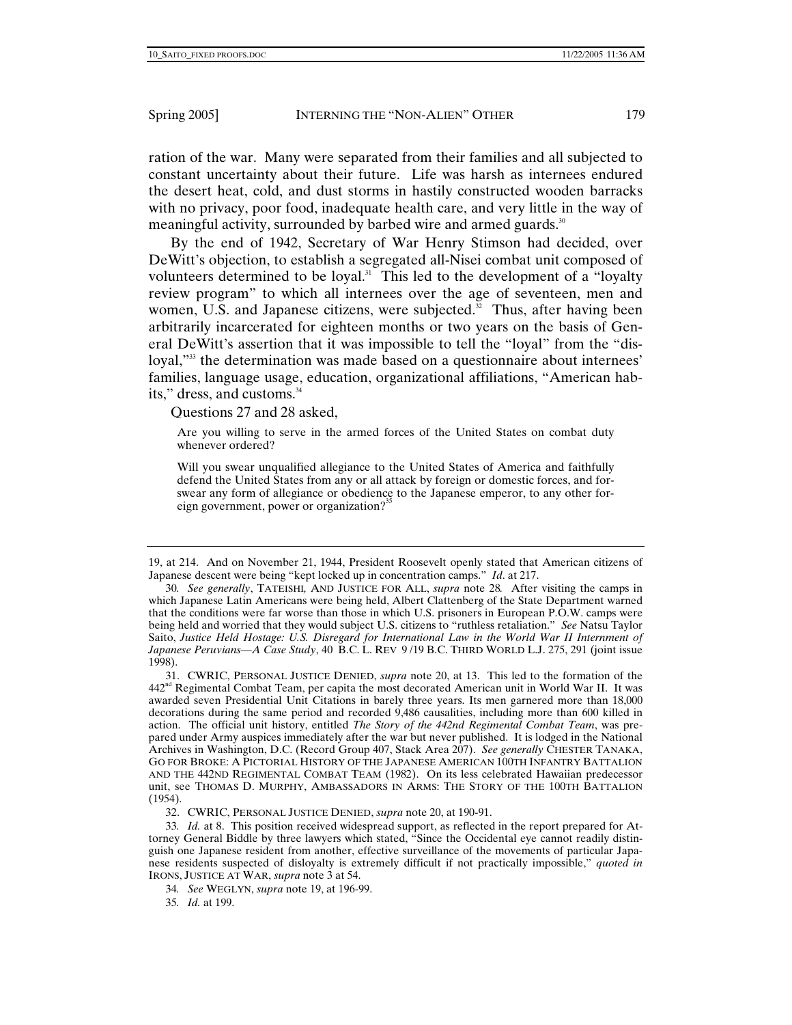ration of the war. Many were separated from their families and all subjected to constant uncertainty about their future. Life was harsh as internees endured the desert heat, cold, and dust storms in hastily constructed wooden barracks with no privacy, poor food, inadequate health care, and very little in the way of meaningful activity, surrounded by barbed wire and armed guards.<sup>30</sup>

By the end of 1942, Secretary of War Henry Stimson had decided, over DeWitt's objection, to establish a segregated all-Nisei combat unit composed of volunteers determined to be loyal.<sup>31</sup> This led to the development of a "loyalty review program" to which all internees over the age of seventeen, men and women, U.S. and Japanese citizens, were subjected.<sup>32</sup> Thus, after having been arbitrarily incarcerated for eighteen months or two years on the basis of General DeWitt's assertion that it was impossible to tell the "loyal" from the "disloyal,<sup>"33</sup> the determination was made based on a questionnaire about internees' families, language usage, education, organizational affiliations, "American habits," dress, and customs.<sup>34</sup>

Questions 27 and 28 asked,

Are you willing to serve in the armed forces of the United States on combat duty whenever ordered?

Will you swear unqualified allegiance to the United States of America and faithfully defend the United States from any or all attack by foreign or domestic forces, and forswear any form of allegiance or obedience to the Japanese emperor, to any other foreign government, power or organization?<sup>35</sup>

 31. CWRIC, PERSONAL JUSTICE DENIED, *supra* note 20, at 13. This led to the formation of the  $442<sup>nd</sup>$  Regimental Combat Team, per capita the most decorated American unit in World War II. It was awarded seven Presidential Unit Citations in barely three years. Its men garnered more than 18,000 decorations during the same period and recorded 9,486 causalities, including more than 600 killed in action. The official unit history, entitled *The Story of the 442nd Regimental Combat Team*, was prepared under Army auspices immediately after the war but never published. It is lodged in the National Archives in Washington, D.C. (Record Group 407, Stack Area 207). *See generally* CHESTER TANAKA, GO FOR BROKE: A PICTORIAL HISTORY OF THE JAPANESE AMERICAN 100TH INFANTRY BATTALION AND THE 442ND REGIMENTAL COMBAT TEAM (1982). On its less celebrated Hawaiian predecessor unit, see THOMAS D. MURPHY, AMBASSADORS IN ARMS: THE STORY OF THE 100TH BATTALION (1954).

32. CWRIC, PERSONAL JUSTICE DENIED, *supra* note 20, at 190-91.

33*. Id.* at 8. This position received widespread support, as reflected in the report prepared for Attorney General Biddle by three lawyers which stated, "Since the Occidental eye cannot readily distinguish one Japanese resident from another, effective surveillance of the movements of particular Japanese residents suspected of disloyalty is extremely difficult if not practically impossible," *quoted in*  IRONS, JUSTICE AT WAR, *supra* note 3 at 54.

<sup>19,</sup> at 214. And on November 21, 1944, President Roosevelt openly stated that American citizens of Japanese descent were being "kept locked up in concentration camps." *Id*. at 217.

<sup>30</sup>*. See generally*, TATEISHI*,* AND JUSTICE FOR ALL, *supra* note 28*.* After visiting the camps in which Japanese Latin Americans were being held, Albert Clattenberg of the State Department warned that the conditions were far worse than those in which U.S. prisoners in European P.O.W. camps were being held and worried that they would subject U.S. citizens to "ruthless retaliation." *See* Natsu Taylor Saito, *Justice Held Hostage: U.S. Disregard for International Law in the World War II Internment of Japanese Peruvians—A Case Study*, 40 B.C. L. REV 9 /19 B.C. THIRD WORLD L.J. 275, 291 (joint issue 1998).

<sup>34</sup>*. See* WEGLYN, *supra* note 19, at 196-99.

<sup>35</sup>*. Id.* at 199.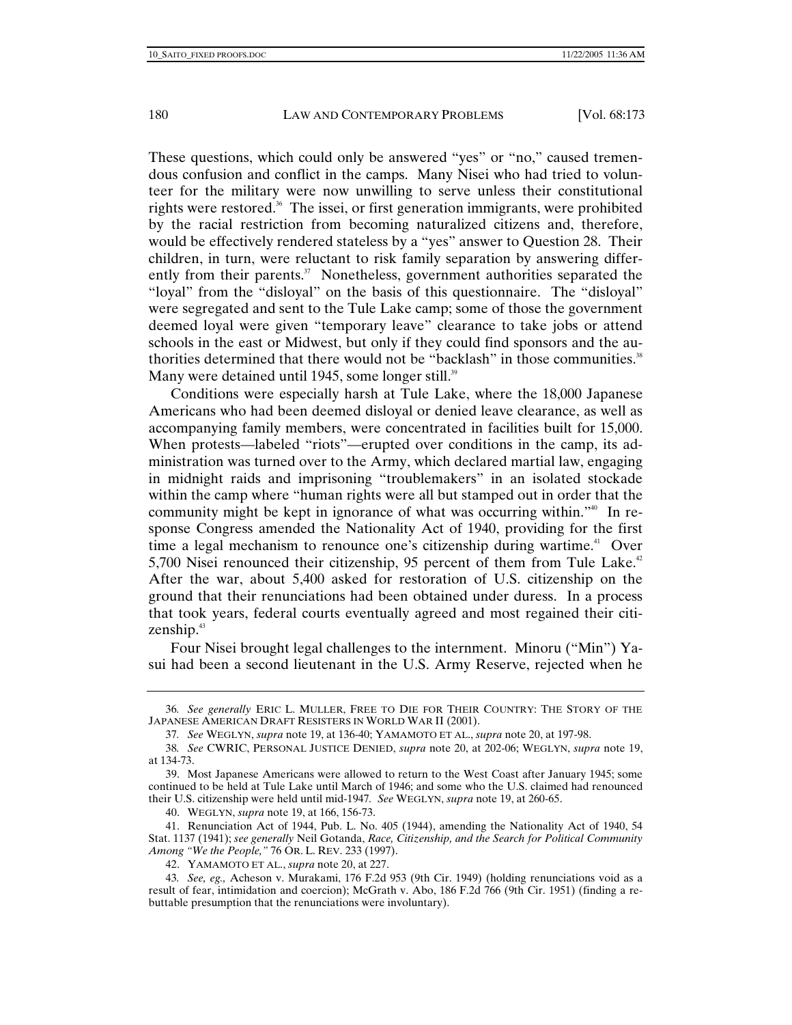These questions, which could only be answered "yes" or "no," caused tremendous confusion and conflict in the camps. Many Nisei who had tried to volunteer for the military were now unwilling to serve unless their constitutional rights were restored.<sup>36</sup> The issei, or first generation immigrants, were prohibited by the racial restriction from becoming naturalized citizens and, therefore, would be effectively rendered stateless by a "yes" answer to Question 28. Their children, in turn, were reluctant to risk family separation by answering differently from their parents.<sup>37</sup> Nonetheless, government authorities separated the "loyal" from the "disloyal" on the basis of this questionnaire. The "disloyal" were segregated and sent to the Tule Lake camp; some of those the government deemed loyal were given "temporary leave" clearance to take jobs or attend schools in the east or Midwest, but only if they could find sponsors and the authorities determined that there would not be "backlash" in those communities.<sup>38</sup> Many were detained until 1945, some longer still.<sup>39</sup>

Conditions were especially harsh at Tule Lake, where the 18,000 Japanese Americans who had been deemed disloyal or denied leave clearance, as well as accompanying family members, were concentrated in facilities built for 15,000. When protests—labeled "riots"—erupted over conditions in the camp, its administration was turned over to the Army, which declared martial law, engaging in midnight raids and imprisoning "troublemakers" in an isolated stockade within the camp where "human rights were all but stamped out in order that the community might be kept in ignorance of what was occurring within."40 In response Congress amended the Nationality Act of 1940, providing for the first time a legal mechanism to renounce one's citizenship during wartime.<sup>41</sup> Over 5,700 Nisei renounced their citizenship, 95 percent of them from Tule Lake.<sup>42</sup> After the war, about 5,400 asked for restoration of U.S. citizenship on the ground that their renunciations had been obtained under duress. In a process that took years, federal courts eventually agreed and most regained their citizenship.<sup>43</sup>

Four Nisei brought legal challenges to the internment. Minoru ("Min") Yasui had been a second lieutenant in the U.S. Army Reserve, rejected when he

40. WEGLYN, *supra* note 19, at 166, 156-73.

<sup>36</sup>*. See generally* ERIC L. MULLER, FREE TO DIE FOR THEIR COUNTRY: THE STORY OF THE JAPANESE AMERICAN DRAFT RESISTERS IN WORLD WAR II (2001).

<sup>37</sup>*. See* WEGLYN, *supra* note 19, at 136-40; YAMAMOTO ET AL., *supra* note 20, at 197-98.

<sup>38</sup>*. See* CWRIC, PERSONAL JUSTICE DENIED, *supra* note 20, at 202-06; WEGLYN, *supra* note 19, at 134-73.

 <sup>39.</sup> Most Japanese Americans were allowed to return to the West Coast after January 1945; some continued to be held at Tule Lake until March of 1946; and some who the U.S. claimed had renounced their U.S. citizenship were held until mid-1947*. See* WEGLYN, *supra* note 19, at 260-65.

 <sup>41.</sup> Renunciation Act of 1944, Pub. L. No. 405 (1944), amending the Nationality Act of 1940, 54 Stat. 1137 (1941); *see generally* Neil Gotanda, *Race, Citizenship, and the Search for Political Community Among "We the People,"* 76 OR. L. REV. 233 (1997).

 <sup>42.</sup> YAMAMOTO ET AL., *supra* note 20, at 227.

<sup>43</sup>*. See, eg.,* Acheson v. Murakami, 176 F.2d 953 (9th Cir. 1949) (holding renunciations void as a result of fear, intimidation and coercion); McGrath v. Abo, 186 F.2d 766 (9th Cir. 1951) (finding a rebuttable presumption that the renunciations were involuntary).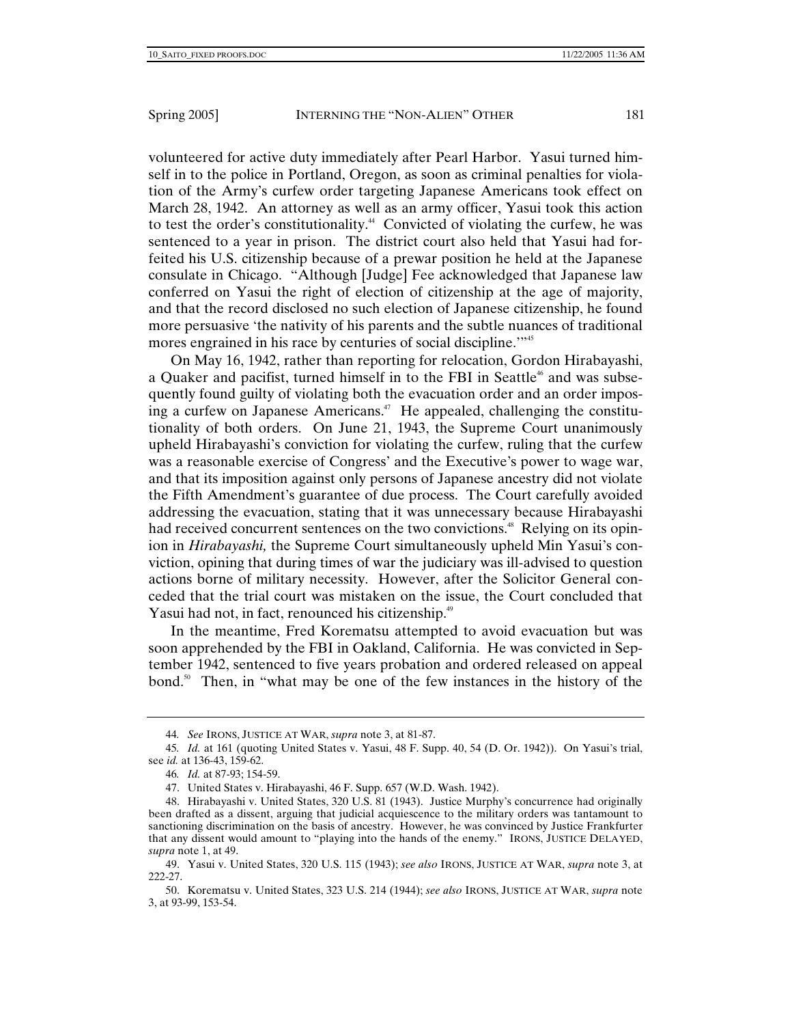volunteered for active duty immediately after Pearl Harbor. Yasui turned himself in to the police in Portland, Oregon, as soon as criminal penalties for violation of the Army's curfew order targeting Japanese Americans took effect on March 28, 1942. An attorney as well as an army officer, Yasui took this action to test the order's constitutionality.<sup>44</sup> Convicted of violating the curfew, he was sentenced to a year in prison. The district court also held that Yasui had forfeited his U.S. citizenship because of a prewar position he held at the Japanese consulate in Chicago. "Although [Judge] Fee acknowledged that Japanese law conferred on Yasui the right of election of citizenship at the age of majority, and that the record disclosed no such election of Japanese citizenship, he found more persuasive 'the nativity of his parents and the subtle nuances of traditional mores engrained in his race by centuries of social discipline.<sup>"\*5</sup>

On May 16, 1942, rather than reporting for relocation, Gordon Hirabayashi, a Quaker and pacifist, turned himself in to the FBI in Seattle<sup>46</sup> and was subsequently found guilty of violating both the evacuation order and an order imposing a curfew on Japanese Americans.<sup>47</sup> He appealed, challenging the constitutionality of both orders. On June 21, 1943, the Supreme Court unanimously upheld Hirabayashi's conviction for violating the curfew, ruling that the curfew was a reasonable exercise of Congress' and the Executive's power to wage war, and that its imposition against only persons of Japanese ancestry did not violate the Fifth Amendment's guarantee of due process. The Court carefully avoided addressing the evacuation, stating that it was unnecessary because Hirabayashi had received concurrent sentences on the two convictions.<sup>48</sup> Relying on its opinion in *Hirabayashi,* the Supreme Court simultaneously upheld Min Yasui's conviction, opining that during times of war the judiciary was ill-advised to question actions borne of military necessity. However, after the Solicitor General conceded that the trial court was mistaken on the issue, the Court concluded that Yasui had not, in fact, renounced his citizenship.<sup>49</sup>

In the meantime, Fred Korematsu attempted to avoid evacuation but was soon apprehended by the FBI in Oakland, California. He was convicted in September 1942, sentenced to five years probation and ordered released on appeal bond.50 Then, in "what may be one of the few instances in the history of the

<sup>44</sup>*. See* IRONS, JUSTICE AT WAR, *supra* note 3, at 81-87.

<sup>45</sup>*. Id.* at 161 (quoting United States v. Yasui, 48 F. Supp. 40, 54 (D. Or. 1942)). On Yasui's trial, see *id.* at 136-43, 159-62.

<sup>46</sup>*. Id.* at 87-93; 154-59.

 <sup>47.</sup> United States v. Hirabayashi, 46 F. Supp. 657 (W.D. Wash. 1942).

 <sup>48.</sup> Hirabayashi v. United States, 320 U.S. 81 (1943). Justice Murphy's concurrence had originally been drafted as a dissent, arguing that judicial acquiescence to the military orders was tantamount to sanctioning discrimination on the basis of ancestry. However, he was convinced by Justice Frankfurter that any dissent would amount to "playing into the hands of the enemy." IRONS, JUSTICE DELAYED, *supra* note 1, at 49.

 <sup>49.</sup> Yasui v. United States, 320 U.S. 115 (1943); *see also* IRONS, JUSTICE AT WAR, *supra* note 3, at 222-27.

 <sup>50.</sup> Korematsu v. United States, 323 U.S. 214 (1944); *see also* IRONS, JUSTICE AT WAR, *supra* note 3, at 93-99, 153-54.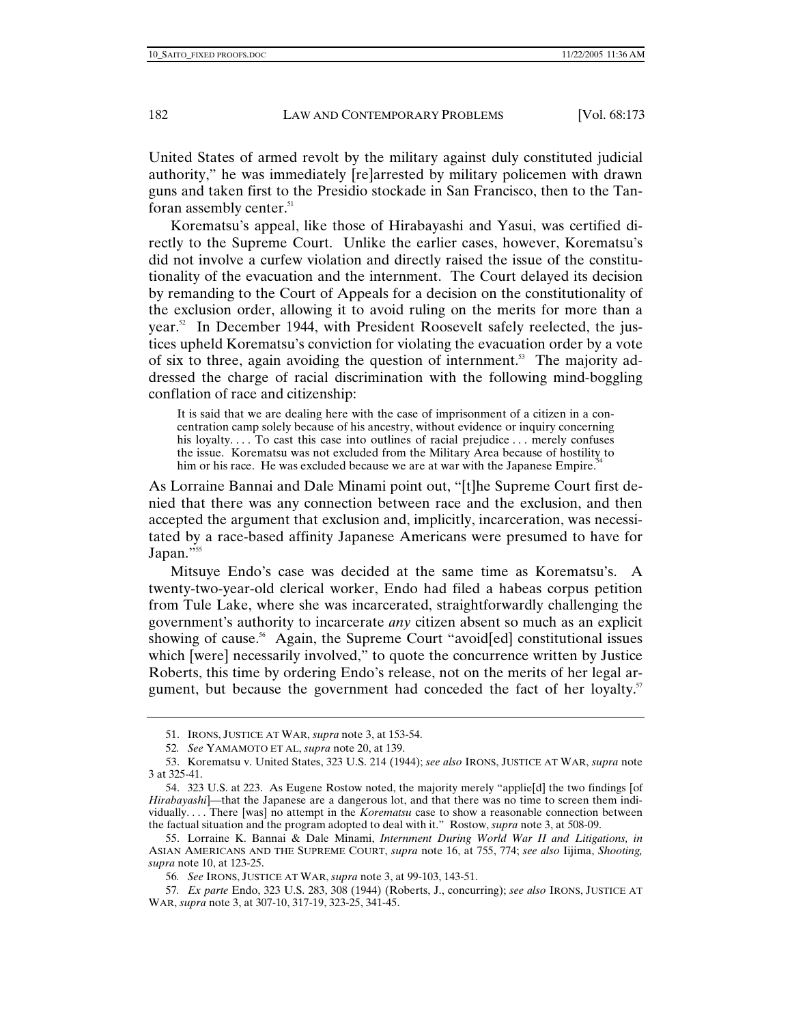United States of armed revolt by the military against duly constituted judicial authority," he was immediately [re]arrested by military policemen with drawn guns and taken first to the Presidio stockade in San Francisco, then to the Tanforan assembly center.<sup>51</sup>

Korematsu's appeal, like those of Hirabayashi and Yasui, was certified directly to the Supreme Court. Unlike the earlier cases, however, Korematsu's did not involve a curfew violation and directly raised the issue of the constitutionality of the evacuation and the internment. The Court delayed its decision by remanding to the Court of Appeals for a decision on the constitutionality of the exclusion order, allowing it to avoid ruling on the merits for more than a year.<sup>52</sup> In December 1944, with President Roosevelt safely reelected, the justices upheld Korematsu's conviction for violating the evacuation order by a vote of six to three, again avoiding the question of internment.<sup>53</sup> The majority addressed the charge of racial discrimination with the following mind-boggling conflation of race and citizenship:

It is said that we are dealing here with the case of imprisonment of a citizen in a concentration camp solely because of his ancestry, without evidence or inquiry concerning his loyalty.... To cast this case into outlines of racial prejudice... merely confuses the issue. Korematsu was not excluded from the Military Area because of hostility to him or his race. He was excluded because we are at war with the Japanese Empire.<sup>54</sup>

As Lorraine Bannai and Dale Minami point out, "[t]he Supreme Court first denied that there was any connection between race and the exclusion, and then accepted the argument that exclusion and, implicitly, incarceration, was necessitated by a race-based affinity Japanese Americans were presumed to have for Japan." $55$ 

Mitsuye Endo's case was decided at the same time as Korematsu's. A twenty-two-year-old clerical worker, Endo had filed a habeas corpus petition from Tule Lake, where she was incarcerated, straightforwardly challenging the government's authority to incarcerate *any* citizen absent so much as an explicit showing of cause.<sup>56</sup> Again, the Supreme Court "avoid[ed] constitutional issues which [were] necessarily involved," to quote the concurrence written by Justice Roberts, this time by ordering Endo's release, not on the merits of her legal argument, but because the government had conceded the fact of her loyalty. $5^{\circ}$ 

 <sup>51.</sup> IRONS, JUSTICE AT WAR, *supra* note 3, at 153-54.

<sup>52</sup>*. See* YAMAMOTO ET AL, *supra* note 20, at 139.

 <sup>53.</sup> Korematsu v. United States, 323 U.S. 214 (1944); *see also* IRONS, JUSTICE AT WAR, *supra* note 3 at 325-41.

 <sup>54. 323</sup> U.S. at 223. As Eugene Rostow noted, the majority merely "applie[d] the two findings [of *Hirabayashi*]—that the Japanese are a dangerous lot, and that there was no time to screen them individually. . . . There [was] no attempt in the *Korematsu* case to show a reasonable connection between the factual situation and the program adopted to deal with it." Rostow, *supra* note 3, at 508-09.

 <sup>55.</sup> Lorraine K. Bannai & Dale Minami, *Internment During World War II and Litigations, in*  ASIAN AMERICANS AND THE SUPREME COURT, *supra* note 16, at 755, 774; *see also* Iijima, *Shooting, supra* note 10, at 123-25.

<sup>56</sup>*. See* IRONS, JUSTICE AT WAR, *supra* note 3, at 99-103, 143-51.

<sup>57</sup>*. Ex parte* Endo, 323 U.S. 283, 308 (1944) (Roberts, J., concurring); *see also* IRONS, JUSTICE AT WAR, *supra* note 3, at 307-10, 317-19, 323-25, 341-45.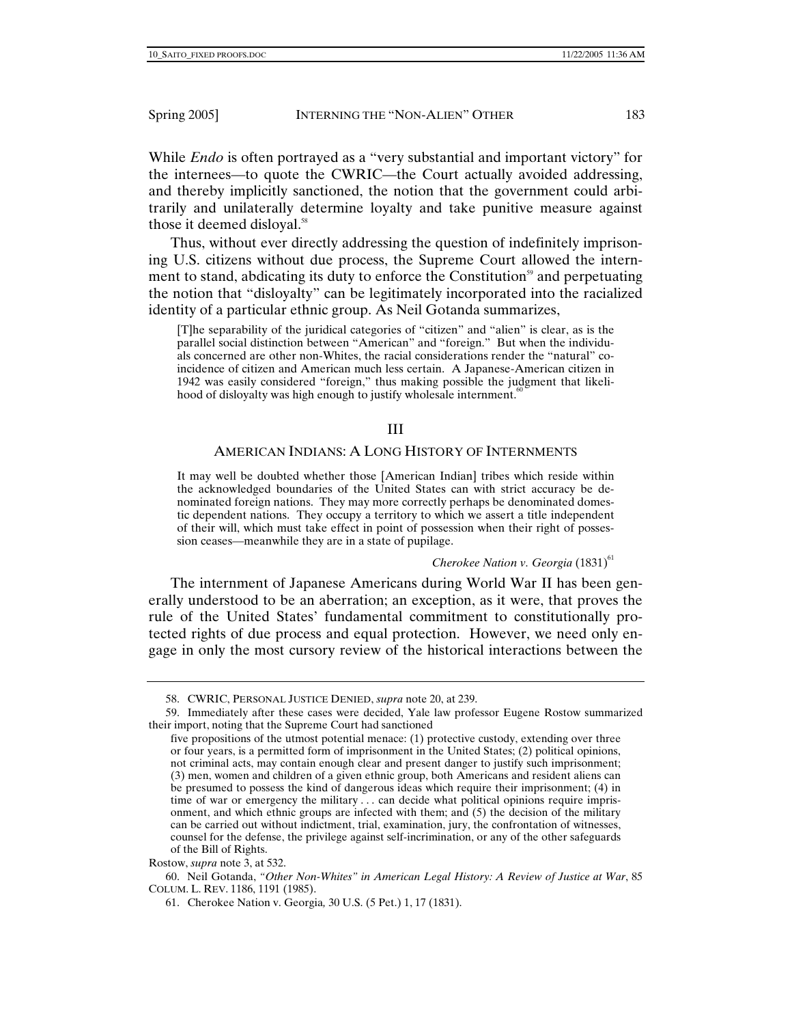While *Endo* is often portrayed as a "very substantial and important victory" for the internees—to quote the CWRIC—the Court actually avoided addressing, and thereby implicitly sanctioned, the notion that the government could arbitrarily and unilaterally determine loyalty and take punitive measure against those it deemed disloyal.<sup>58</sup>

Thus, without ever directly addressing the question of indefinitely imprisoning U.S. citizens without due process, the Supreme Court allowed the internment to stand, abdicating its duty to enforce the Constitution<sup>59</sup> and perpetuating the notion that "disloyalty" can be legitimately incorporated into the racialized identity of a particular ethnic group. As Neil Gotanda summarizes,

[T]he separability of the juridical categories of "citizen" and "alien" is clear, as is the parallel social distinction between "American" and "foreign." But when the individuals concerned are other non-Whites, the racial considerations render the "natural" coincidence of citizen and American much less certain. A Japanese-American citizen in 1942 was easily considered "foreign," thus making possible the judgment that likelihood of disloyalty was high enough to justify wholesale internment. $60$ 

## III

## AMERICAN INDIANS: A LONG HISTORY OF INTERNMENTS

It may well be doubted whether those [American Indian] tribes which reside within the acknowledged boundaries of the United States can with strict accuracy be denominated foreign nations. They may more correctly perhaps be denominated domestic dependent nations. They occupy a territory to which we assert a title independent of their will, which must take effect in point of possession when their right of possession ceases—meanwhile they are in a state of pupilage.

#### *Cherokee Nation v. Georgia* (1831)<sup>61</sup>

The internment of Japanese Americans during World War II has been generally understood to be an aberration; an exception, as it were, that proves the rule of the United States' fundamental commitment to constitutionally protected rights of due process and equal protection. However, we need only engage in only the most cursory review of the historical interactions between the

 <sup>58.</sup> CWRIC, PERSONAL JUSTICE DENIED, *supra* note 20, at 239.

 <sup>59.</sup> Immediately after these cases were decided, Yale law professor Eugene Rostow summarized their import, noting that the Supreme Court had sanctioned

five propositions of the utmost potential menace: (1) protective custody, extending over three or four years, is a permitted form of imprisonment in the United States; (2) political opinions, not criminal acts, may contain enough clear and present danger to justify such imprisonment; (3) men, women and children of a given ethnic group, both Americans and resident aliens can be presumed to possess the kind of dangerous ideas which require their imprisonment; (4) in time of war or emergency the military . . . can decide what political opinions require imprisonment, and which ethnic groups are infected with them; and (5) the decision of the military can be carried out without indictment, trial, examination, jury, the confrontation of witnesses, counsel for the defense, the privilege against self-incrimination, or any of the other safeguards of the Bill of Rights.

Rostow, *supra* note 3, at 532.

 <sup>60.</sup> Neil Gotanda, *"Other Non-Whites" in American Legal History: A Review of Justice at War*, 85 COLUM. L. REV. 1186, 1191 (1985).

 <sup>61.</sup> Cherokee Nation v. Georgia*,* 30 U.S. (5 Pet.) 1, 17 (1831).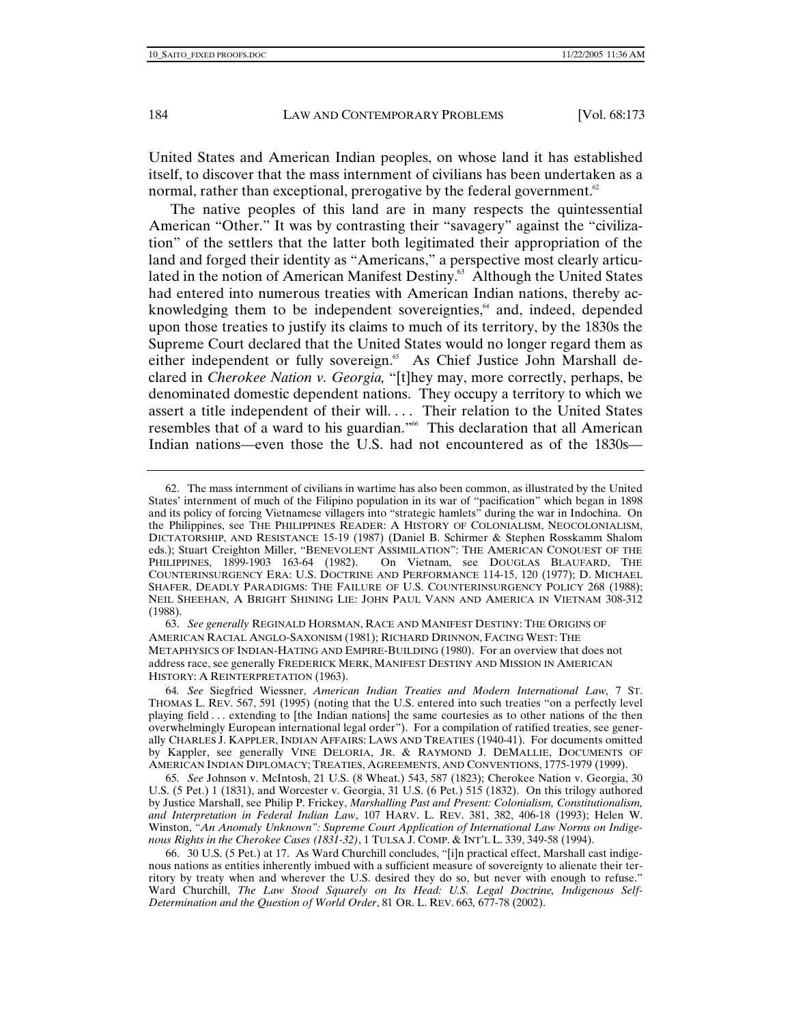United States and American Indian peoples, on whose land it has established itself, to discover that the mass internment of civilians has been undertaken as a normal, rather than exceptional, prerogative by the federal government.<sup>62</sup>

The native peoples of this land are in many respects the quintessential American "Other." It was by contrasting their "savagery" against the "civilization" of the settlers that the latter both legitimated their appropriation of the land and forged their identity as "Americans," a perspective most clearly articulated in the notion of American Manifest Destiny.<sup>63</sup> Although the United States had entered into numerous treaties with American Indian nations, thereby acknowledging them to be independent sovereignties,<sup>64</sup> and, indeed, depended upon those treaties to justify its claims to much of its territory, by the 1830s the Supreme Court declared that the United States would no longer regard them as either independent or fully sovereign.<sup>65</sup> As Chief Justice John Marshall declared in *Cherokee Nation v. Georgia,* "[t]hey may, more correctly, perhaps, be denominated domestic dependent nations. They occupy a territory to which we assert a title independent of their will. . . . Their relation to the United States resembles that of a ward to his guardian."<sup>66</sup> This declaration that all American Indian nations—even those the U.S. had not encountered as of the 1830s—

 63. *See generally* REGINALD HORSMAN, RACE AND MANIFEST DESTINY: THE ORIGINS OF AMERICAN RACIAL ANGLO-SAXONISM (1981); RICHARD DRINNON, FACING WEST: THE METAPHYSICS OF INDIAN-HATING AND EMPIRE-BUILDING (1980). For an overview that does not address race, see generally FREDERICK MERK, MANIFEST DESTINY AND MISSION IN AMERICAN HISTORY: A REINTERPRETATION (1963).

64*. See* Siegfried Wiessner, *American Indian Treaties and Modern International Law,* 7 ST. THOMAS L. REV. 567, 591 (1995) (noting that the U.S. entered into such treaties "on a perfectly level playing field . . . extending to [the Indian nations] the same courtesies as to other nations of the then overwhelmingly European international legal order"). For a compilation of ratified treaties, see generally CHARLES J. KAPPLER, INDIAN AFFAIRS: LAWS AND TREATIES (1940-41). For documents omitted by Kappler, see generally VINE DELORIA, JR. & RAYMOND J. DEMALLIE, DOCUMENTS OF AMERICAN INDIAN DIPLOMACY; TREATIES, AGREEMENTS, AND CONVENTIONS, 1775-1979 (1999).

65*. See* Johnson v. McIntosh, 21 U.S. (8 Wheat.) 543, 587 (1823); Cherokee Nation v. Georgia, 30 U.S. (5 Pet.) 1 (1831), and Worcester v. Georgia, 31 U.S. (6 Pet.) 515 (1832). On this trilogy authored by Justice Marshall, see Philip P. Frickey, *Marshalling Past and Present: Colonialism, Constitutionalism, and Interpretation in Federal Indian Law*, 107 HARV. L. REV. 381, 382, 406-18 (1993); Helen W. Winston, *"An Anomaly Unknown": Supreme Court Application of International Law Norms on Indigenous Rights in the Cherokee Cases (1831-32)*, 1 TULSA J. COMP. & INT'L L. 339, 349-58 (1994).

 66. 30 U.S. (5 Pet.) at 17. As Ward Churchill concludes, "[i]n practical effect, Marshall cast indigenous nations as entities inherently imbued with a sufficient measure of sovereignty to alienate their territory by treaty when and wherever the U.S. desired they do so, but never with enough to refuse." Ward Churchill, *The Law Stood Squarely on Its Head: U.S. Legal Doctrine, Indigenous Self-Determination and the Question of World Order*, 81 OR. L. REV. 663*,* 677-78 (2002).

 <sup>62.</sup> The mass internment of civilians in wartime has also been common, as illustrated by the United States' internment of much of the Filipino population in its war of "pacification" which began in 1898 and its policy of forcing Vietnamese villagers into "strategic hamlets" during the war in Indochina. On the Philippines, see THE PHILIPPINES READER: A HISTORY OF COLONIALISM, NEOCOLONIALISM, DICTATORSHIP, AND RESISTANCE 15-19 (1987) (Daniel B. Schirmer & Stephen Rosskamm Shalom eds.); Stuart Creighton Miller, "BENEVOLENT ASSIMILATION": THE AMERICAN CONQUEST OF THE PHILIPPINES, 1899-1903 163-64 (1982). On Vietnam, see DOUGLAS BLAUFARD, THE On Vietnam, see DOUGLAS BLAUFARD, THE COUNTERINSURGENCY ERA: U.S. DOCTRINE AND PERFORMANCE 114-15, 120 (1977); D. MICHAEL SHAFER, DEADLY PARADIGMS: THE FAILURE OF U.S. COUNTERINSURGENCY POLICY 268 (1988); NEIL SHEEHAN, A BRIGHT SHINING LIE: JOHN PAUL VANN AND AMERICA IN VIETNAM 308-312 (1988).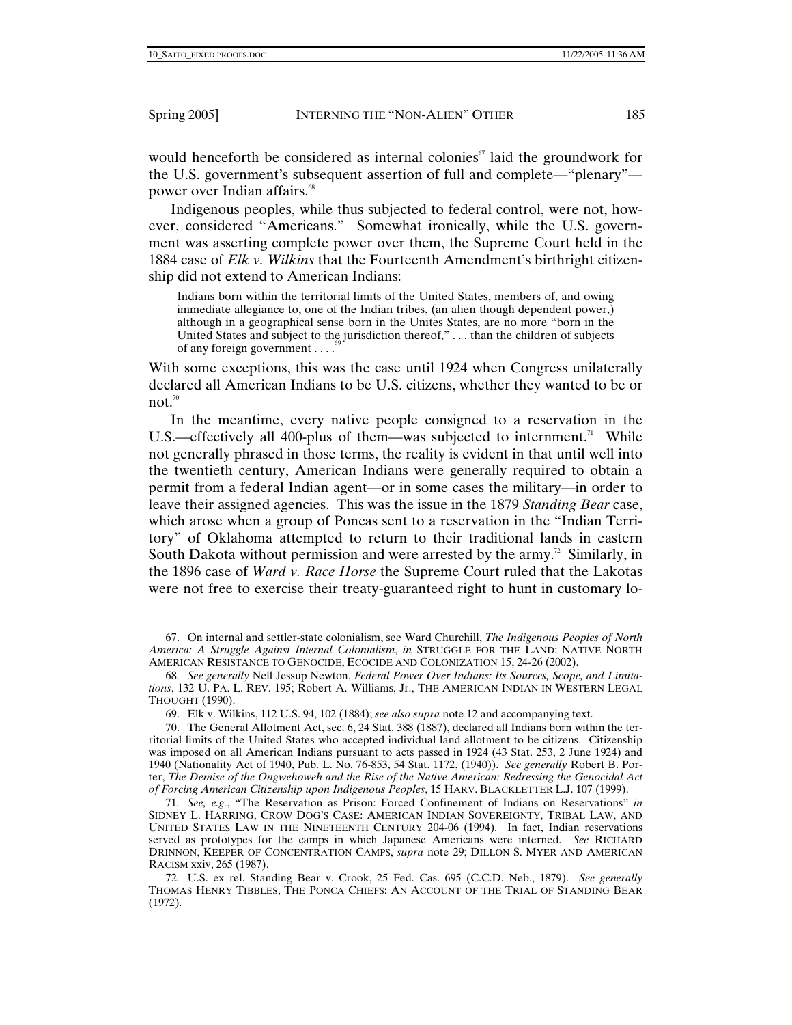would henceforth be considered as internal colonies<sup> $\sigma$ </sup> laid the groundwork for the U.S. government's subsequent assertion of full and complete—"plenary" power over Indian affairs.<sup>68</sup>

Indigenous peoples, while thus subjected to federal control, were not, however, considered "Americans." Somewhat ironically, while the U.S. government was asserting complete power over them, the Supreme Court held in the 1884 case of *Elk v. Wilkins* that the Fourteenth Amendment's birthright citizenship did not extend to American Indians:

Indians born within the territorial limits of the United States, members of, and owing immediate allegiance to, one of the Indian tribes, (an alien though dependent power,) although in a geographical sense born in the Unites States, are no more "born in the United States and subject to the jurisdiction thereof,"... than the children of subjects of any foreign government  $\dots$ <sup>6</sup>

With some exceptions, this was the case until 1924 when Congress unilaterally declared all American Indians to be U.S. citizens, whether they wanted to be or not. $70$ 

In the meantime, every native people consigned to a reservation in the U.S.—effectively all 400-plus of them—was subjected to internment.<sup>71</sup> While not generally phrased in those terms, the reality is evident in that until well into the twentieth century, American Indians were generally required to obtain a permit from a federal Indian agent—or in some cases the military—in order to leave their assigned agencies. This was the issue in the 1879 *Standing Bear* case, which arose when a group of Poncas sent to a reservation in the "Indian Territory" of Oklahoma attempted to return to their traditional lands in eastern South Dakota without permission and were arrested by the army.<sup>72</sup> Similarly, in the 1896 case of *Ward v. Race Horse* the Supreme Court ruled that the Lakotas were not free to exercise their treaty-guaranteed right to hunt in customary lo-

 <sup>67.</sup> On internal and settler-state colonialism, see Ward Churchill, *The Indigenous Peoples of North America: A Struggle Against Internal Colonialism*, *in* STRUGGLE FOR THE LAND: NATIVE NORTH AMERICAN RESISTANCE TO GENOCIDE, ECOCIDE AND COLONIZATION 15, 24-26 (2002).

<sup>68</sup>*. See generally* Nell Jessup Newton, *Federal Power Over Indians: Its Sources, Scope, and Limitations*, 132 U. PA. L. REV. 195; Robert A. Williams, Jr., THE AMERICAN INDIAN IN WESTERN LEGAL THOUGHT (1990).

 <sup>69.</sup> Elk v. Wilkins, 112 U.S. 94, 102 (1884); *see also supra* note 12 and accompanying text.

 <sup>70.</sup> The General Allotment Act, sec. 6, 24 Stat. 388 (1887), declared all Indians born within the territorial limits of the United States who accepted individual land allotment to be citizens. Citizenship was imposed on all American Indians pursuant to acts passed in 1924 (43 Stat. 253, 2 June 1924) and 1940 (Nationality Act of 1940, Pub. L. No. 76-853, 54 Stat. 1172, (1940)). *See generally* Robert B. Porter, *The Demise of the Ongwehoweh and the Rise of the Native American: Redressing the Genocidal Act of Forcing American Citizenship upon Indigenous Peoples*, 15 HARV. BLACKLETTER L.J. 107 (1999).

<sup>71</sup>*. See, e.g.*, "The Reservation as Prison: Forced Confinement of Indians on Reservations" *in* SIDNEY L. HARRING, CROW DOG'S CASE: AMERICAN INDIAN SOVEREIGNTY, TRIBAL LAW, AND UNITED STATES LAW IN THE NINETEENTH CENTURY 204-06 (1994). In fact, Indian reservations served as prototypes for the camps in which Japanese Americans were interned. *See* RICHARD DRINNON, KEEPER OF CONCENTRATION CAMPS, *supra* note 29; DILLON S. MYER AND AMERICAN RACISM xxiv, 265 (1987).

<sup>72</sup>*.* U.S. ex rel. Standing Bear v. Crook, 25 Fed. Cas. 695 (C.C.D. Neb., 1879). *See generally*  THOMAS HENRY TIBBLES, THE PONCA CHIEFS: AN ACCOUNT OF THE TRIAL OF STANDING BEAR (1972).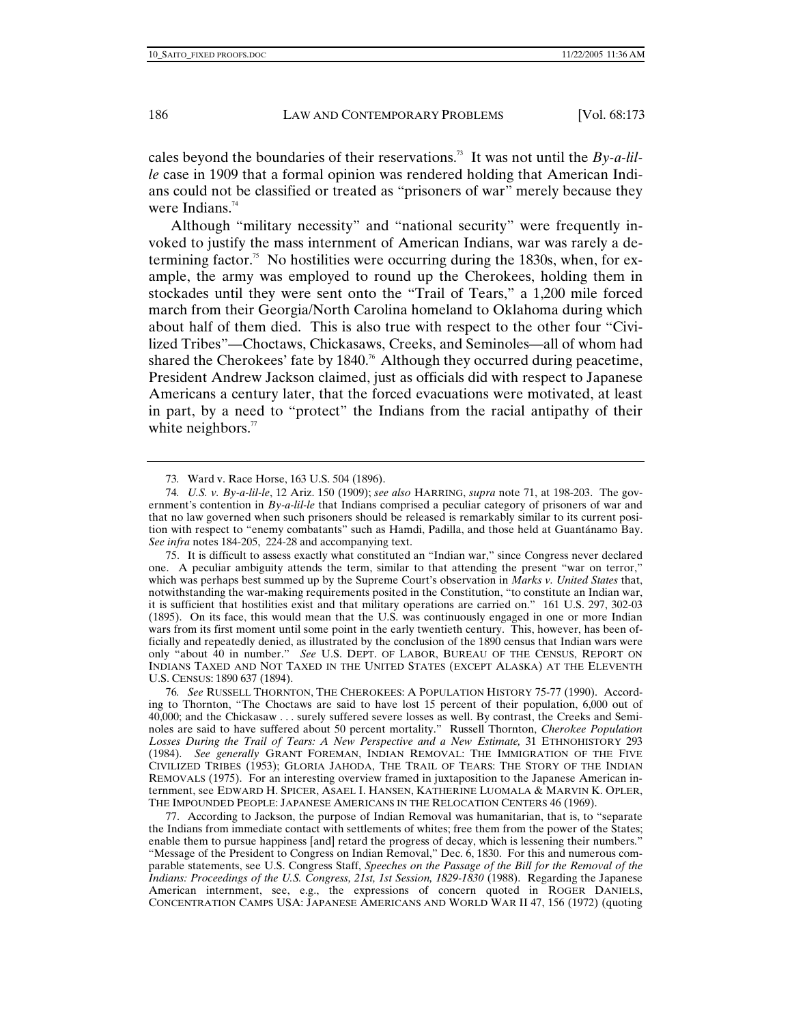cales beyond the boundaries of their reservations.73 It was not until the *By-a-lille* case in 1909 that a formal opinion was rendered holding that American Indians could not be classified or treated as "prisoners of war" merely because they were Indians. $74$ 

Although "military necessity" and "national security" were frequently invoked to justify the mass internment of American Indians, war was rarely a determining factor.<sup>75</sup> No hostilities were occurring during the 1830s, when, for example, the army was employed to round up the Cherokees, holding them in stockades until they were sent onto the "Trail of Tears," a 1,200 mile forced march from their Georgia/North Carolina homeland to Oklahoma during which about half of them died. This is also true with respect to the other four "Civilized Tribes"—Choctaws, Chickasaws, Creeks, and Seminoles—all of whom had shared the Cherokees' fate by  $1840$ .<sup>76</sup> Although they occurred during peacetime, President Andrew Jackson claimed, just as officials did with respect to Japanese Americans a century later, that the forced evacuations were motivated, at least in part, by a need to "protect" the Indians from the racial antipathy of their white neighbors. $\pi$ 

 75. It is difficult to assess exactly what constituted an "Indian war," since Congress never declared one. A peculiar ambiguity attends the term, similar to that attending the present "war on terror," which was perhaps best summed up by the Supreme Court's observation in *Marks v. United States* that, notwithstanding the war-making requirements posited in the Constitution, "to constitute an Indian war, it is sufficient that hostilities exist and that military operations are carried on." 161 U.S. 297, 302-03 (1895). On its face, this would mean that the U.S. was continuously engaged in one or more Indian wars from its first moment until some point in the early twentieth century. This, however, has been officially and repeatedly denied, as illustrated by the conclusion of the 1890 census that Indian wars were only "about 40 in number." *See* U.S. DEPT. OF LABOR, BUREAU OF THE CENSUS, REPORT ON INDIANS TAXED AND NOT TAXED IN THE UNITED STATES (EXCEPT ALASKA) AT THE ELEVENTH U.S. CENSUS: 1890 637 (1894).

76*. See* RUSSELL THORNTON, THE CHEROKEES: A POPULATION HISTORY 75-77 (1990). According to Thornton, "The Choctaws are said to have lost 15 percent of their population, 6,000 out of 40,000; and the Chickasaw . . . surely suffered severe losses as well. By contrast, the Creeks and Seminoles are said to have suffered about 50 percent mortality." Russell Thornton, *Cherokee Population Losses During the Trail of Tears: A New Perspective and a New Estimate,* 31 ETHNOHISTORY 293 (1984). *See generally* GRANT FOREMAN, INDIAN REMOVAL: THE IMMIGRATION OF THE FIVE CIVILIZED TRIBES (1953); GLORIA JAHODA, THE TRAIL OF TEARS: THE STORY OF THE INDIAN REMOVALS (1975). For an interesting overview framed in juxtaposition to the Japanese American internment, see EDWARD H. SPICER, ASAEL I. HANSEN, KATHERINE LUOMALA & MARVIN K. OPLER, THE IMPOUNDED PEOPLE: JAPANESE AMERICANS IN THE RELOCATION CENTERS 46 (1969).

 77. According to Jackson, the purpose of Indian Removal was humanitarian, that is, to "separate the Indians from immediate contact with settlements of whites; free them from the power of the States; enable them to pursue happiness [and] retard the progress of decay, which is lessening their numbers." "Message of the President to Congress on Indian Removal," Dec. 6, 1830. For this and numerous comparable statements, see U.S. Congress Staff, *Speeches on the Passage of the Bill for the Removal of the Indians: Proceedings of the U.S. Congress, 21st, 1st Session, 1829-1830* (1988). Regarding the Japanese American internment, see, e.g., the expressions of concern quoted in ROGER DANIELS, CONCENTRATION CAMPS USA: JAPANESE AMERICANS AND WORLD WAR II 47, 156 (1972) (quoting

<sup>73</sup>*.* Ward v. Race Horse, 163 U.S. 504 (1896).

<sup>74</sup>*. U.S. v. By-a-lil-le*, 12 Ariz. 150 (1909); *see also* HARRING, *supra* note 71, at 198-203. The government's contention in *By-a-lil-le* that Indians comprised a peculiar category of prisoners of war and that no law governed when such prisoners should be released is remarkably similar to its current position with respect to "enemy combatants" such as Hamdi, Padilla, and those held at Guantánamo Bay. *See infra* notes 184-205, 224-28 and accompanying text.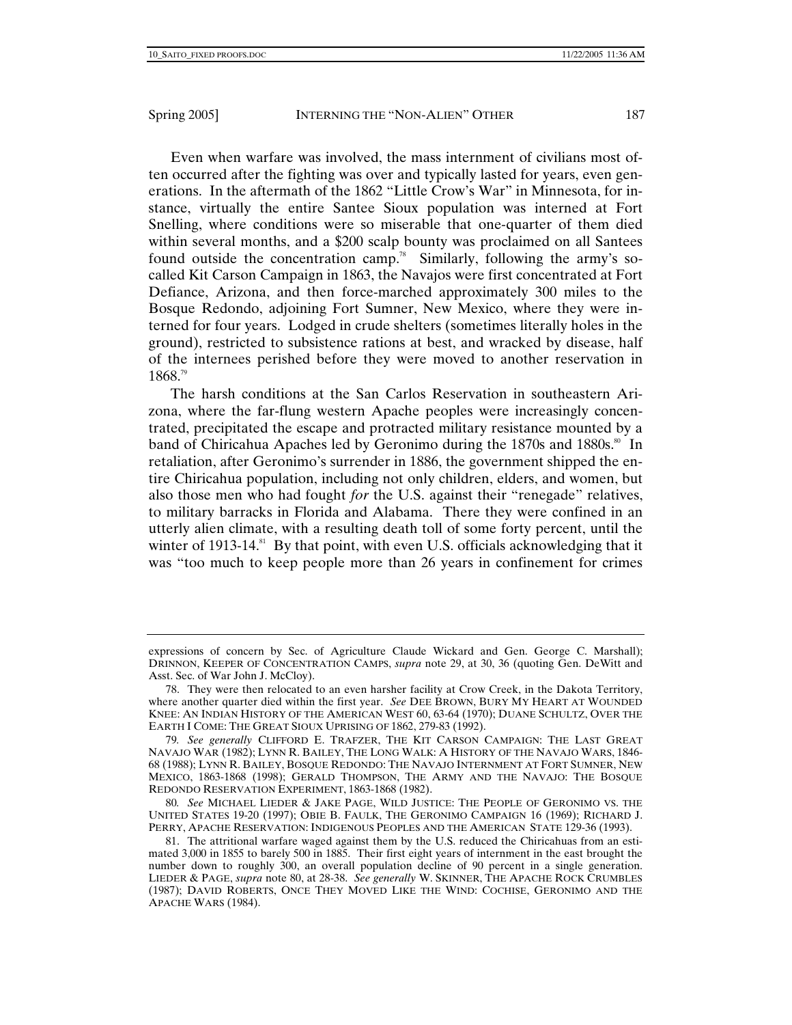Even when warfare was involved, the mass internment of civilians most often occurred after the fighting was over and typically lasted for years, even generations. In the aftermath of the 1862 "Little Crow's War" in Minnesota, for instance, virtually the entire Santee Sioux population was interned at Fort Snelling, where conditions were so miserable that one-quarter of them died within several months, and a \$200 scalp bounty was proclaimed on all Santees found outside the concentration camp.<sup>78</sup> Similarly, following the army's socalled Kit Carson Campaign in 1863, the Navajos were first concentrated at Fort Defiance, Arizona, and then force-marched approximately 300 miles to the Bosque Redondo, adjoining Fort Sumner, New Mexico, where they were interned for four years. Lodged in crude shelters (sometimes literally holes in the ground), restricted to subsistence rations at best, and wracked by disease, half of the internees perished before they were moved to another reservation in 1868.79

The harsh conditions at the San Carlos Reservation in southeastern Arizona, where the far-flung western Apache peoples were increasingly concentrated, precipitated the escape and protracted military resistance mounted by a band of Chiricahua Apaches led by Geronimo during the 1870s and 1880s.<sup>80</sup> In retaliation, after Geronimo's surrender in 1886, the government shipped the entire Chiricahua population, including not only children, elders, and women, but also those men who had fought *for* the U.S. against their "renegade" relatives, to military barracks in Florida and Alabama. There they were confined in an utterly alien climate, with a resulting death toll of some forty percent, until the winter of 1913-14.<sup>81</sup> By that point, with even U.S. officials acknowledging that it was "too much to keep people more than 26 years in confinement for crimes

expressions of concern by Sec. of Agriculture Claude Wickard and Gen. George C. Marshall); DRINNON, KEEPER OF CONCENTRATION CAMPS, *supra* note 29, at 30, 36 (quoting Gen. DeWitt and Asst. Sec. of War John J. McCloy).

 <sup>78.</sup> They were then relocated to an even harsher facility at Crow Creek, in the Dakota Territory, where another quarter died within the first year. *See* DEE BROWN, BURY MY HEART AT WOUNDED KNEE: AN INDIAN HISTORY OF THE AMERICAN WEST 60, 63-64 (1970); DUANE SCHULTZ, OVER THE EARTH I COME: THE GREAT SIOUX UPRISING OF 1862, 279-83 (1992).

<sup>79</sup>*. See generally* CLIFFORD E. TRAFZER, THE KIT CARSON CAMPAIGN: THE LAST GREAT NAVAJO WAR (1982); LYNN R. BAILEY, THE LONG WALK: A HISTORY OF THE NAVAJO WARS, 1846- 68 (1988); LYNN R. BAILEY, BOSQUE REDONDO: THE NAVAJO INTERNMENT AT FORT SUMNER, NEW MEXICO, 1863-1868 (1998); GERALD THOMPSON, THE ARMY AND THE NAVAJO: THE BOSQUE REDONDO RESERVATION EXPERIMENT, 1863-1868 (1982).

<sup>80</sup>*. See* MICHAEL LIEDER & JAKE PAGE, WILD JUSTICE: THE PEOPLE OF GERONIMO VS. THE UNITED STATES 19-20 (1997); OBIE B. FAULK, THE GERONIMO CAMPAIGN 16 (1969); RICHARD J. PERRY, APACHE RESERVATION: INDIGENOUS PEOPLES AND THE AMERICAN STATE 129-36 (1993).

 <sup>81.</sup> The attritional warfare waged against them by the U.S. reduced the Chiricahuas from an estimated 3,000 in 1855 to barely 500 in 1885. Their first eight years of internment in the east brought the number down to roughly 300, an overall population decline of 90 percent in a single generation. LIEDER & PAGE, *supra* note 80, at 28-38. *See generally* W. SKINNER, THE APACHE ROCK CRUMBLES (1987); DAVID ROBERTS, ONCE THEY MOVED LIKE THE WIND: COCHISE, GERONIMO AND THE APACHE WARS (1984).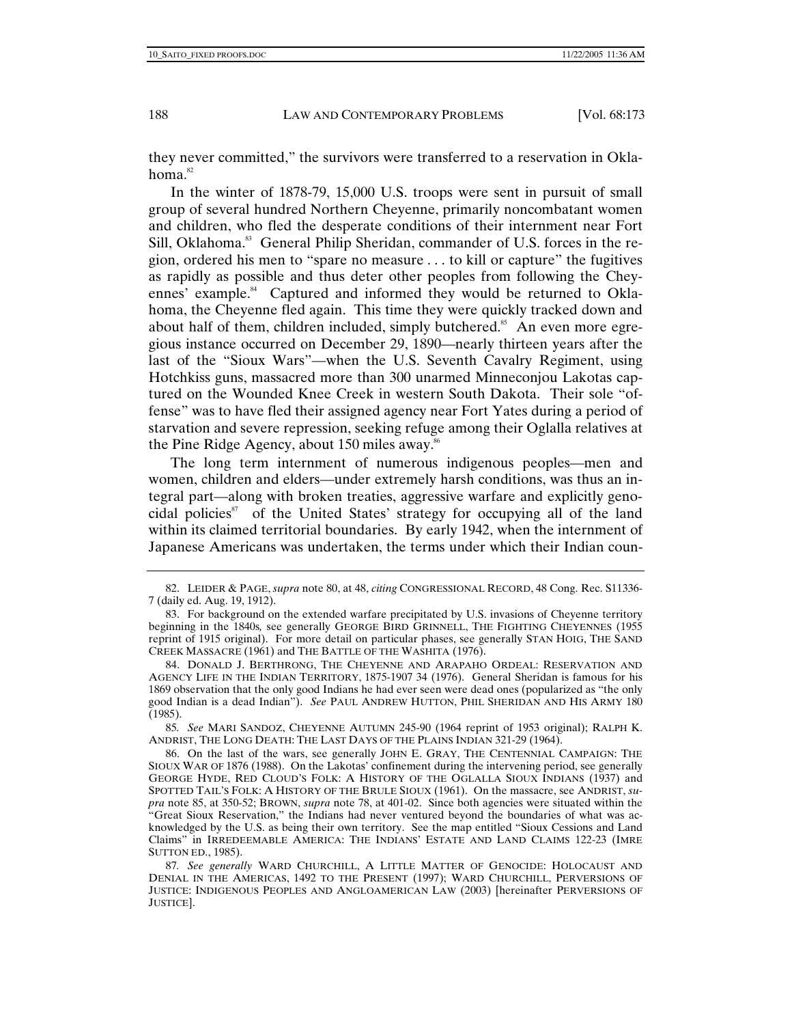they never committed," the survivors were transferred to a reservation in Oklahoma.<sup>82</sup>

In the winter of 1878-79, 15,000 U.S. troops were sent in pursuit of small group of several hundred Northern Cheyenne, primarily noncombatant women and children, who fled the desperate conditions of their internment near Fort Sill, Oklahoma.<sup>83</sup> General Philip Sheridan, commander of U.S. forces in the region, ordered his men to "spare no measure . . . to kill or capture" the fugitives as rapidly as possible and thus deter other peoples from following the Cheyennes' example.<sup>84</sup> Captured and informed they would be returned to Oklahoma, the Cheyenne fled again. This time they were quickly tracked down and about half of them, children included, simply butchered.<sup>85</sup> An even more egregious instance occurred on December 29, 1890—nearly thirteen years after the last of the "Sioux Wars"—when the U.S. Seventh Cavalry Regiment, using Hotchkiss guns, massacred more than 300 unarmed Minneconjou Lakotas captured on the Wounded Knee Creek in western South Dakota. Their sole "offense" was to have fled their assigned agency near Fort Yates during a period of starvation and severe repression,seeking refuge among their Oglalla relatives at the Pine Ridge Agency, about 150 miles away.<sup>86</sup>

The long term internment of numerous indigenous peoples—men and women, children and elders—under extremely harsh conditions, was thus an integral part—along with broken treaties, aggressive warfare and explicitly genocidal policies<sup>87</sup> of the United States' strategy for occupying all of the land within its claimed territorial boundaries. By early 1942, when the internment of Japanese Americans was undertaken, the terms under which their Indian coun-

85*. See* MARI SANDOZ, CHEYENNE AUTUMN 245-90 (1964 reprint of 1953 original); RALPH K. ANDRIST, THE LONG DEATH: THE LAST DAYS OF THE PLAINS INDIAN 321-29 (1964).

 <sup>82.</sup> LEIDER & PAGE, *supra* note 80, at 48, *citing* CONGRESSIONAL RECORD, 48 Cong. Rec. S11336- 7 (daily ed. Aug. 19, 1912).

 <sup>83.</sup> For background on the extended warfare precipitated by U.S. invasions of Cheyenne territory beginning in the 1840s*,* see generally GEORGE BIRD GRINNELL, THE FIGHTING CHEYENNES (1955 reprint of 1915 original). For more detail on particular phases, see generally STAN HOIG, THE SAND CREEK MASSACRE (1961) and THE BATTLE OF THE WASHITA (1976).

 <sup>84.</sup> DONALD J. BERTHRONG, THE CHEYENNE AND ARAPAHO ORDEAL: RESERVATION AND AGENCY LIFE IN THE INDIAN TERRITORY, 1875-1907 34 (1976). General Sheridan is famous for his 1869 observation that the only good Indians he had ever seen were dead ones (popularized as "the only good Indian is a dead Indian"). *See* PAUL ANDREW HUTTON, PHIL SHERIDAN AND HIS ARMY 180  $(1985)$ .

 <sup>86.</sup> On the last of the wars, see generally JOHN E. GRAY, THE CENTENNIAL CAMPAIGN: THE SIOUX WAR OF 1876 (1988). On the Lakotas' confinement during the intervening period, see generally GEORGE HYDE, RED CLOUD'S FOLK: A HISTORY OF THE OGLALLA SIOUX INDIANS (1937) and SPOTTED TAIL'S FOLK: A HISTORY OF THE BRULE SIOUX (1961). On the massacre, see ANDRIST, *supra* note 85, at 350-52; BROWN, *supra* note 78, at 401-02. Since both agencies were situated within the "Great Sioux Reservation," the Indians had never ventured beyond the boundaries of what was acknowledged by the U.S. as being their own territory. See the map entitled "Sioux Cessions and Land Claims" in IRREDEEMABLE AMERICA: THE INDIANS' ESTATE AND LAND CLAIMS 122-23 (IMRE SUTTON ED., 1985).

<sup>87</sup>*. See generally* WARD CHURCHILL, A LITTLE MATTER OF GENOCIDE: HOLOCAUST AND DENIAL IN THE AMERICAS, 1492 TO THE PRESENT (1997); WARD CHURCHILL, PERVERSIONS OF JUSTICE: INDIGENOUS PEOPLES AND ANGLOAMERICAN LAW (2003) [hereinafter PERVERSIONS OF JUSTICE].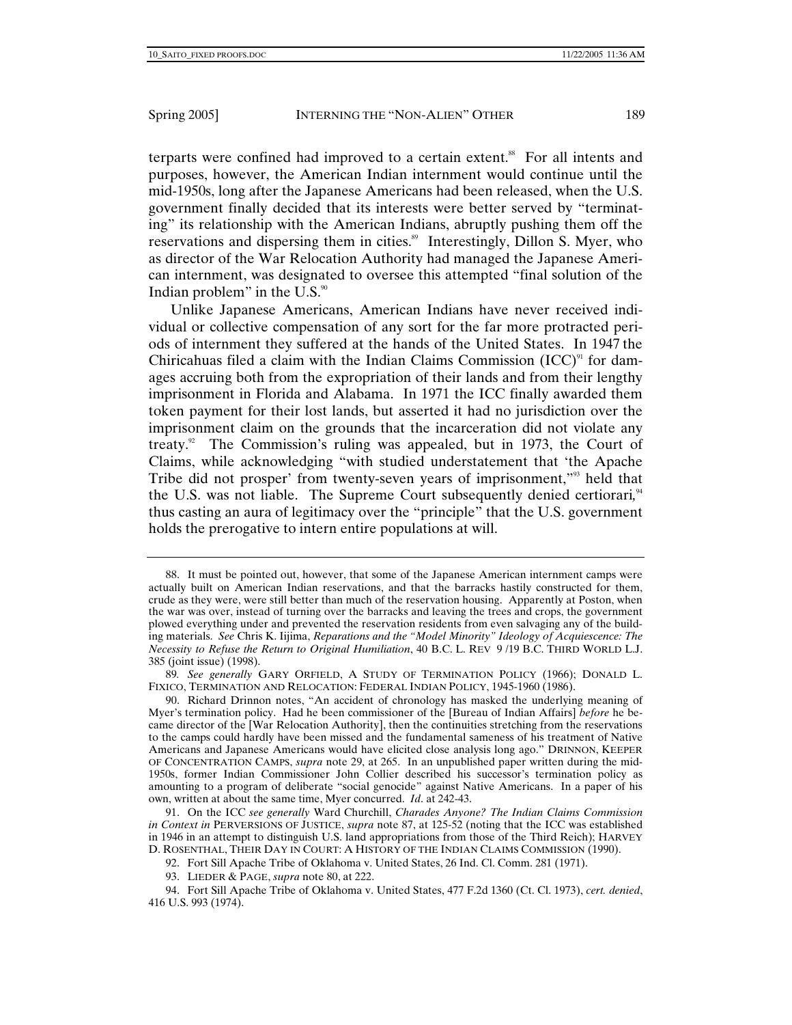terparts were confined had improved to a certain extent.<sup>88</sup> For all intents and purposes, however, the American Indian internment would continue until the mid-1950s, long after the Japanese Americans had been released, when the U.S. government finally decided that its interests were better served by "terminating" its relationship with the American Indians, abruptly pushing them off the reservations and dispersing them in cities.<sup>89</sup> Interestingly, Dillon S. Myer, who as director of the War Relocation Authority had managed the Japanese American internment, was designated to oversee this attempted "final solution of the Indian problem" in the U.S. $\degree$ 

Unlike Japanese Americans, American Indians have never received individual or collective compensation of any sort for the far more protracted periods of internment they suffered at the hands of the United States. In 1947 the Chiricahuas filed a claim with the Indian Claims Commission  $(ICC)^{91}$  for damages accruing both from the expropriation of their lands and from their lengthy imprisonment in Florida and Alabama. In 1971 the ICC finally awarded them token payment for their lost lands, but asserted it had no jurisdiction over the imprisonment claim on the grounds that the incarceration did not violate any treaty.<sup>92</sup> The Commission's ruling was appealed, but in 1973, the Court of Claims, while acknowledging "with studied understatement that 'the Apache Tribe did not prosper' from twenty-seven years of imprisonment,"93 held that the U.S. was not liable. The Supreme Court subsequently denied certiorari,<sup>44</sup> thus casting an aura of legitimacy over the "principle" that the U.S. government holds the prerogative to intern entire populations at will.

 <sup>88.</sup> It must be pointed out, however, that some of the Japanese American internment camps were actually built on American Indian reservations, and that the barracks hastily constructed for them, crude as they were, were still better than much of the reservation housing. Apparently at Poston, when the war was over, instead of turning over the barracks and leaving the trees and crops, the government plowed everything under and prevented the reservation residents from even salvaging any of the building materials. *See* Chris K. Iijima, *Reparations and the "Model Minority" Ideology of Acquiescence: The Necessity to Refuse the Return to Original Humiliation*, 40 B.C. L. REV 9 /19 B.C. THIRD WORLD L.J. 385 (joint issue) (1998).

<sup>89</sup>*. See generally* GARY ORFIELD, A STUDY OF TERMINATION POLICY (1966); DONALD L. FIXICO, TERMINATION AND RELOCATION: FEDERAL INDIAN POLICY, 1945-1960 (1986).

 <sup>90.</sup> Richard Drinnon notes, "An accident of chronology has masked the underlying meaning of Myer's termination policy. Had he been commissioner of the [Bureau of Indian Affairs] *before* he became director of the [War Relocation Authority], then the continuities stretching from the reservations to the camps could hardly have been missed and the fundamental sameness of his treatment of Native Americans and Japanese Americans would have elicited close analysis long ago." DRINNON, KEEPER OF CONCENTRATION CAMPS, *supra* note 29, at 265. In an unpublished paper written during the mid-1950s, former Indian Commissioner John Collier described his successor's termination policy as amounting to a program of deliberate "social genocide" against Native Americans. In a paper of his own, written at about the same time, Myer concurred. *Id*. at 242-43.

 <sup>91.</sup> On the ICC *see generally* Ward Churchill, *Charades Anyone? The Indian Claims Commission in Context in* PERVERSIONS OF JUSTICE, *supra* note 87, at 125-52 (noting that the ICC was established in 1946 in an attempt to distinguish U.S. land appropriations from those of the Third Reich); HARVEY D. ROSENTHAL, THEIR DAY IN COURT: A HISTORY OF THE INDIAN CLAIMS COMMISSION (1990).

 <sup>92.</sup> Fort Sill Apache Tribe of Oklahoma v. United States, 26 Ind. Cl. Comm. 281 (1971).

 <sup>93.</sup> LIEDER & PAGE, *supra* note 80, at 222.

 <sup>94.</sup> Fort Sill Apache Tribe of Oklahoma v. United States, 477 F.2d 1360 (Ct. Cl. 1973), *cert. denied*, 416 U.S. 993 (1974).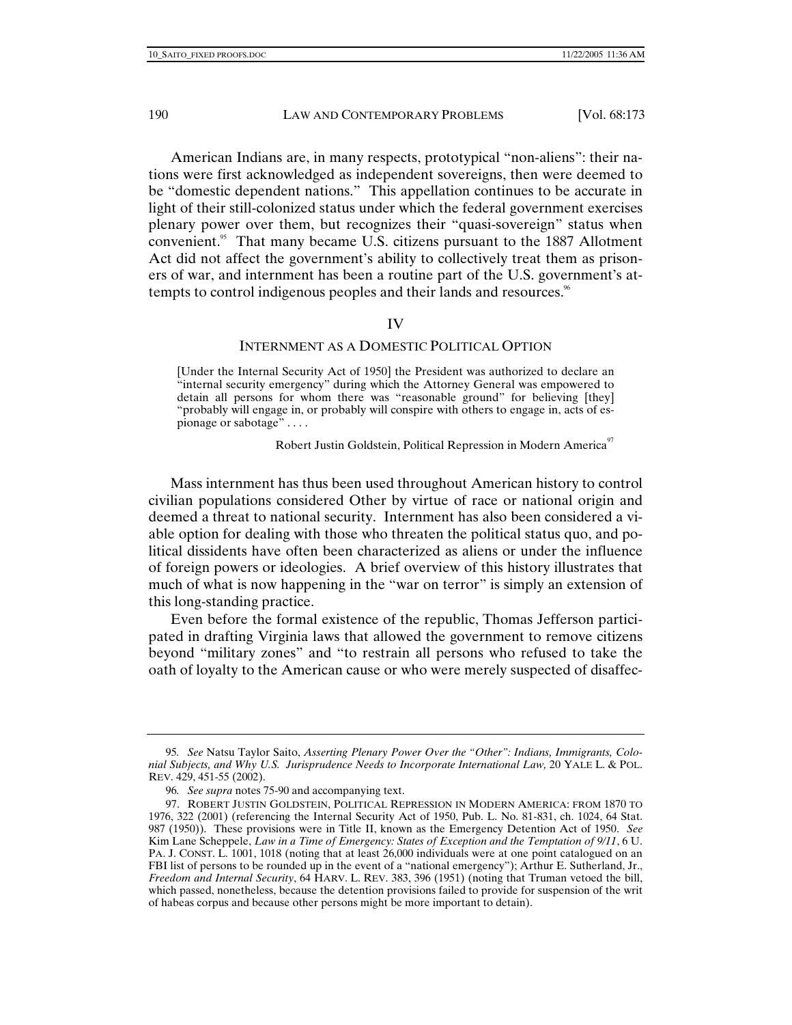American Indians are, in many respects, prototypical "non-aliens": their nations were first acknowledged as independent sovereigns, then were deemed to be "domestic dependent nations." This appellation continues to be accurate in light of their still-colonized status under which the federal government exercises plenary power over them, but recognizes their "quasi-sovereign" status when convenient.<sup>95</sup> That many became U.S. citizens pursuant to the 1887 Allotment Act did not affect the government's ability to collectively treat them as prisoners of war, and internment has been a routine part of the U.S. government's attempts to control indigenous peoples and their lands and resources.<sup>86</sup>

#### IV

#### INTERNMENT AS A DOMESTIC POLITICAL OPTION

[Under the Internal Security Act of 1950] the President was authorized to declare an "internal security emergency" during which the Attorney General was empowered to detain all persons for whom there was "reasonable ground" for believing [they] "probably will engage in, or probably will conspire with others to engage in, acts of espionage or sabotage" . . . .

Robert Justin Goldstein, Political Repression in Modern America<sup>97</sup>

Mass internment has thus been used throughout American history to control civilian populations considered Other by virtue of race or national origin and deemed a threat to national security. Internment has also been considered a viable option for dealing with those who threaten the political status quo, and political dissidents have often been characterized as aliens or under the influence of foreign powers or ideologies. A brief overview of this history illustrates that much of what is now happening in the "war on terror" is simply an extension of this long-standing practice.

Even before the formal existence of the republic, Thomas Jefferson participated in drafting Virginia laws that allowed the government to remove citizens beyond "military zones" and "to restrain all persons who refused to take the oath of loyalty to the American cause or who were merely suspected of disaffec-

<sup>95</sup>*. See* Natsu Taylor Saito, *Asserting Plenary Power Over the "Other": Indians, Immigrants, Colonial Subjects, and Why U.S. Jurisprudence Needs to Incorporate International Law,* 20 YALE L. & POL. REV. 429, 451-55 (2002).

<sup>96</sup>*. See supra* notes 75-90 and accompanying text.

 <sup>97.</sup> ROBERT JUSTIN GOLDSTEIN, POLITICAL REPRESSION IN MODERN AMERICA: FROM 1870 TO 1976, 322 (2001) (referencing the Internal Security Act of 1950, Pub. L. No. 81-831, ch. 1024, 64 Stat. 987 (1950)). These provisions were in Title II, known as the Emergency Detention Act of 1950. *See*  Kim Lane Scheppele, *Law in a Time of Emergency: States of Exception and the Temptation of 9/11*, 6 U. PA. J. CONST. L. 1001, 1018 (noting that at least 26,000 individuals were at one point catalogued on an FBI list of persons to be rounded up in the event of a "national emergency"); Arthur E. Sutherland, Jr., *Freedom and Internal Security*, 64 HARV. L. REV. 383, 396 (1951) (noting that Truman vetoed the bill, which passed, nonetheless, because the detention provisions failed to provide for suspension of the writ of habeas corpus and because other persons might be more important to detain).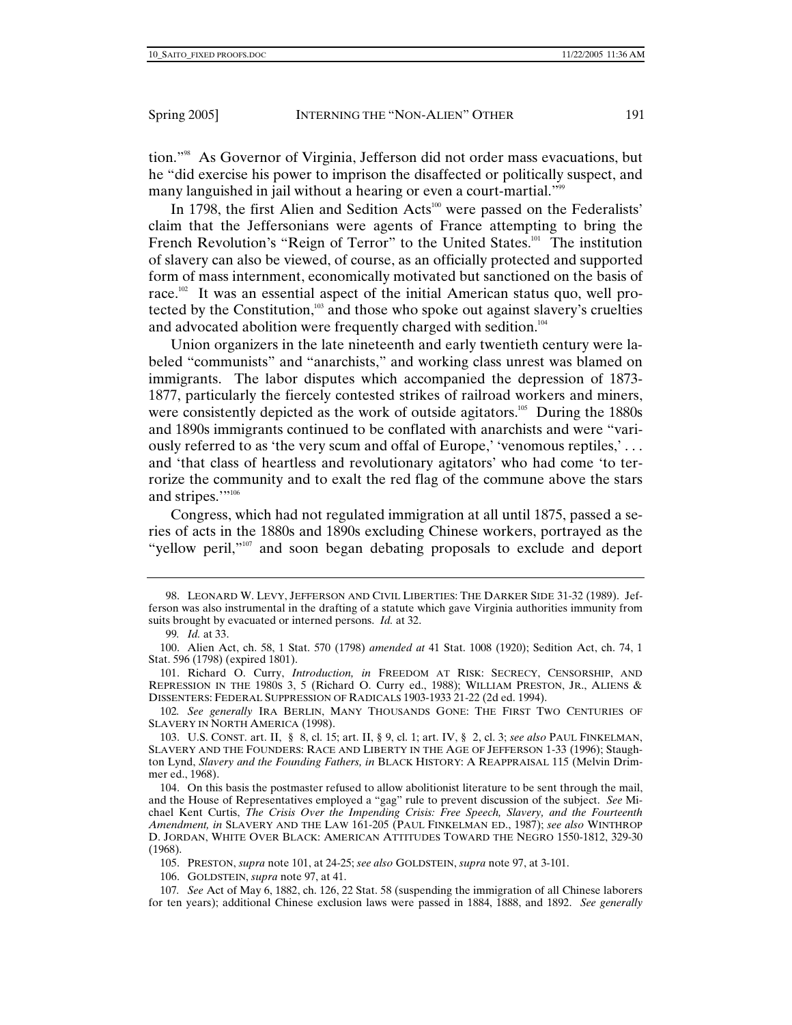tion."98 As Governor of Virginia, Jefferson did not order mass evacuations, but he "did exercise his power to imprison the disaffected or politically suspect, and many languished in jail without a hearing or even a court-martial."<sup>99</sup>

In 1798, the first Alien and Sedition Acts<sup>100</sup> were passed on the Federalists' claim that the Jeffersonians were agents of France attempting to bring the French Revolution's "Reign of Terror" to the United States.<sup>101</sup> The institution of slavery can also be viewed, of course, as an officially protected and supported form of mass internment, economically motivated but sanctioned on the basis of race.<sup>102</sup> It was an essential aspect of the initial American status quo, well protected by the Constitution,<sup>103</sup> and those who spoke out against slavery's cruelties and advocated abolition were frequently charged with sedition.<sup>104</sup>

Union organizers in the late nineteenth and early twentieth century were labeled "communists" and "anarchists," and working class unrest was blamed on immigrants. The labor disputes which accompanied the depression of 1873- 1877, particularly the fiercely contested strikes of railroad workers and miners, were consistently depicted as the work of outside agitators.<sup>105</sup> During the 1880s and 1890s immigrants continued to be conflated with anarchists and were "variously referred to as 'the very scum and offal of Europe,' 'venomous reptiles,' . . . and 'that class of heartless and revolutionary agitators' who had come 'to terrorize the community and to exalt the red flag of the commune above the stars and stripes.""<sup>106</sup>

Congress, which had not regulated immigration at all until 1875, passed a series of acts in the 1880s and 1890s excluding Chinese workers, portrayed as the "yellow peril,"<sup>107</sup> and soon began debating proposals to exclude and deport

 101. Richard O. Curry, *Introduction, in* FREEDOM AT RISK: SECRECY, CENSORSHIP, AND REPRESSION IN THE 1980S 3, 5 (Richard O. Curry ed., 1988); WILLIAM PRESTON, JR., ALIENS & DISSENTERS: FEDERAL SUPPRESSION OF RADICALS 1903-1933 21-22 (2d ed. 1994).

102*. See generally* IRA BERLIN, MANY THOUSANDS GONE: THE FIRST TWO CENTURIES OF SLAVERY IN NORTH AMERICA (1998).

 103. U.S. CONST. art. II, § 8, cl. 15; art. II, § 9, cl. 1; art. IV, § 2, cl. 3; *see also* PAUL FINKELMAN, SLAVERY AND THE FOUNDERS: RACE AND LIBERTY IN THE AGE OF JEFFERSON 1-33 (1996); Staughton Lynd, *Slavery and the Founding Fathers, in* BLACK HISTORY: A REAPPRAISAL 115 (Melvin Drimmer ed., 1968).

 104. On this basis the postmaster refused to allow abolitionist literature to be sent through the mail, and the House of Representatives employed a "gag" rule to prevent discussion of the subject. *See* Michael Kent Curtis, *The Crisis Over the Impending Crisis: Free Speech, Slavery, and the Fourteenth Amendment, in* SLAVERY AND THE LAW 161-205 (PAUL FINKELMAN ED., 1987); *see also* WINTHROP D. JORDAN, WHITE OVER BLACK: AMERICAN ATTITUDES TOWARD THE NEGRO 1550-1812, 329-30 (1968).

105. PRESTON, *supra* note 101, at 24-25; *see also* GOLDSTEIN, *supra* note 97, at 3-101.

106. GOLDSTEIN, *supra* note 97, at 41.

107*. See* Act of May 6, 1882, ch. 126, 22 Stat. 58 (suspending the immigration of all Chinese laborers for ten years); additional Chinese exclusion laws were passed in 1884, 1888, and 1892. *See generally* 

 <sup>98.</sup> LEONARD W. LEVY, JEFFERSON AND CIVIL LIBERTIES: THE DARKER SIDE 31-32 (1989). Jefferson was also instrumental in the drafting of a statute which gave Virginia authorities immunity from suits brought by evacuated or interned persons. *Id.* at 32.

<sup>99</sup>*. Id.* at 33.

 <sup>100.</sup> Alien Act, ch. 58, 1 Stat. 570 (1798) *amended at* 41 Stat. 1008 (1920); Sedition Act, ch. 74, 1 Stat. 596 (1798) (expired 1801).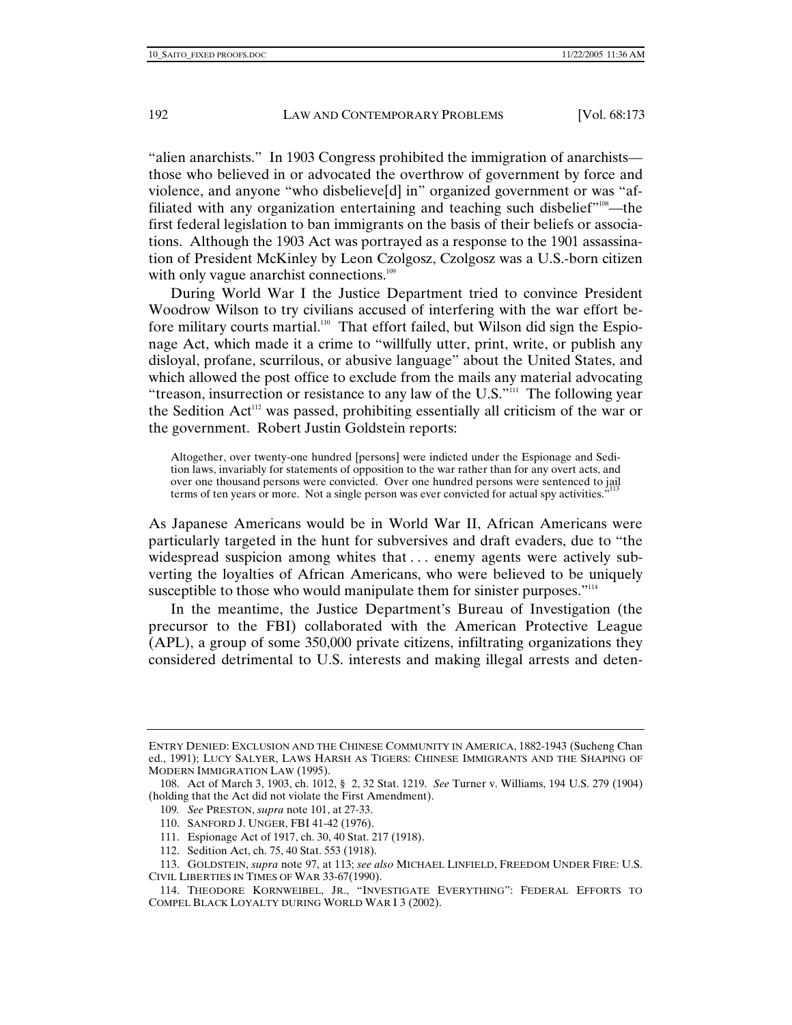"alien anarchists." In 1903 Congress prohibited the immigration of anarchists those who believed in or advocated the overthrow of government by force and violence, and anyone "who disbelieve[d] in" organized government or was "affiliated with any organization entertaining and teaching such disbelief"<sup>108</sup>—the first federal legislation to ban immigrants on the basis of their beliefs or associations. Although the 1903 Act was portrayed as a response to the 1901 assassination of President McKinley by Leon Czolgosz, Czolgosz was a U.S.-born citizen with only vague anarchist connections.<sup>109</sup>

During World War I the Justice Department tried to convince President Woodrow Wilson to try civilians accused of interfering with the war effort before military courts martial.<sup>110</sup> That effort failed, but Wilson did sign the Espionage Act, which made it a crime to "willfully utter, print, write, or publish any disloyal, profane, scurrilous, or abusive language" about the United States, and which allowed the post office to exclude from the mails any material advocating "treason, insurrection or resistance to any law of the U.S."<sup>111</sup> The following year the Sedition Act<sup>112</sup> was passed, prohibiting essentially all criticism of the war or the government. Robert Justin Goldstein reports:

Altogether, over twenty-one hundred [persons] were indicted under the Espionage and Sedition laws, invariably for statements of opposition to the war rather than for any overt acts, and over one thousand persons were convicted. Over one hundred persons were sentenced to jail terms of ten years or more. Not a single person was ever convicted for actual spy activities.'

As Japanese Americans would be in World War II, African Americans were particularly targeted in the hunt for subversives and draft evaders, due to "the widespread suspicion among whites that . . . enemy agents were actively subverting the loyalties of African Americans, who were believed to be uniquely susceptible to those who would manipulate them for sinister purposes."<sup>114</sup>

In the meantime, the Justice Department's Bureau of Investigation (the precursor to the FBI) collaborated with the American Protective League (APL), a group of some 350,000 private citizens, infiltrating organizations they considered detrimental to U.S. interests and making illegal arrests and deten-

ENTRY DENIED: EXCLUSION AND THE CHINESE COMMUNITY IN AMERICA, 1882-1943 (Sucheng Chan ed., 1991); LUCY SALYER, LAWS HARSH AS TIGERS: CHINESE IMMIGRANTS AND THE SHAPING OF MODERN IMMIGRATION LAW (1995).

 <sup>108.</sup> Act of March 3, 1903, ch. 1012, § 2, 32 Stat. 1219. *See* Turner v. Williams, 194 U.S. 279 (1904) (holding that the Act did not violate the First Amendment).

<sup>109</sup>*. See* PRESTON, *supra* note 101, at 27-33.

 <sup>110.</sup> SANFORD J. UNGER, FBI 41-42 (1976).

 <sup>111.</sup> Espionage Act of 1917, ch. 30, 40 Stat. 217 (1918).

 <sup>112.</sup> Sedition Act, ch. 75, 40 Stat. 553 (1918).

 <sup>113.</sup> GOLDSTEIN, *supra* note 97, at 113; *see also* MICHAEL LINFIELD, FREEDOM UNDER FIRE: U.S. CIVIL LIBERTIES IN TIMES OF WAR 33-67(1990).

 <sup>114.</sup> THEODORE KORNWEIBEL, JR., "INVESTIGATE EVERYTHING": FEDERAL EFFORTS TO COMPEL BLACK LOYALTY DURING WORLD WAR I 3 (2002).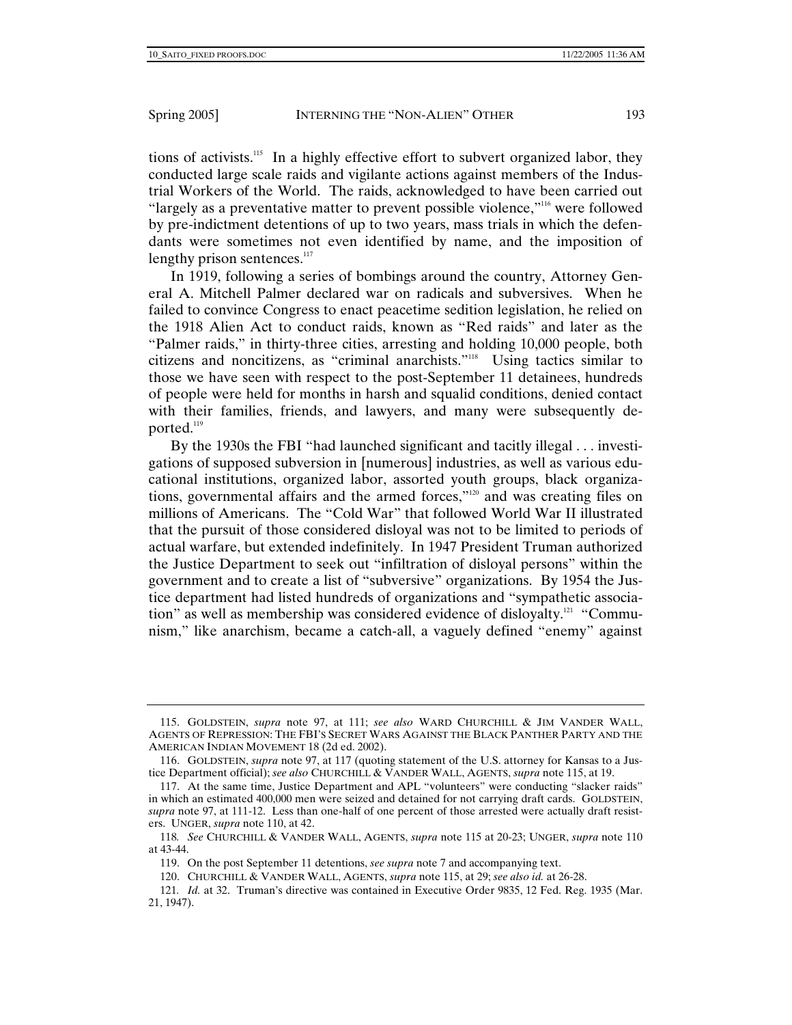tions of activists.115 In a highly effective effort to subvert organized labor, they conducted large scale raids and vigilante actions against members of the Industrial Workers of the World. The raids, acknowledged to have been carried out "largely as a preventative matter to prevent possible violence,"116 were followed by pre-indictment detentions of up to two years, mass trials in which the defendants were sometimes not even identified by name, and the imposition of lengthy prison sentences.<sup>117</sup>

In 1919, following a series of bombings around the country, Attorney General A. Mitchell Palmer declared war on radicals and subversives. When he failed to convince Congress to enact peacetime sedition legislation, he relied on the 1918 Alien Act to conduct raids, known as "Red raids" and later as the "Palmer raids," in thirty-three cities, arresting and holding 10,000 people, both citizens and noncitizens, as "criminal anarchists."118 Using tactics similar to those we have seen with respect to the post-September 11 detainees, hundreds of people were held for months in harsh and squalid conditions, denied contact with their families, friends, and lawyers, and many were subsequently deported. $119$ 

By the 1930s the FBI "had launched significant and tacitly illegal . . . investigations of supposed subversion in [numerous] industries, as well as various educational institutions, organized labor, assorted youth groups, black organizations, governmental affairs and the armed forces,"120 and was creating files on millions of Americans. The "Cold War" that followed World War II illustrated that the pursuit of those considered disloyal was not to be limited to periods of actual warfare, but extended indefinitely. In 1947 President Truman authorized the Justice Department to seek out "infiltration of disloyal persons" within the government and to create a list of "subversive" organizations. By 1954 the Justice department had listed hundreds of organizations and "sympathetic association" as well as membership was considered evidence of disloyalty.121 "Communism," like anarchism, became a catch-all, a vaguely defined "enemy" against

 <sup>115.</sup> GOLDSTEIN, *supra* note 97, at 111; *see also* WARD CHURCHILL & JIM VANDER WALL, AGENTS OF REPRESSION: THE FBI'S SECRET WARS AGAINST THE BLACK PANTHER PARTY AND THE AMERICAN INDIAN MOVEMENT 18 (2d ed. 2002).

 <sup>116.</sup> GOLDSTEIN, *supra* note 97, at 117 (quoting statement of the U.S. attorney for Kansas to a Justice Department official); *see also* CHURCHILL & VANDER WALL, AGENTS, *supra* note 115, at 19.

 <sup>117.</sup> At the same time, Justice Department and APL "volunteers" were conducting "slacker raids" in which an estimated 400,000 men were seized and detained for not carrying draft cards. GOLDSTEIN, *supra* note 97, at 111-12. Less than one-half of one percent of those arrested were actually draft resisters. UNGER, *supra* note 110, at 42.

<sup>118</sup>*. See* CHURCHILL & VANDER WALL, AGENTS, *supra* note 115 at 20-23; UNGER, *supra* note 110 at 43-44.

 <sup>119.</sup> On the post September 11 detentions, *see supra* note 7 and accompanying text.

 <sup>120.</sup> CHURCHILL & VANDER WALL, AGENTS, *supra* note 115, at 29; *see also id.* at 26-28.

<sup>121</sup>*. Id.* at 32. Truman's directive was contained in Executive Order 9835, 12 Fed. Reg. 1935 (Mar. 21, 1947).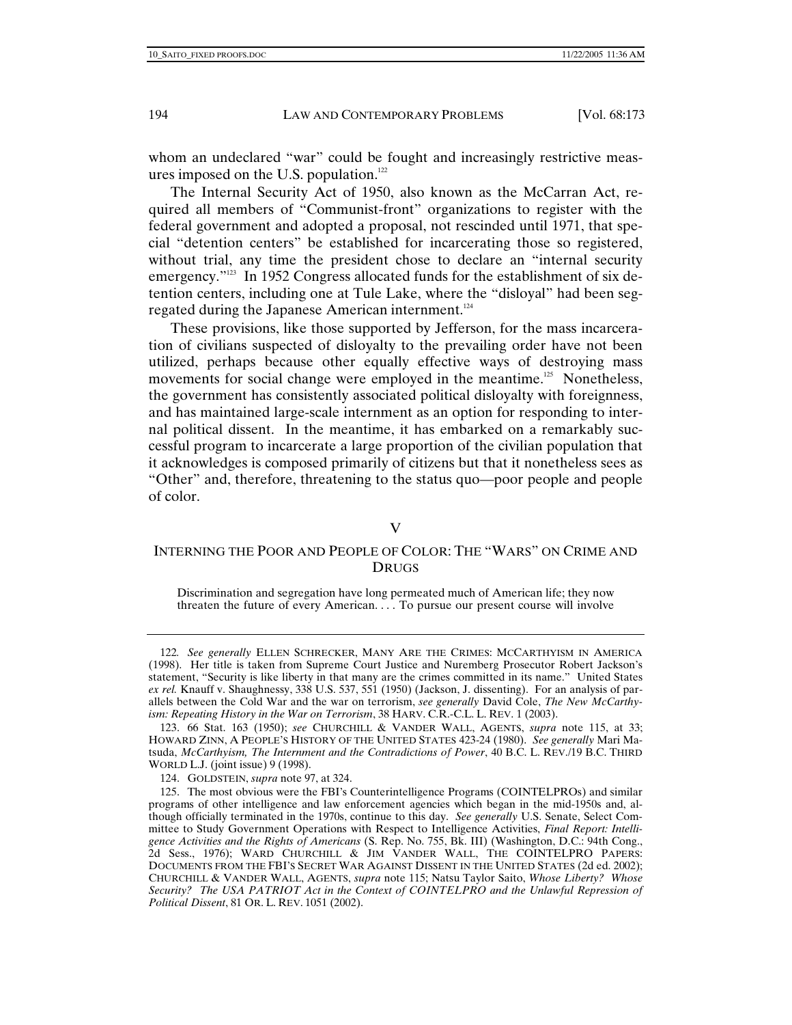whom an undeclared "war" could be fought and increasingly restrictive measures imposed on the U.S. population.<sup>122</sup>

The Internal Security Act of 1950, also known as the McCarran Act, required all members of "Communist-front" organizations to register with the federal government and adopted a proposal, not rescinded until 1971, that special "detention centers" be established for incarcerating those so registered, without trial, any time the president chose to declare an "internal security emergency."<sup>123</sup> In 1952 Congress allocated funds for the establishment of six detention centers, including one at Tule Lake, where the "disloyal" had been segregated during the Japanese American internment.124

These provisions, like those supported by Jefferson, for the mass incarceration of civilians suspected of disloyalty to the prevailing order have not been utilized, perhaps because other equally effective ways of destroying mass movements for social change were employed in the meantime.<sup>125</sup> Nonetheless, the government has consistently associated political disloyalty with foreignness, and has maintained large-scale internment as an option for responding to internal political dissent. In the meantime, it has embarked on a remarkably successful program to incarcerate a large proportion of the civilian population that it acknowledges is composed primarily of citizens but that it nonetheless sees as "Other" and, therefore, threatening to the status quo—poor people and people of color.

## V

# INTERNING THE POOR AND PEOPLE OF COLOR: THE "WARS" ON CRIME AND DRUGS

Discrimination and segregation have long permeated much of American life; they now threaten the future of every American. . . . To pursue our present course will involve

<sup>122</sup>*. See generally* ELLEN SCHRECKER, MANY ARE THE CRIMES: MCCARTHYISM IN AMERICA (1998). Her title is taken from Supreme Court Justice and Nuremberg Prosecutor Robert Jackson's statement, "Security is like liberty in that many are the crimes committed in its name." United States *ex rel.* Knauff v. Shaughnessy, 338 U.S. 537, 551 (1950) (Jackson, J. dissenting). For an analysis of parallels between the Cold War and the war on terrorism, *see generally* David Cole, *The New McCarthyism: Repeating History in the War on Terrorism*, 38 HARV. C.R.-C.L. L. REV. 1 (2003).

 <sup>123. 66</sup> Stat. 163 (1950); *see* CHURCHILL & VANDER WALL, AGENTS, *supra* note 115, at 33; HOWARD ZINN, A PEOPLE'S HISTORY OF THE UNITED STATES 423-24 (1980). *See generally* Mari Matsuda, *McCarthyism, The Internment and the Contradictions of Power*, 40 B.C. L. REV./19 B.C. THIRD WORLD L.J. (joint issue) 9 (1998).

 <sup>124.</sup> GOLDSTEIN, *supra* note 97, at 324.

 <sup>125.</sup> The most obvious were the FBI's Counterintelligence Programs (COINTELPROs) and similar programs of other intelligence and law enforcement agencies which began in the mid-1950s and, although officially terminated in the 1970s, continue to this day. *See generally* U.S. Senate, Select Committee to Study Government Operations with Respect to Intelligence Activities, *Final Report: Intelligence Activities and the Rights of Americans* (S. Rep. No. 755, Bk. III) (Washington, D.C.: 94th Cong., 2d Sess., 1976); WARD CHURCHILL & JIM VANDER WALL, THE COINTELPRO PAPERS: DOCUMENTS FROM THE FBI'S SECRET WAR AGAINST DISSENT IN THE UNITED STATES (2d ed. 2002); CHURCHILL & VANDER WALL, AGENTS, *supra* note 115; Natsu Taylor Saito, *Whose Liberty? Whose Security? The USA PATRIOT Act in the Context of COINTELPRO and the Unlawful Repression of Political Dissent*, 81 OR. L. REV. 1051 (2002).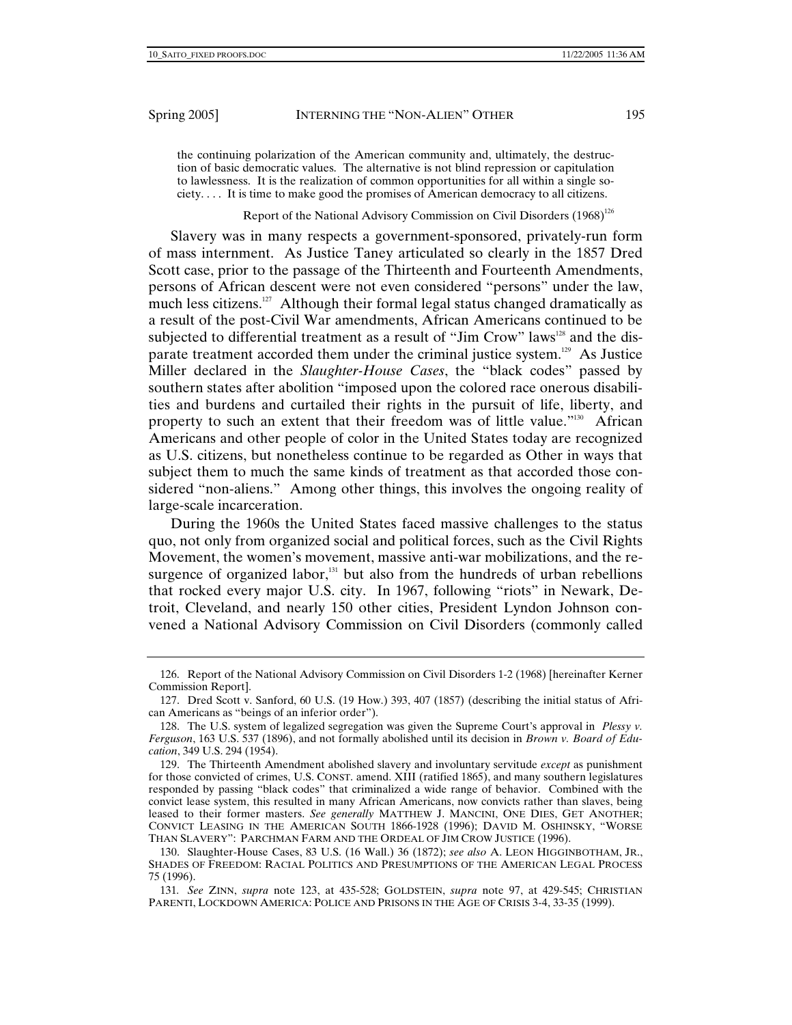the continuing polarization of the American community and, ultimately, the destruction of basic democratic values. The alternative is not blind repression or capitulation to lawlessness. It is the realization of common opportunities for all within a single society. . . . It is time to make good the promises of American democracy to all citizens.

# Report of the National Advisory Commission on Civil Disorders (1968)<sup>126</sup>

Slavery was in many respects a government-sponsored, privately-run form of mass internment. As Justice Taney articulated so clearly in the 1857 Dred Scott case, prior to the passage of the Thirteenth and Fourteenth Amendments, persons of African descent were not even considered "persons" under the law, much less citizens.<sup>127</sup> Although their formal legal status changed dramatically as a result of the post-Civil War amendments, African Americans continued to be subjected to differential treatment as a result of "Jim Crow" laws<sup>128</sup> and the disparate treatment accorded them under the criminal justice system.<sup>129</sup> As Justice Miller declared in the *Slaughter-House Cases*, the "black codes" passed by southern states after abolition "imposed upon the colored race onerous disabilities and burdens and curtailed their rights in the pursuit of life, liberty, and property to such an extent that their freedom was of little value."<sup>130</sup> African Americans and other people of color in the United States today are recognized as U.S. citizens, but nonetheless continue to be regarded as Other in ways that subject them to much the same kinds of treatment as that accorded those considered "non-aliens." Among other things, this involves the ongoing reality of large-scale incarceration.

During the 1960s the United States faced massive challenges to the status quo, not only from organized social and political forces, such as the Civil Rights Movement, the women's movement, massive anti-war mobilizations, and the resurgence of organized labor, $131$  but also from the hundreds of urban rebellions that rocked every major U.S. city. In 1967, following "riots" in Newark, Detroit, Cleveland, and nearly 150 other cities, President Lyndon Johnson convened a National Advisory Commission on Civil Disorders (commonly called

 <sup>126.</sup> Report of the National Advisory Commission on Civil Disorders 1-2 (1968) [hereinafter Kerner Commission Report].

 <sup>127.</sup> Dred Scott v. Sanford, 60 U.S. (19 How.) 393, 407 (1857) (describing the initial status of African Americans as "beings of an inferior order").

 <sup>128.</sup> The U.S. system of legalized segregation was given the Supreme Court's approval in *Plessy v. Ferguson*, 163 U.S. 537 (1896), and not formally abolished until its decision in *Brown v. Board of Education*, 349 U.S. 294 (1954).

 <sup>129.</sup> The Thirteenth Amendment abolished slavery and involuntary servitude *except* as punishment for those convicted of crimes, U.S. CONST. amend. XIII (ratified 1865), and many southern legislatures responded by passing "black codes" that criminalized a wide range of behavior. Combined with the convict lease system, this resulted in many African Americans, now convicts rather than slaves, being leased to their former masters. *See generally* MATTHEW J. MANCINI, ONE DIES, GET ANOTHER; CONVICT LEASING IN THE AMERICAN SOUTH 1866-1928 (1996); DAVID M. OSHINSKY, "WORSE THAN SLAVERY": PARCHMAN FARM AND THE ORDEAL OF JIM CROW JUSTICE (1996).

 <sup>130.</sup> Slaughter-House Cases, 83 U.S. (16 Wall.) 36 (1872); *see also* A. LEON HIGGINBOTHAM, JR., SHADES OF FREEDOM: RACIAL POLITICS AND PRESUMPTIONS OF THE AMERICAN LEGAL PROCESS 75 (1996).

<sup>131</sup>*. See* ZINN, *supra* note 123, at 435-528; GOLDSTEIN, *supra* note 97, at 429-545; CHRISTIAN PARENTI, LOCKDOWN AMERICA: POLICE AND PRISONS IN THE AGE OF CRISIS 3-4, 33-35 (1999).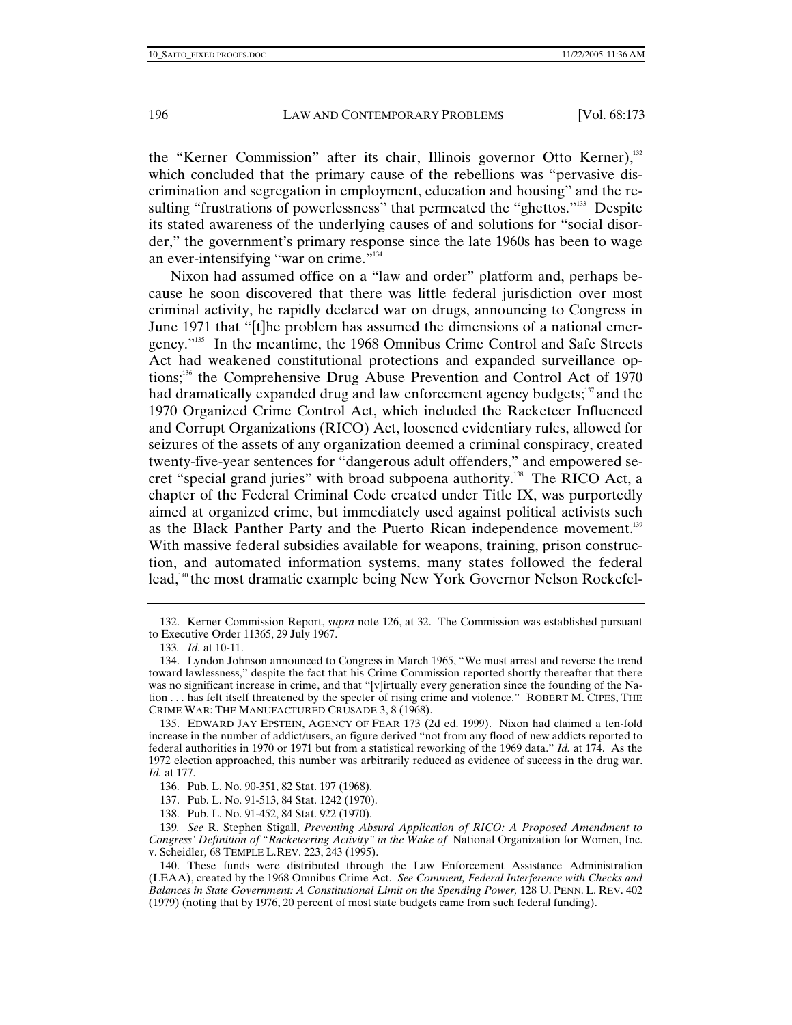the "Kerner Commission" after its chair, Illinois governor Otto Kerner),<sup>132</sup> which concluded that the primary cause of the rebellions was "pervasive discrimination and segregation in employment, education and housing" and the resulting "frustrations of powerlessness" that permeated the "ghettos."<sup>133</sup> Despite its stated awareness of the underlying causes of and solutions for "social disorder," the government's primary response since the late 1960s has been to wage an ever-intensifying "war on crime."<sup>134</sup>

Nixon had assumed office on a "law and order" platform and, perhaps because he soon discovered that there was little federal jurisdiction over most criminal activity, he rapidly declared war on drugs, announcing to Congress in June 1971 that "[t]he problem has assumed the dimensions of a national emergency."135 In the meantime, the 1968 Omnibus Crime Control and Safe Streets Act had weakened constitutional protections and expanded surveillance options;<sup>136</sup> the Comprehensive Drug Abuse Prevention and Control Act of 1970 had dramatically expanded drug and law enforcement agency budgets;<sup>137</sup> and the 1970 Organized Crime Control Act, which included the Racketeer Influenced and Corrupt Organizations (RICO) Act, loosened evidentiary rules, allowed for seizures of the assets of any organization deemed a criminal conspiracy, created twenty-five-year sentences for "dangerous adult offenders," and empowered secret "special grand juries" with broad subpoena authority.<sup>138</sup> The RICO Act, a chapter of the Federal Criminal Code created under Title IX, was purportedly aimed at organized crime, but immediately used against political activists such as the Black Panther Party and the Puerto Rican independence movement.<sup>139</sup> With massive federal subsidies available for weapons, training, prison construction, and automated information systems, many states followed the federal lead,<sup>140</sup> the most dramatic example being New York Governor Nelson Rockefel-

137. Pub. L. No. 91-513, 84 Stat. 1242 (1970).

138. Pub. L. No. 91-452, 84 Stat. 922 (1970).

 <sup>132.</sup> Kerner Commission Report, *supra* note 126, at 32. The Commission was established pursuant to Executive Order 11365, 29 July 1967.

<sup>133</sup>*. Id.* at 10-11.

 <sup>134.</sup> Lyndon Johnson announced to Congress in March 1965, "We must arrest and reverse the trend toward lawlessness," despite the fact that his Crime Commission reported shortly thereafter that there was no significant increase in crime, and that "[v]irtually every generation since the founding of the Nation . . . has felt itself threatened by the specter of rising crime and violence." ROBERT M. CIPES, THE CRIME WAR: THE MANUFACTURED CRUSADE 3, 8 (1968).

 <sup>135.</sup> EDWARD JAY EPSTEIN, AGENCY OF FEAR 173 (2d ed. 1999). Nixon had claimed a ten-fold increase in the number of addict/users, an figure derived "not from any flood of new addicts reported to federal authorities in 1970 or 1971 but from a statistical reworking of the 1969 data." *Id.* at 174. As the 1972 election approached, this number was arbitrarily reduced as evidence of success in the drug war. *Id.* at 177.

 <sup>136.</sup> Pub. L. No. 90-351, 82 Stat. 197 (1968).

<sup>139</sup>*. See* R. Stephen Stigall, *Preventing Absurd Application of RICO: A Proposed Amendment to Congress' Definition of "Racketeering Activity" in the Wake of* National Organization for Women, Inc. v. Scheidler*,* 68 TEMPLE L.REV. 223, 243 (1995).

 <sup>140.</sup> These funds were distributed through the Law Enforcement Assistance Administration (LEAA), created by the 1968 Omnibus Crime Act. *See Comment, Federal Interference with Checks and Balances in State Government: A Constitutional Limit on the Spending Power,* 128 U. PENN. L. REV. 402 (1979) (noting that by 1976, 20 percent of most state budgets came from such federal funding).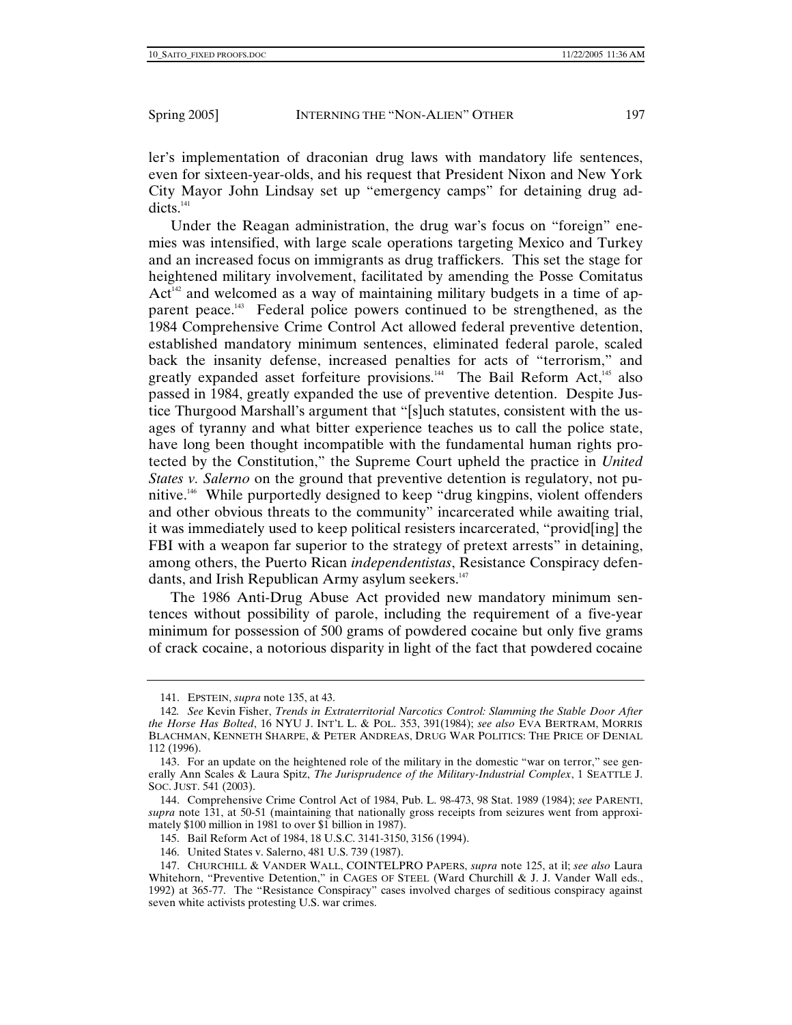ler's implementation of draconian drug laws with mandatory life sentences, even for sixteen-year-olds, and his request that President Nixon and New York City Mayor John Lindsay set up "emergency camps" for detaining drug addicts.<sup>141</sup>

Under the Reagan administration, the drug war's focus on "foreign" enemies was intensified, with large scale operations targeting Mexico and Turkey and an increased focus on immigrants as drug traffickers. This set the stage for heightened military involvement, facilitated by amending the Posse Comitatus  $Act<sup>142</sup>$  and welcomed as a way of maintaining military budgets in a time of apparent peace.<sup>143</sup> Federal police powers continued to be strengthened, as the 1984 Comprehensive Crime Control Act allowed federal preventive detention, established mandatory minimum sentences, eliminated federal parole, scaled back the insanity defense, increased penalties for acts of "terrorism," and greatly expanded asset forfeiture provisions.<sup>144</sup> The Bail Reform Act,<sup>145</sup> also passed in 1984, greatly expanded the use of preventive detention. Despite Justice Thurgood Marshall's argument that "[s]uch statutes, consistent with the usages of tyranny and what bitter experience teaches us to call the police state, have long been thought incompatible with the fundamental human rights protected by the Constitution," the Supreme Court upheld the practice in *United States v. Salerno* on the ground that preventive detention is regulatory, not punitive.146 While purportedly designed to keep "drug kingpins, violent offenders and other obvious threats to the community" incarcerated while awaiting trial, it was immediately used to keep political resisters incarcerated, "provid[ing] the FBI with a weapon far superior to the strategy of pretext arrests" in detaining, among others, the Puerto Rican *independentistas*, Resistance Conspiracy defendants, and Irish Republican Army asylum seekers.<sup>147</sup>

The 1986 Anti-Drug Abuse Act provided new mandatory minimum sentences without possibility of parole, including the requirement of a five-year minimum for possession of 500 grams of powdered cocaine but only five grams of crack cocaine, a notorious disparity in light of the fact that powdered cocaine

 <sup>141.</sup> EPSTEIN, *supra* note 135, at 43.

<sup>142</sup>*. See* Kevin Fisher, *Trends in Extraterritorial Narcotics Control: Slamming the Stable Door After the Horse Has Bolted*, 16 NYU J. INT'L L. & POL. 353, 391(1984); *see also* EVA BERTRAM, MORRIS BLACHMAN, KENNETH SHARPE, & PETER ANDREAS, DRUG WAR POLITICS: THE PRICE OF DENIAL 112 (1996).

 <sup>143.</sup> For an update on the heightened role of the military in the domestic "war on terror," see generally Ann Scales & Laura Spitz, *The Jurisprudence of the Military-Industrial Complex*, 1 SEATTLE J. SOC. JUST. 541 (2003).

 <sup>144.</sup> Comprehensive Crime Control Act of 1984, Pub. L. 98-473, 98 Stat. 1989 (1984); *see* PARENTI, *supra* note 131, at 50-51 (maintaining that nationally gross receipts from seizures went from approximately \$100 million in 1981 to over \$1 billion in 1987).

 <sup>145.</sup> Bail Reform Act of 1984, 18 U.S.C. 3141-3150, 3156 (1994).

 <sup>146.</sup> United States v. Salerno, 481 U.S. 739 (1987).

 <sup>147.</sup> CHURCHILL & VANDER WALL, COINTELPRO PAPERS, *supra* note 125, at il; *see also* Laura Whitehorn, "Preventive Detention," in CAGES OF STEEL (Ward Churchill & J. J. Vander Wall eds., 1992) at 365-77. The "Resistance Conspiracy" cases involved charges of seditious conspiracy against seven white activists protesting U.S. war crimes.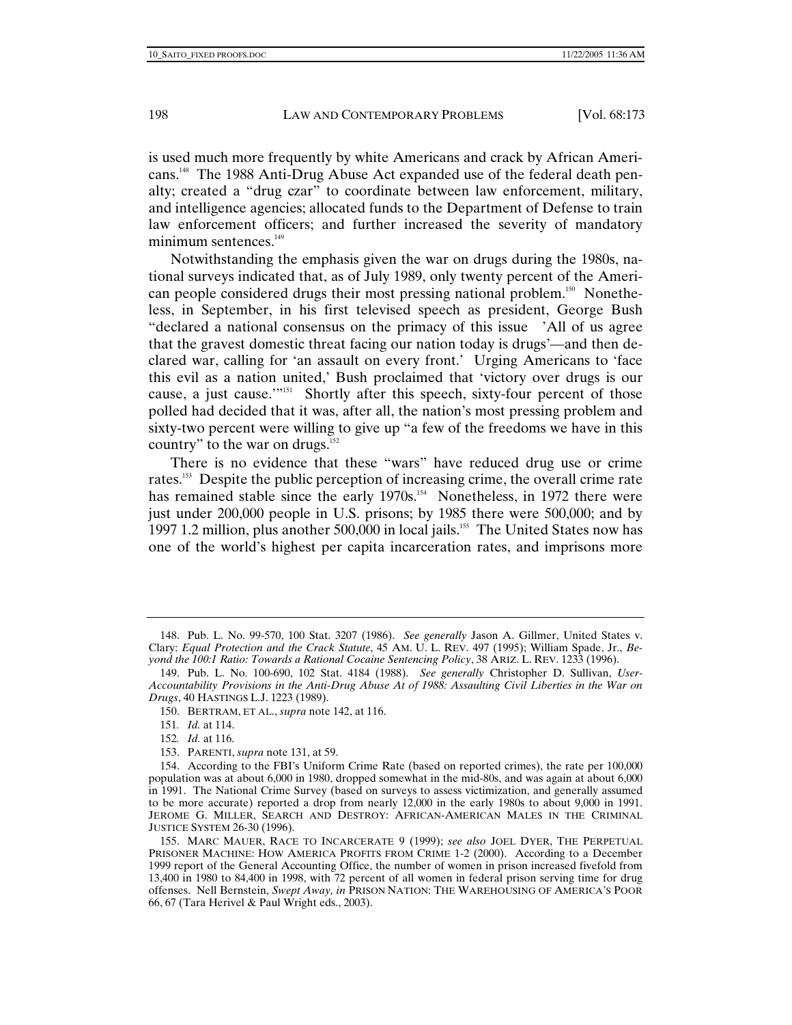is used much more frequently by white Americans and crack by African Americans.148 The 1988 Anti-Drug Abuse Act expanded use of the federal death penalty; created a "drug czar" to coordinate between law enforcement, military, and intelligence agencies; allocated funds to the Department of Defense to train law enforcement officers; and further increased the severity of mandatory minimum sentences. $149$ 

Notwithstanding the emphasis given the war on drugs during the 1980s, national surveys indicated that, as of July 1989, only twenty percent of the American people considered drugs their most pressing national problem.<sup>150</sup> Nonetheless, in September, in his first televised speech as president, George Bush "declared a national consensus on the primacy of this issue 'All of us agree that the gravest domestic threat facing our nation today is drugs'—and then declared war, calling for 'an assault on every front.' Urging Americans to 'face this evil as a nation united,' Bush proclaimed that 'victory over drugs is our cause, a just cause.'"<sup>151</sup> Shortly after this speech, sixty-four percent of those polled had decided that it was, after all, the nation's most pressing problem and sixty-two percent were willing to give up "a few of the freedoms we have in this country" to the war on drugs.<sup>152</sup>

There is no evidence that these "wars" have reduced drug use or crime rates.153 Despite the public perception of increasing crime, the overall crime rate has remained stable since the early 1970s.<sup>154</sup> Nonetheless, in 1972 there were just under 200,000 people in U.S. prisons; by 1985 there were 500,000; and by 1997 1.2 million, plus another 500,000 in local jails.<sup>155</sup> The United States now has one of the world's highest per capita incarceration rates, and imprisons more

150. BERTRAM, ET AL., *supra* note 142, at 116.

152*. Id.* at 116.

 <sup>148.</sup> Pub. L. No. 99-570, 100 Stat. 3207 (1986). *See generally* Jason A. Gillmer, United States v. Clary: *Equal Protection and the Crack Statute*, 45 AM. U. L. REV. 497 (1995); William Spade, Jr., *Beyond the 100:1 Ratio: Towards a Rational Cocaine Sentencing Policy*, 38 ARIZ. L. REV. 1233 (1996).

 <sup>149.</sup> Pub. L. No. 100-690, 102 Stat. 4184 (1988). *See generally* Christopher D. Sullivan, *User-Accountability Provisions in the Anti-Drug Abuse At of 1988: Assaulting Civil Liberties in the War on Drugs*, 40 HASTINGS L.J. 1223 (1989).

<sup>151</sup>*. Id.* at 114.

 <sup>153.</sup> PARENTI, *supra* note 131, at 59.

 <sup>154.</sup> According to the FBI's Uniform Crime Rate (based on reported crimes), the rate per 100,000 population was at about 6,000 in 1980, dropped somewhat in the mid-80s, and was again at about 6,000 in 1991. The National Crime Survey (based on surveys to assess victimization, and generally assumed to be more accurate) reported a drop from nearly 12,000 in the early 1980s to about 9,000 in 1991. JEROME G. MILLER, SEARCH AND DESTROY: AFRICAN-AMERICAN MALES IN THE CRIMINAL JUSTICE SYSTEM 26-30 (1996).

 <sup>155.</sup> MARC MAUER, RACE TO INCARCERATE 9 (1999); *see also* JOEL DYER, THE PERPETUAL PRISONER MACHINE: HOW AMERICA PROFITS FROM CRIME 1-2 (2000). According to a December 1999 report of the General Accounting Office, the number of women in prison increased fivefold from 13,400 in 1980 to 84,400 in 1998, with 72 percent of all women in federal prison serving time for drug offenses. Nell Bernstein, *Swept Away, in* PRISON NATION: THE WAREHOUSING OF AMERICA'S POOR 66, 67 (Tara Herivel & Paul Wright eds., 2003).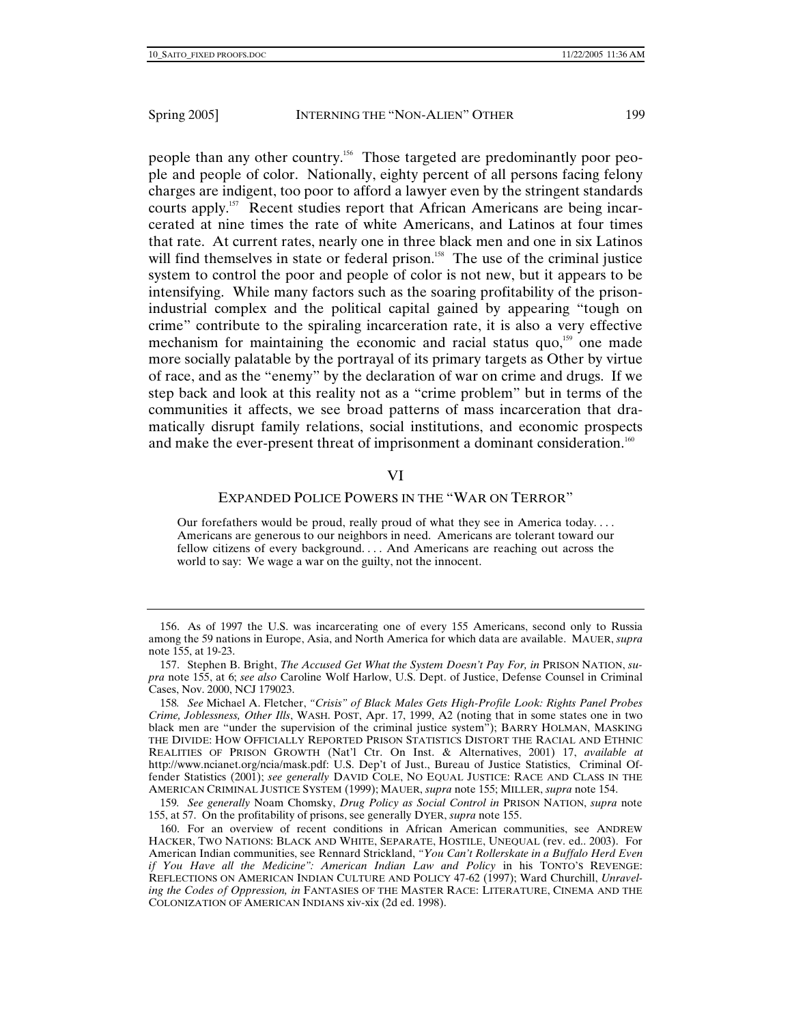people than any other country.156 Those targeted are predominantly poor people and people of color. Nationally, eighty percent of all persons facing felony charges are indigent, too poor to afford a lawyer even by the stringent standards courts apply.157 Recent studies report that African Americans are being incarcerated at nine times the rate of white Americans, and Latinos at four times that rate. At current rates, nearly one in three black men and one in six Latinos will find themselves in state or federal prison.<sup>158</sup> The use of the criminal justice system to control the poor and people of color is not new, but it appears to be intensifying. While many factors such as the soaring profitability of the prisonindustrial complex and the political capital gained by appearing "tough on crime" contribute to the spiraling incarceration rate, it is also a very effective mechanism for maintaining the economic and racial status quo, $159$  one made more socially palatable by the portrayal of its primary targets as Other by virtue of race, and as the "enemy" by the declaration of war on crime and drugs. If we step back and look at this reality not as a "crime problem" but in terms of the communities it affects, we see broad patterns of mass incarceration that dramatically disrupt family relations, social institutions, and economic prospects and make the ever-present threat of imprisonment a dominant consideration.<sup>160</sup>

## VI

# EXPANDED POLICE POWERS IN THE "WAR ON TERROR"

Our forefathers would be proud, really proud of what they see in America today. . . . Americans are generous to our neighbors in need. Americans are tolerant toward our fellow citizens of every background. . . . And Americans are reaching out across the world to say: We wage a war on the guilty, not the innocent.

159*. See generally* Noam Chomsky, *Drug Policy as Social Control in* PRISON NATION, *supra* note 155, at 57. On the profitability of prisons, see generally DYER, *supra* note 155.

 <sup>156.</sup> As of 1997 the U.S. was incarcerating one of every 155 Americans, second only to Russia among the 59 nations in Europe, Asia, and North America for which data are available. MAUER, *supra* note 155, at 19-23.

 <sup>157.</sup> Stephen B. Bright, *The Accused Get What the System Doesn't Pay For, in* PRISON NATION, *supra* note 155, at 6; *see also* Caroline Wolf Harlow, U.S. Dept. of Justice, Defense Counsel in Criminal Cases, Nov. 2000, NCJ 179023.

<sup>158</sup>*. See* Michael A. Fletcher, *"Crisis" of Black Males Gets High-Profile Look: Rights Panel Probes Crime, Joblessness, Other Ills*, WASH. POST, Apr. 17, 1999, A2 (noting that in some states one in two black men are "under the supervision of the criminal justice system"); BARRY HOLMAN, MASKING THE DIVIDE: HOW OFFICIALLY REPORTED PRISON STATISTICS DISTORT THE RACIAL AND ETHNIC REALITIES OF PRISON GROWTH (Nat'l Ctr. On Inst. & Alternatives, 2001) 17, *available at*  http://www.ncianet.org/ncia/mask.pdf: U.S. Dep't of Just., Bureau of Justice Statistics, Criminal Offender Statistics (2001); *see generally* DAVID COLE, NO EQUAL JUSTICE: RACE AND CLASS IN THE AMERICAN CRIMINAL JUSTICE SYSTEM (1999); MAUER, *supra* note 155; MILLER, *supra* note 154.

 <sup>160.</sup> For an overview of recent conditions in African American communities, see ANDREW HACKER, TWO NATIONS: BLACK AND WHITE, SEPARATE, HOSTILE, UNEQUAL (rev. ed.. 2003). For American Indian communities, see Rennard Strickland, *"You Can't Rollerskate in a Buffalo Herd Even if You Have all the Medicine": American Indian Law and Policy* in his TONTO'S REVENGE: REFLECTIONS ON AMERICAN INDIAN CULTURE AND POLICY 47-62 (1997); Ward Churchill, *Unraveling the Codes of Oppression, in* FANTASIES OF THE MASTER RACE: LITERATURE, CINEMA AND THE COLONIZATION OF AMERICAN INDIANS xiv-xix (2d ed. 1998).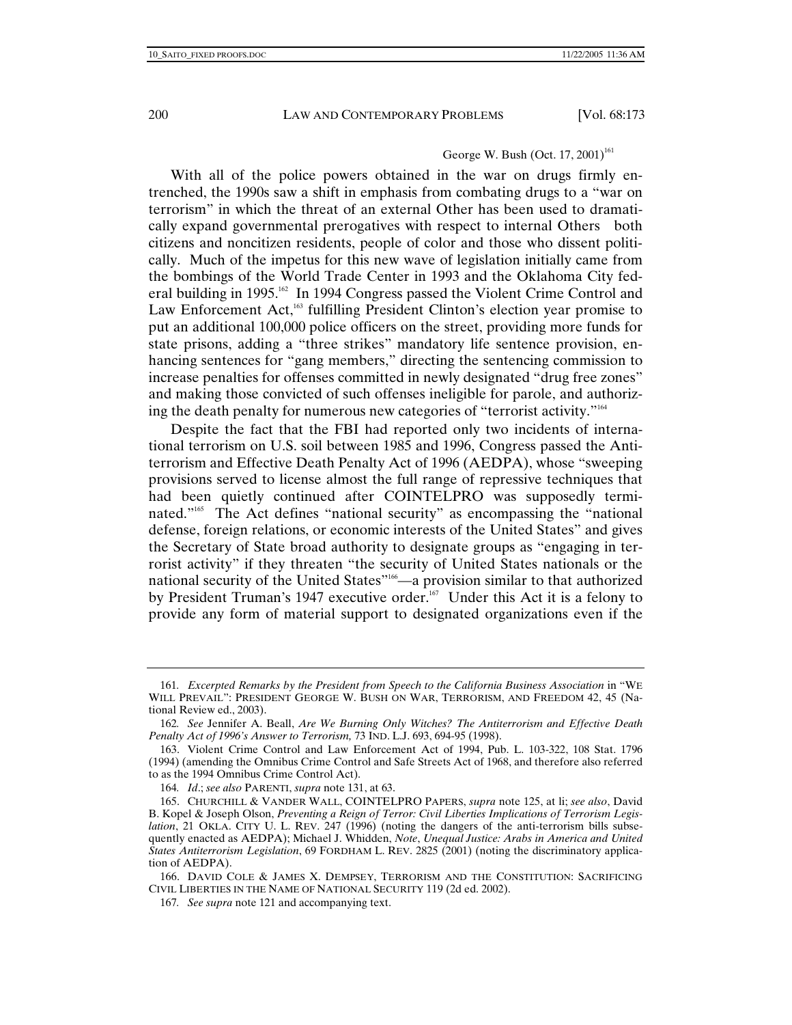## George W. Bush  $\left($  Oct. 17, 2001)<sup>161</sup>

With all of the police powers obtained in the war on drugs firmly entrenched, the 1990s saw a shift in emphasis from combating drugs to a "war on terrorism" in which the threat of an external Other has been used to dramatically expand governmental prerogatives with respect to internal Others both citizens and noncitizen residents, people of color and those who dissent politically. Much of the impetus for this new wave of legislation initially came from the bombings of the World Trade Center in 1993 and the Oklahoma City federal building in 1995.<sup>162</sup> In 1994 Congress passed the Violent Crime Control and Law Enforcement Act,<sup>163</sup> fulfilling President Clinton's election year promise to put an additional 100,000 police officers on the street, providing more funds for state prisons, adding a "three strikes" mandatory life sentence provision, enhancing sentences for "gang members," directing the sentencing commission to increase penalties for offenses committed in newly designated "drug free zones" and making those convicted of such offenses ineligible for parole, and authorizing the death penalty for numerous new categories of "terrorist activity."164

Despite the fact that the FBI had reported only two incidents of international terrorism on U.S. soil between 1985 and 1996, Congress passed the Antiterrorism and Effective Death Penalty Act of 1996 (AEDPA), whose "sweeping provisions served to license almost the full range of repressive techniques that had been quietly continued after COINTELPRO was supposedly terminated."165 The Act defines "national security" as encompassing the "national defense, foreign relations, or economic interests of the United States" and gives the Secretary of State broad authority to designate groups as "engaging in terrorist activity" if they threaten "the security of United States nationals or the national security of the United States"166—a provision similar to that authorized by President Truman's 1947 executive order.<sup>167</sup> Under this Act it is a felony to provide any form of material support to designated organizations even if the

<sup>161</sup>*. Excerpted Remarks by the President from Speech to the California Business Association* in "WE WILL PREVAIL": PRESIDENT GEORGE W. BUSH ON WAR, TERRORISM, AND FREEDOM 42, 45 (National Review ed., 2003).

<sup>162</sup>*. See* Jennifer A. Beall, *Are We Burning Only Witches? The Antiterrorism and Effective Death Penalty Act of 1996's Answer to Terrorism,* 73 IND. L.J. 693, 694-95 (1998).

 <sup>163.</sup> Violent Crime Control and Law Enforcement Act of 1994, Pub. L. 103-322, 108 Stat. 1796 (1994) (amending the Omnibus Crime Control and Safe Streets Act of 1968, and therefore also referred to as the 1994 Omnibus Crime Control Act).

<sup>164</sup>*. Id*.; *see also* PARENTI, *supra* note 131, at 63.

 <sup>165.</sup> CHURCHILL & VANDER WALL, COINTELPRO PAPERS, *supra* note 125, at li; *see also*, David B. Kopel & Joseph Olson, *Preventing a Reign of Terror: Civil Liberties Implications of Terrorism Legislation*, 21 OKLA. CITY U. L. REV. 247 (1996) (noting the dangers of the anti-terrorism bills subsequently enacted as AEDPA); Michael J. Whidden, *Note*, *Unequal Justice: Arabs in America and United States Antiterrorism Legislation*, 69 FORDHAM L. REV. 2825 (2001) (noting the discriminatory application of AEDPA).

 <sup>166.</sup> DAVID COLE & JAMES X. DEMPSEY, TERRORISM AND THE CONSTITUTION: SACRIFICING CIVIL LIBERTIES IN THE NAME OF NATIONAL SECURITY 119 (2d ed. 2002).

<sup>167</sup>*. See supra* note 121 and accompanying text.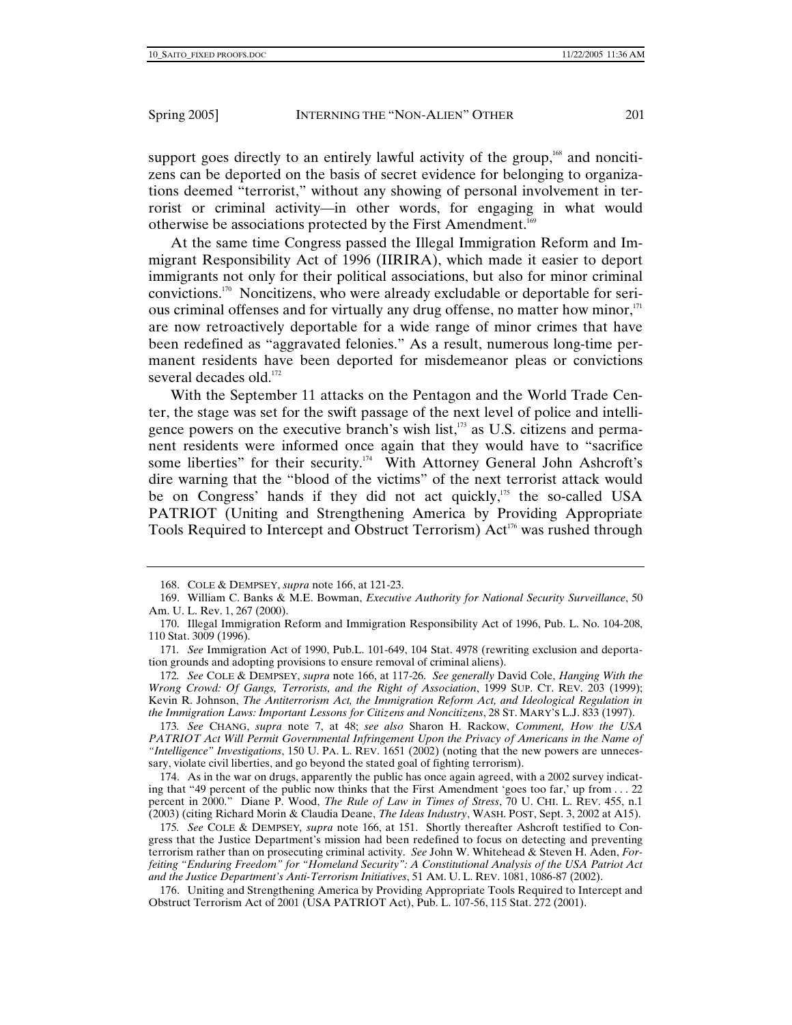support goes directly to an entirely lawful activity of the group,<sup>168</sup> and noncitizens can be deported on the basis of secret evidence for belonging to organizations deemed "terrorist," without any showing of personal involvement in terrorist or criminal activity—in other words, for engaging in what would otherwise be associations protected by the First Amendment.169

At the same time Congress passed the Illegal Immigration Reform and Immigrant Responsibility Act of 1996 (IIRIRA), which made it easier to deport immigrants not only for their political associations, but also for minor criminal convictions.170 Noncitizens, who were already excludable or deportable for serious criminal offenses and for virtually any drug offense, no matter how minor,<sup>171</sup> are now retroactively deportable for a wide range of minor crimes that have been redefined as "aggravated felonies." As a result, numerous long-time permanent residents have been deported for misdemeanor pleas or convictions several decades old.<sup>172</sup>

With the September 11 attacks on the Pentagon and the World Trade Center, the stage was set for the swift passage of the next level of police and intelligence powers on the executive branch's wish list,<sup>173</sup> as U.S. citizens and permanent residents were informed once again that they would have to "sacrifice some liberties" for their security.<sup>174</sup> With Attorney General John Ashcroft's dire warning that the "blood of the victims" of the next terrorist attack would be on Congress' hands if they did not act quickly,<sup>175</sup> the so-called USA PATRIOT (Uniting and Strengthening America by Providing Appropriate Tools Required to Intercept and Obstruct Terrorism) Act<sup>176</sup> was rushed through

172*. See* COLE & DEMPSEY, *supra* note 166, at 117-26. *See generally* David Cole, *Hanging With the Wrong Crowd: Of Gangs, Terrorists, and the Right of Association*, 1999 SUP. CT. REV. 203 (1999); Kevin R. Johnson, *The Antiterrorism Act, the Immigration Reform Act, and Ideological Regulation in the Immigration Laws: Important Lessons for Citizens and Noncitizens*, 28 ST. MARY'S L.J. 833 (1997).

173*. See* CHANG, *supra* note 7, at 48; *see also* Sharon H. Rackow, *Comment, How the USA PATRIOT Act Will Permit Governmental Infringement Upon the Privacy of Americans in the Name of "Intelligence" Investigations*, 150 U. PA. L. REV. 1651 (2002) (noting that the new powers are unnecessary, violate civil liberties, and go beyond the stated goal of fighting terrorism).

 174. As in the war on drugs, apparently the public has once again agreed, with a 2002 survey indicating that "49 percent of the public now thinks that the First Amendment 'goes too far,' up from . . . 22 percent in 2000." Diane P. Wood, *The Rule of Law in Times of Stress*, 70 U. CHI. L. REV. 455, n.1 (2003) (citing Richard Morin & Claudia Deane, *The Ideas Industry*, WASH. POST, Sept. 3, 2002 at A15).

175*. See* COLE & DEMPSEY*, supra* note 166, at 151. Shortly thereafter Ashcroft testified to Congress that the Justice Department's mission had been redefined to focus on detecting and preventing terrorism rather than on prosecuting criminal activity. *See* John W. Whitehead & Steven H. Aden, *Forfeiting "Enduring Freedom" for "Homeland Security": A Constitutional Analysis of the USA Patriot Act and the Justice Department's Anti-Terrorism Initiatives*, 51 AM. U. L. REV. 1081, 1086-87 (2002).

 176. Uniting and Strengthening America by Providing Appropriate Tools Required to Intercept and Obstruct Terrorism Act of 2001 (USA PATRIOT Act), Pub. L. 107-56, 115 Stat. 272 (2001).

 <sup>168.</sup> COLE & DEMPSEY, *supra* note 166, at 121-23.

 <sup>169.</sup> William C. Banks & M.E. Bowman, *Executive Authority for National Security Surveillance*, 50 Am. U. L. Rev. 1, 267 (2000).

 <sup>170.</sup> Illegal Immigration Reform and Immigration Responsibility Act of 1996, Pub. L. No. 104-208, 110 Stat. 3009 (1996).

<sup>171</sup>*. See* Immigration Act of 1990, Pub.L. 101-649, 104 Stat. 4978 (rewriting exclusion and deportation grounds and adopting provisions to ensure removal of criminal aliens).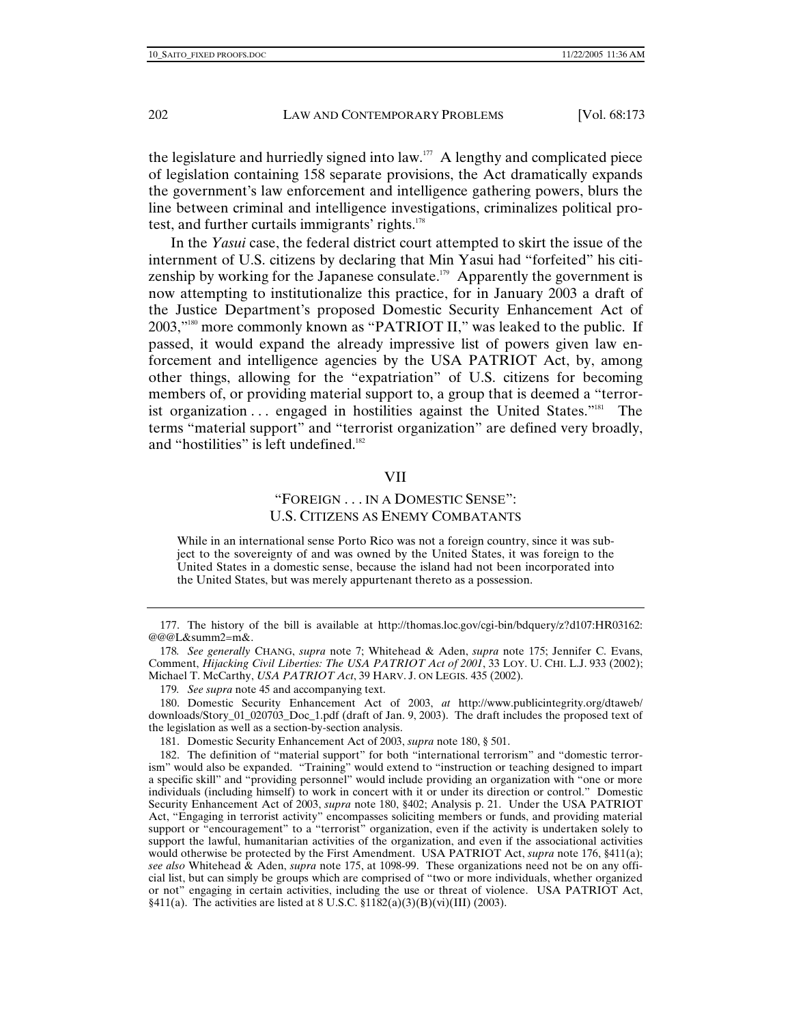the legislature and hurriedly signed into law. $177$  A lengthy and complicated piece of legislation containing 158 separate provisions, the Act dramatically expands the government's law enforcement and intelligence gathering powers, blurs the line between criminal and intelligence investigations, criminalizes political protest, and further curtails immigrants' rights.<sup>178</sup>

In the *Yasui* case, the federal district court attempted to skirt the issue of the internment of U.S. citizens by declaring that Min Yasui had "forfeited" his citizenship by working for the Japanese consulate.<sup>179</sup> Apparently the government is now attempting to institutionalize this practice, for in January 2003 a draft of the Justice Department's proposed Domestic Security Enhancement Act of 2003,"180 more commonly known as "PATRIOT II," was leaked to the public. If passed, it would expand the already impressive list of powers given law enforcement and intelligence agencies by the USA PATRIOT Act, by, among other things, allowing for the "expatriation" of U.S. citizens for becoming members of, or providing material support to, a group that is deemed a "terrorist organization ... engaged in hostilities against the United States."<sup>181</sup> The terms "material support" and "terrorist organization" are defined very broadly, and "hostilities" is left undefined.<sup>182</sup>

#### VII

# "FOREIGN . . . IN A DOMESTIC SENSE": U.S. CITIZENS AS ENEMY COMBATANTS

While in an international sense Porto Rico was not a foreign country, since it was subject to the sovereignty of and was owned by the United States, it was foreign to the United States in a domestic sense, because the island had not been incorporated into the United States, but was merely appurtenant thereto as a possession.

 <sup>177.</sup> The history of the bill is available at http://thomas.loc.gov/cgi-bin/bdquery/z?d107:HR03162: @@@L&summ2=m&.

<sup>178</sup>*. See generally* CHANG, *supra* note 7; Whitehead & Aden, *supra* note 175; Jennifer C. Evans, Comment, *Hijacking Civil Liberties: The USA PATRIOT Act of 2001*, 33 LOY. U. CHI. L.J. 933 (2002); Michael T. McCarthy, *USA PATRIOT Act*, 39 HARV. J. ON LEGIS. 435 (2002).

<sup>179</sup>*. See supra* note 45 and accompanying text.

 <sup>180.</sup> Domestic Security Enhancement Act of 2003, *at* http://www.publicintegrity.org/dtaweb/ downloads/Story\_01\_020703\_Doc\_1.pdf (draft of Jan. 9, 2003). The draft includes the proposed text of the legislation as well as a section-by-section analysis.

 <sup>181.</sup> Domestic Security Enhancement Act of 2003, *supra* note 180, § 501.

 <sup>182.</sup> The definition of "material support" for both "international terrorism" and "domestic terrorism" would also be expanded. "Training" would extend to "instruction or teaching designed to impart a specific skill" and "providing personnel" would include providing an organization with "one or more individuals (including himself) to work in concert with it or under its direction or control." Domestic Security Enhancement Act of 2003, *supra* note 180, §402; Analysis p. 21. Under the USA PATRIOT Act, "Engaging in terrorist activity" encompasses soliciting members or funds, and providing material support or "encouragement" to a "terrorist" organization, even if the activity is undertaken solely to support the lawful, humanitarian activities of the organization, and even if the associational activities would otherwise be protected by the First Amendment. USA PATRIOT Act, *supra* note 176, §411(a); *see also* Whitehead & Aden, *supra* note 175, at 1098-99. These organizations need not be on any official list, but can simply be groups which are comprised of "two or more individuals, whether organized or not" engaging in certain activities, including the use or threat of violence. USA PATRIOT Act,  $§411(a)$ . The activities are listed at 8 U.S.C.  $§1182(a)(3)(B)(vi)(III)$  (2003).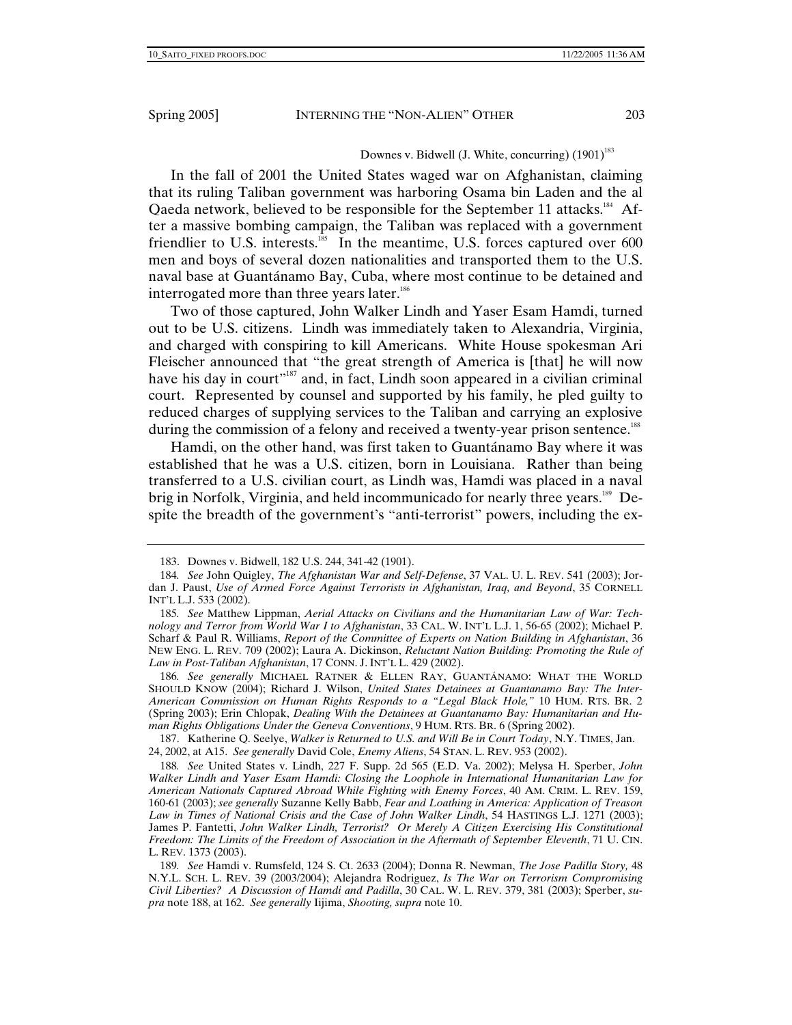In the fall of 2001 the United States waged war on Afghanistan, claiming that its ruling Taliban government was harboring Osama bin Laden and the al Qaeda network, believed to be responsible for the September 11 attacks.<sup>184</sup> After a massive bombing campaign, the Taliban was replaced with a government friendlier to U.S. interests.<sup>185</sup> In the meantime, U.S. forces captured over 600 men and boys of several dozen nationalities and transported them to the U.S. naval base at Guantánamo Bay, Cuba, where most continue to be detained and interrogated more than three years later.<sup>186</sup>

Two of those captured, John Walker Lindh and Yaser Esam Hamdi, turned out to be U.S. citizens. Lindh was immediately taken to Alexandria, Virginia, and charged with conspiring to kill Americans. White House spokesman Ari Fleischer announced that "the great strength of America is [that] he will now have his day in court"<sup>187</sup> and, in fact, Lindh soon appeared in a civilian criminal court. Represented by counsel and supported by his family, he pled guilty to reduced charges of supplying services to the Taliban and carrying an explosive during the commission of a felony and received a twenty-year prison sentence.<sup>188</sup>

Hamdi, on the other hand, was first taken to Guantánamo Bay where it was established that he was a U.S. citizen, born in Louisiana. Rather than being transferred to a U.S. civilian court, as Lindh was, Hamdi was placed in a naval brig in Norfolk, Virginia, and held incommunicado for nearly three years.<sup>189</sup> Despite the breadth of the government's "anti-terrorist" powers, including the ex-

186*. See generally* MICHAEL RATNER & ELLEN RAY, GUANTÁNAMO: WHAT THE WORLD SHOULD KNOW (2004); Richard J. Wilson, *United States Detainees at Guantanamo Bay: The Inter-American Commission on Human Rights Responds to a "Legal Black Hole,"* 10 HUM. RTS. BR. 2 (Spring 2003); Erin Chlopak, *Dealing With the Detainees at Guantanamo Bay: Humanitarian and Human Rights Obligations Under the Geneva Conventions*, 9 HUM. RTS. BR. 6 (Spring 2002).

 187. Katherine Q. Seelye, *Walker is Returned to U.S. and Will Be in Court Today*, N.Y. TIMES, Jan. 24, 2002, at A15. *See generally* David Cole, *Enemy Aliens*, 54 STAN. L. REV. 953 (2002).

 <sup>183.</sup> Downes v. Bidwell, 182 U.S. 244, 341-42 (1901).

<sup>184</sup>*. See* John Quigley, *The Afghanistan War and Self-Defense*, 37 VAL. U. L. REV. 541 (2003); Jordan J. Paust, *Use of Armed Force Against Terrorists in Afghanistan, Iraq, and Beyond*, 35 CORNELL INT'L L.J. 533 (2002).

<sup>185</sup>*. See* Matthew Lippman, *Aerial Attacks on Civilians and the Humanitarian Law of War: Technology and Terror from World War I to Afghanistan*, 33 CAL. W. INT'L L.J. 1, 56-65 (2002); Michael P. Scharf & Paul R. Williams, *Report of the Committee of Experts on Nation Building in Afghanistan*, 36 NEW ENG. L. REV. 709 (2002); Laura A. Dickinson, *Reluctant Nation Building: Promoting the Rule of Law in Post-Taliban Afghanistan*, 17 CONN. J. INT'L L. 429 (2002).

<sup>188</sup>*. See* United States v. Lindh, 227 F. Supp. 2d 565 (E.D. Va. 2002); Melysa H. Sperber, *John Walker Lindh and Yaser Esam Hamdi: Closing the Loophole in International Humanitarian Law for American Nationals Captured Abroad While Fighting with Enemy Forces*, 40 AM. CRIM. L. REV. 159, 160-61 (2003); *see generally* Suzanne Kelly Babb, *Fear and Loathing in America: Application of Treason Law in Times of National Crisis and the Case of John Walker Lindh*, 54 HASTINGS L.J. 1271 (2003); James P. Fantetti, *John Walker Lindh, Terrorist? Or Merely A Citizen Exercising His Constitutional Freedom: The Limits of the Freedom of Association in the Aftermath of September Eleventh*, 71 U. CIN. L. REV. 1373 (2003).

<sup>189</sup>*. See* Hamdi v. Rumsfeld, 124 S. Ct. 2633 (2004); Donna R. Newman, *The Jose Padilla Story,* 48 N.Y.L. SCH. L. REV. 39 (2003/2004); Alejandra Rodriguez, *Is The War on Terrorism Compromising Civil Liberties? A Discussion of Hamdi and Padilla*, 30 CAL. W. L. REV. 379, 381 (2003); Sperber, *supra* note 188, at 162. *See generally* Iijima, *Shooting, supra* note 10.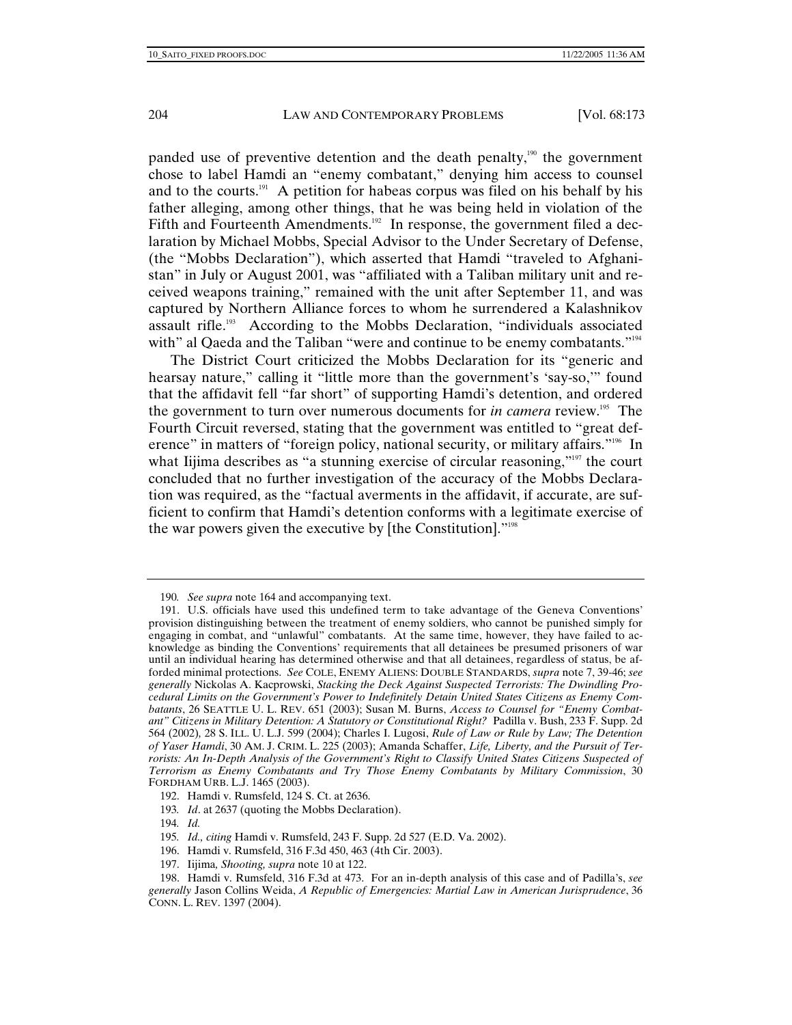panded use of preventive detention and the death penalty,<sup>190</sup> the government chose to label Hamdi an "enemy combatant," denying him access to counsel and to the courts.<sup>191</sup> A petition for habeas corpus was filed on his behalf by his father alleging, among other things, that he was being held in violation of the Fifth and Fourteenth Amendments.<sup>192</sup> In response, the government filed a declaration by Michael Mobbs, Special Advisor to the Under Secretary of Defense, (the "Mobbs Declaration"), which asserted that Hamdi "traveled to Afghanistan" in July or August 2001, was "affiliated with a Taliban military unit and received weapons training," remained with the unit after September 11, and was captured by Northern Alliance forces to whom he surrendered a Kalashnikov assault rifle.<sup>193</sup> According to the Mobbs Declaration, "individuals associated with" al Qaeda and the Taliban "were and continue to be enemy combatants."<sup>194</sup>

The District Court criticized the Mobbs Declaration for its "generic and hearsay nature," calling it "little more than the government's 'say-so," found that the affidavit fell "far short" of supporting Hamdi's detention, and ordered the government to turn over numerous documents for *in camera* review.<sup>195</sup> The Fourth Circuit reversed, stating that the government was entitled to "great deference" in matters of "foreign policy, national security, or military affairs."<sup>196</sup> In what Iijima describes as "a stunning exercise of circular reasoning,"<sup>197</sup> the court concluded that no further investigation of the accuracy of the Mobbs Declaration was required, as the "factual averments in the affidavit, if accurate, are sufficient to confirm that Hamdi's detention conforms with a legitimate exercise of the war powers given the executive by [the Constitution]."198

- 195*. Id., citing* Hamdi v. Rumsfeld, 243 F. Supp. 2d 527 (E.D. Va. 2002).
- 196. Hamdi v. Rumsfeld, 316 F.3d 450, 463 (4th Cir. 2003).
- 197. Iijima*, Shooting, supra* note 10 at 122.

<sup>190</sup>*. See supra* note 164 and accompanying text.

 <sup>191.</sup> U.S. officials have used this undefined term to take advantage of the Geneva Conventions' provision distinguishing between the treatment of enemy soldiers, who cannot be punished simply for engaging in combat, and "unlawful" combatants. At the same time, however, they have failed to acknowledge as binding the Conventions' requirements that all detainees be presumed prisoners of war until an individual hearing has determined otherwise and that all detainees, regardless of status, be afforded minimal protections. *See* COLE, ENEMY ALIENS: DOUBLE STANDARDS, *supra* note 7, 39-46; *see generally* Nickolas A. Kacprowski, *Stacking the Deck Against Suspected Terrorists: The Dwindling Procedural Limits on the Government's Power to Indefinitely Detain United States Citizens as Enemy Combatants*, 26 SEATTLE U. L. REV. 651 (2003); Susan M. Burns, *Access to Counsel for "Enemy Combatant" Citizens in Military Detention: A Statutory or Constitutional Right?* Padilla v. Bush, 233 F. Supp. 2d 564 (2002)*,* 28 S. ILL. U. L.J. 599 (2004); Charles I. Lugosi, *Rule of Law or Rule by Law; The Detention of Yaser Hamdi*, 30 AM. J. CRIM. L. 225 (2003); Amanda Schaffer, *Life, Liberty, and the Pursuit of Terrorists: An In-Depth Analysis of the Government's Right to Classify United States Citizens Suspected of Terrorism as Enemy Combatants and Try Those Enemy Combatants by Military Commission*, 30 FORDHAM URB. L.J. 1465 (2003).

 <sup>192.</sup> Hamdi v. Rumsfeld, 124 S. Ct. at 2636.

<sup>193</sup>*. Id*. at 2637 (quoting the Mobbs Declaration).

<sup>194</sup>*. Id.*

 <sup>198.</sup> Hamdi v. Rumsfeld, 316 F.3d at 473. For an in-depth analysis of this case and of Padilla's, *see generally* Jason Collins Weida, *A Republic of Emergencies: Martial Law in American Jurisprudence*, 36 CONN. L. REV. 1397 (2004).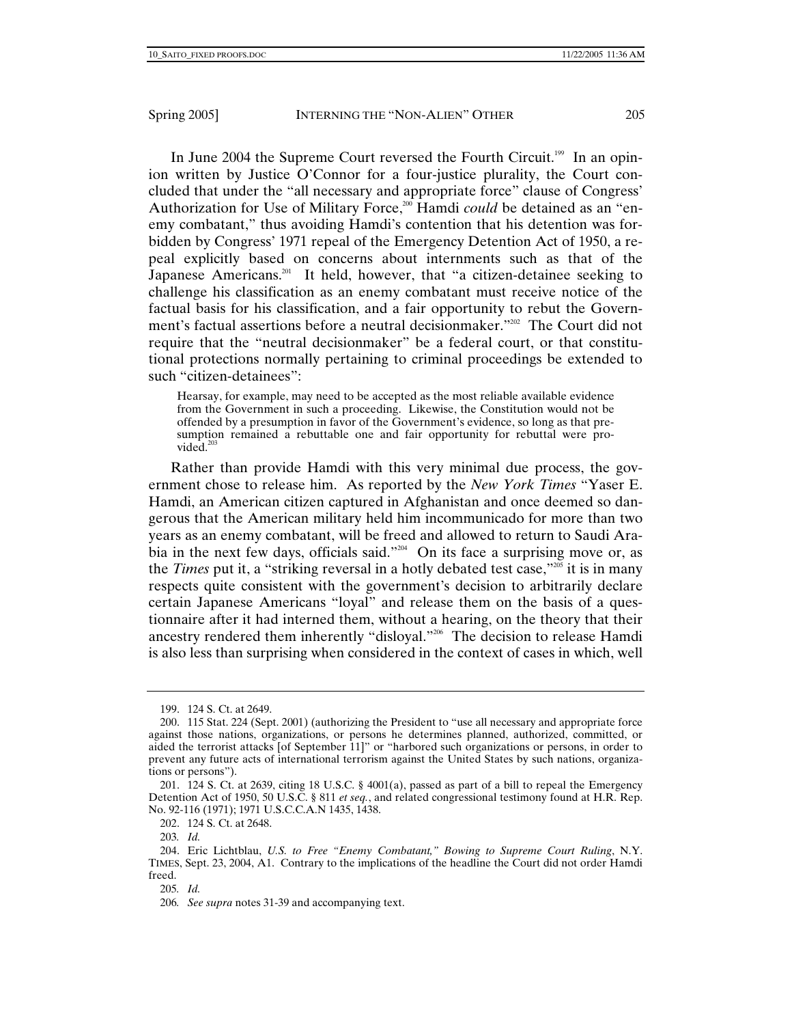In June 2004 the Supreme Court reversed the Fourth Circuit.<sup>199</sup> In an opinion written by Justice O'Connor for a four-justice plurality, the Court concluded that under the "all necessary and appropriate force" clause of Congress' Authorization for Use of Military Force,<sup>200</sup> Hamdi *could* be detained as an "enemy combatant," thus avoiding Hamdi's contention that his detention was forbidden by Congress' 1971 repeal of the Emergency Detention Act of 1950, a repeal explicitly based on concerns about internments such as that of the Japanese Americans.<sup>201</sup> It held, however, that "a citizen-detainee seeking to challenge his classification as an enemy combatant must receive notice of the factual basis for his classification, and a fair opportunity to rebut the Government's factual assertions before a neutral decisionmaker."<sup>202</sup> The Court did not require that the "neutral decisionmaker" be a federal court, or that constitutional protections normally pertaining to criminal proceedings be extended to such "citizen-detainees":

Hearsay, for example, may need to be accepted as the most reliable available evidence from the Government in such a proceeding. Likewise, the Constitution would not be offended by a presumption in favor of the Government's evidence, so long as that presumption remained a rebuttable one and fair opportunity for rebuttal were provided $203$ 

Rather than provide Hamdi with this very minimal due process, the government chose to release him. As reported by the *New York Times* "Yaser E. Hamdi, an American citizen captured in Afghanistan and once deemed so dangerous that the American military held him incommunicado for more than two years as an enemy combatant, will be freed and allowed to return to Saudi Arabia in the next few days, officials said."<sup>204</sup> On its face a surprising move or, as the *Times* put it, a "striking reversal in a hotly debated test case,"<sup>205</sup> it is in many respects quite consistent with the government's decision to arbitrarily declare certain Japanese Americans "loyal" and release them on the basis of a questionnaire after it had interned them, without a hearing, on the theory that their ancestry rendered them inherently "disloyal."<sup>206</sup> The decision to release Hamdi is also less than surprising when considered in the context of cases in which, well

 <sup>199. 124</sup> S. Ct. at 2649.

 <sup>200. 115</sup> Stat. 224 (Sept. 2001) (authorizing the President to "use all necessary and appropriate force against those nations, organizations, or persons he determines planned, authorized, committed, or aided the terrorist attacks [of September 11]" or "harbored such organizations or persons, in order to prevent any future acts of international terrorism against the United States by such nations, organizations or persons").

 <sup>201. 124</sup> S. Ct. at 2639, citing 18 U.S.C. § 4001(a), passed as part of a bill to repeal the Emergency Detention Act of 1950, 50 U.S.C. § 811 *et seq.*, and related congressional testimony found at H.R. Rep. No. 92-116 (1971); 1971 U.S.C.C.A.N 1435, 1438.

 <sup>202. 124</sup> S. Ct. at 2648.

<sup>203</sup>*. Id.*

 <sup>204.</sup> Eric Lichtblau, *U.S. to Free "Enemy Combatant," Bowing to Supreme Court Ruling*, N.Y. TIMES, Sept. 23, 2004, A1. Contrary to the implications of the headline the Court did not order Hamdi freed.

<sup>205</sup>*. Id.*

<sup>206</sup>*. See supra* notes 31-39 and accompanying text.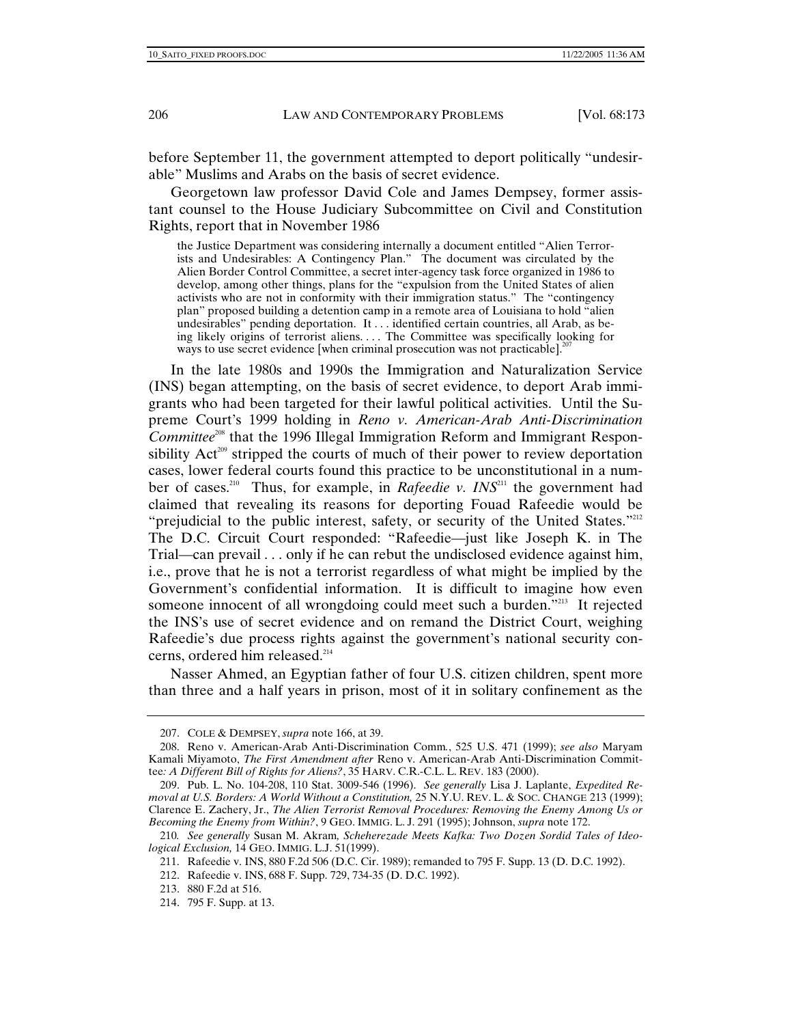before September 11, the government attempted to deport politically "undesirable" Muslims and Arabs on the basis of secret evidence.

Georgetown law professor David Cole and James Dempsey, former assistant counsel to the House Judiciary Subcommittee on Civil and Constitution Rights, report that in November 1986

the Justice Department was considering internally a document entitled "Alien Terrorists and Undesirables: A Contingency Plan." The document was circulated by the Alien Border Control Committee, a secret inter-agency task force organized in 1986 to develop, among other things, plans for the "expulsion from the United States of alien activists who are not in conformity with their immigration status." The "contingency plan" proposed building a detention camp in a remote area of Louisiana to hold "alien undesirables" pending deportation. It . . . identified certain countries, all Arab, as being likely origins of terrorist aliens. . . The Committee was specifically looking for ways to use secret evidence [when criminal prosecution was not practicable].<sup>2</sup>

In the late 1980s and 1990s the Immigration and Naturalization Service (INS) began attempting, on the basis of secret evidence, to deport Arab immigrants who had been targeted for their lawful political activities. Until the Supreme Court's 1999 holding in *Reno v. American-Arab Anti-Discrimination Committee*208 that the 1996 Illegal Immigration Reform and Immigrant Responsibility  $Act<sup>209</sup>$  stripped the courts of much of their power to review deportation cases, lower federal courts found this practice to be unconstitutional in a number of cases.<sup>210</sup> Thus, for example, in *Rafeedie v. INS*<sup>211</sup> the government had claimed that revealing its reasons for deporting Fouad Rafeedie would be "prejudicial to the public interest, safety, or security of the United States."<sup>212</sup> The D.C. Circuit Court responded: "Rafeedie—just like Joseph K. in The Trial—can prevail . . . only if he can rebut the undisclosed evidence against him, i.e., prove that he is not a terrorist regardless of what might be implied by the Government's confidential information. It is difficult to imagine how even someone innocent of all wrongdoing could meet such a burden."213 It rejected the INS's use of secret evidence and on remand the District Court, weighing Rafeedie's due process rights against the government's national security concerns, ordered him released.<sup>214</sup>

Nasser Ahmed, an Egyptian father of four U.S. citizen children, spent more than three and a half years in prison, most of it in solitary confinement as the

 <sup>207.</sup> COLE & DEMPSEY, *supra* note 166, at 39.

 <sup>208.</sup> Reno v. American-Arab Anti-Discrimination Comm*.*, 525 U.S. 471 (1999); *see also* Maryam Kamali Miyamoto, *The First Amendment after* Reno v. American-Arab Anti-Discrimination Committee*: A Different Bill of Rights for Aliens?*, 35 HARV. C.R.-C.L. L. REV. 183 (2000).

 <sup>209.</sup> Pub. L. No. 104-208, 110 Stat. 3009-546 (1996). *See generally* Lisa J. Laplante, *Expedited Removal at U.S. Borders: A World Without a Constitution,* 25 N.Y.U. REV. L. & SOC. CHANGE 213 (1999); Clarence E. Zachery, Jr., *The Alien Terrorist Removal Procedures: Removing the Enemy Among Us or Becoming the Enemy from Within?*, 9 GEO. IMMIG. L. J. 291 (1995); Johnson, *supra* note 172.

<sup>210</sup>*. See generally* Susan M. Akram*, Scheherezade Meets Kafka: Two Dozen Sordid Tales of Ideological Exclusion,* 14 GEO. IMMIG. L.J. 51(1999).

 <sup>211.</sup> Rafeedie v. INS, 880 F.2d 506 (D.C. Cir. 1989); remanded to 795 F. Supp. 13 (D. D.C. 1992).

 <sup>212.</sup> Rafeedie v. INS, 688 F. Supp. 729, 734-35 (D. D.C. 1992).

 <sup>213. 880</sup> F.2d at 516.

 <sup>214. 795</sup> F. Supp. at 13.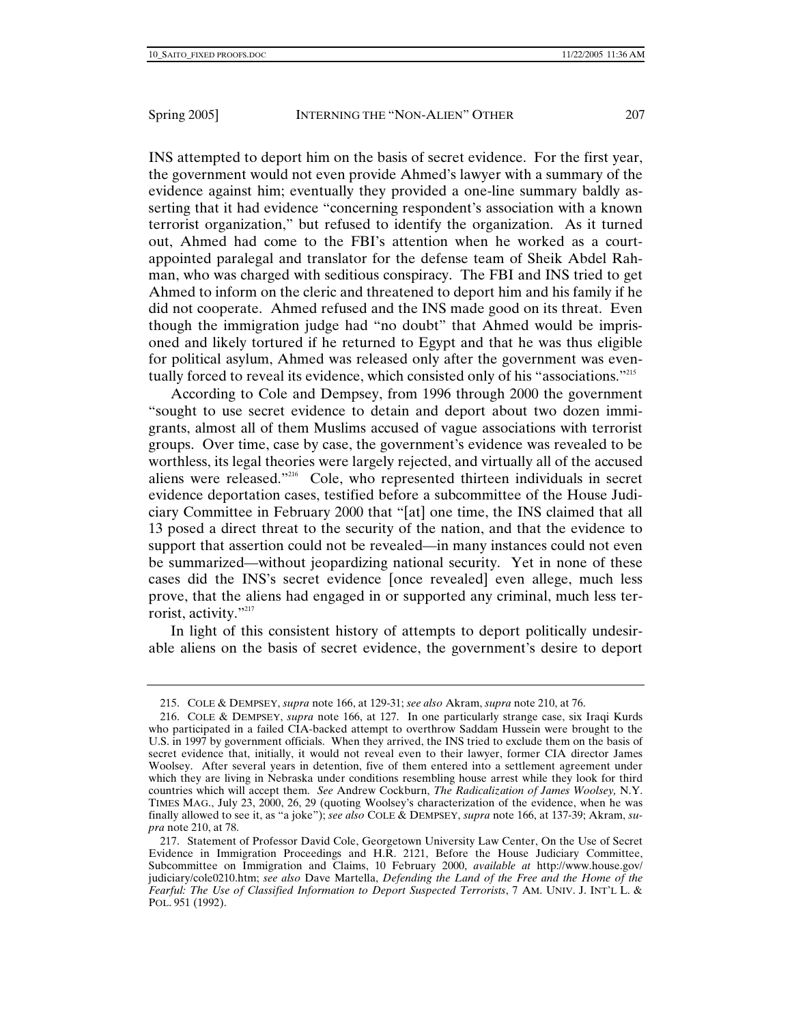INS attempted to deport him on the basis of secret evidence. For the first year, the government would not even provide Ahmed's lawyer with a summary of the evidence against him; eventually they provided a one-line summary baldly asserting that it had evidence "concerning respondent's association with a known terrorist organization," but refused to identify the organization. As it turned out, Ahmed had come to the FBI's attention when he worked as a courtappointed paralegal and translator for the defense team of Sheik Abdel Rahman, who was charged with seditious conspiracy. The FBI and INS tried to get Ahmed to inform on the cleric and threatened to deport him and his family if he did not cooperate. Ahmed refused and the INS made good on its threat. Even though the immigration judge had "no doubt" that Ahmed would be imprisoned and likely tortured if he returned to Egypt and that he was thus eligible for political asylum, Ahmed was released only after the government was eventually forced to reveal its evidence, which consisted only of his "associations."<sup>215</sup>

According to Cole and Dempsey, from 1996 through 2000 the government "sought to use secret evidence to detain and deport about two dozen immigrants, almost all of them Muslims accused of vague associations with terrorist groups. Over time, case by case, the government's evidence was revealed to be worthless, its legal theories were largely rejected, and virtually all of the accused aliens were released."216 Cole, who represented thirteen individuals in secret evidence deportation cases, testified before a subcommittee of the House Judiciary Committee in February 2000 that "[at] one time, the INS claimed that all 13 posed a direct threat to the security of the nation, and that the evidence to support that assertion could not be revealed—in many instances could not even be summarized—without jeopardizing national security. Yet in none of these cases did the INS's secret evidence [once revealed] even allege, much less prove, that the aliens had engaged in or supported any criminal, much less terrorist, activity."<sup>217</sup>

In light of this consistent history of attempts to deport politically undesirable aliens on the basis of secret evidence, the government's desire to deport

 <sup>215.</sup> COLE & DEMPSEY, *supra* note 166, at 129-31; *see also* Akram, *supra* note 210, at 76.

 <sup>216.</sup> COLE & DEMPSEY, *supra* note 166, at 127. In one particularly strange case, six Iraqi Kurds who participated in a failed CIA-backed attempt to overthrow Saddam Hussein were brought to the U.S. in 1997 by government officials. When they arrived, the INS tried to exclude them on the basis of secret evidence that, initially, it would not reveal even to their lawyer, former CIA director James Woolsey. After several years in detention, five of them entered into a settlement agreement under which they are living in Nebraska under conditions resembling house arrest while they look for third countries which will accept them. *See* Andrew Cockburn, *The Radicalization of James Woolsey,* N.Y. TIMES MAG., July 23, 2000, 26, 29 (quoting Woolsey's characterization of the evidence, when he was finally allowed to see it, as "a joke"); *see also* COLE & DEMPSEY, *supra* note 166, at 137-39; Akram, *supra* note 210, at 78.

 <sup>217.</sup> Statement of Professor David Cole, Georgetown University Law Center, On the Use of Secret Evidence in Immigration Proceedings and H.R. 2121, Before the House Judiciary Committee, Subcommittee on Immigration and Claims, 10 February 2000, *available at* http://www.house.gov/ judiciary/cole0210.htm; *see also* Dave Martella, *Defending the Land of the Free and the Home of the Fearful: The Use of Classified Information to Deport Suspected Terrorists*, 7 AM. UNIV. J. INT'L L. & POL. 951 (1992).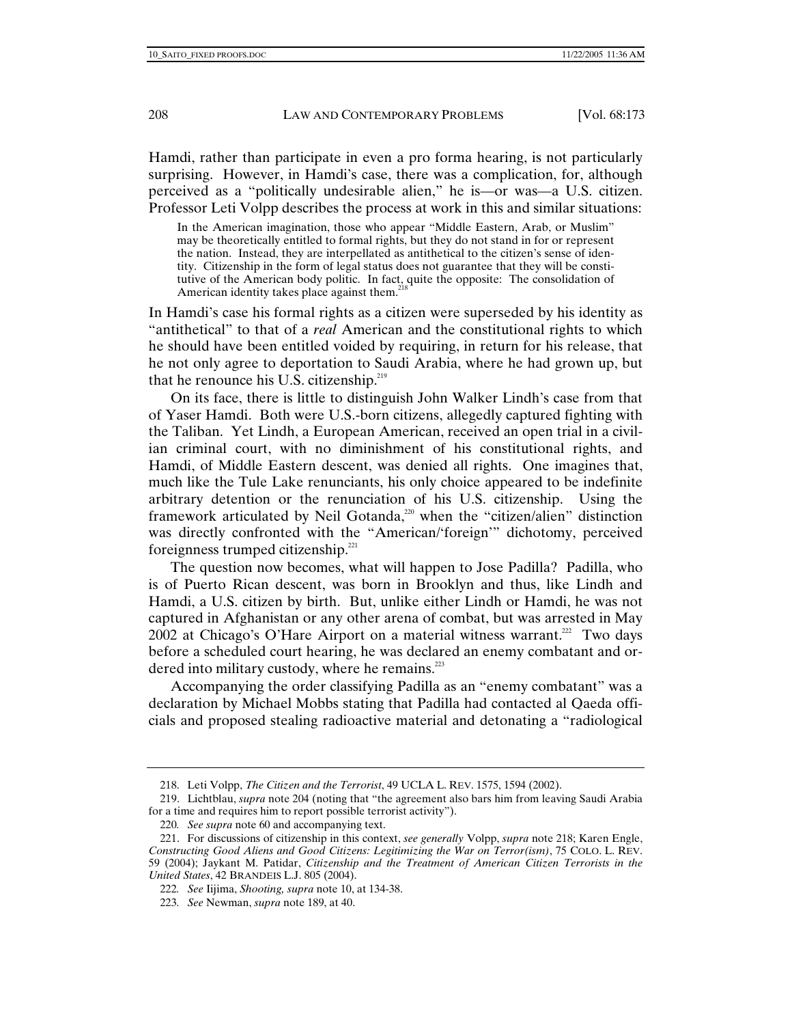Hamdi, rather than participate in even a pro forma hearing, is not particularly surprising. However, in Hamdi's case, there was a complication, for, although perceived as a "politically undesirable alien," he is—or was—a U.S. citizen. Professor Leti Volpp describes the process at work in this and similar situations:

In the American imagination, those who appear "Middle Eastern, Arab, or Muslim" may be theoretically entitled to formal rights, but they do not stand in for or represent the nation. Instead, they are interpellated as antithetical to the citizen's sense of identity. Citizenship in the form of legal status does not guarantee that they will be constitutive of the American body politic. In fact, quite the opposite: The consolidation of American identity takes place against them.<sup>21</sup>

In Hamdi's case his formal rights as a citizen were superseded by his identity as "antithetical" to that of a *real* American and the constitutional rights to which he should have been entitled voided by requiring, in return for his release, that he not only agree to deportation to Saudi Arabia, where he had grown up, but that he renounce his U.S. citizenship.<sup>219</sup>

On its face, there is little to distinguish John Walker Lindh's case from that of Yaser Hamdi. Both were U.S.-born citizens, allegedly captured fighting with the Taliban. Yet Lindh, a European American, received an open trial in a civilian criminal court, with no diminishment of his constitutional rights, and Hamdi, of Middle Eastern descent, was denied all rights. One imagines that, much like the Tule Lake renunciants, his only choice appeared to be indefinite arbitrary detention or the renunciation of his U.S. citizenship. Using the framework articulated by Neil Gotanda,<sup>220</sup> when the "citizen/alien" distinction was directly confronted with the "American/'foreign'" dichotomy, perceived foreignness trumped citizenship. $221$ 

The question now becomes, what will happen to Jose Padilla? Padilla, who is of Puerto Rican descent, was born in Brooklyn and thus, like Lindh and Hamdi, a U.S. citizen by birth. But, unlike either Lindh or Hamdi, he was not captured in Afghanistan or any other arena of combat, but was arrested in May 2002 at Chicago's O'Hare Airport on a material witness warrant.<sup>222</sup> Two days before a scheduled court hearing, he was declared an enemy combatant and ordered into military custody, where he remains. $^{223}$ 

Accompanying the order classifying Padilla as an "enemy combatant" was a declaration by Michael Mobbs stating that Padilla had contacted al Qaeda officials and proposed stealing radioactive material and detonating a "radiological

 <sup>218.</sup> Leti Volpp, *The Citizen and the Terrorist*, 49 UCLA L. REV. 1575, 1594 (2002).

 <sup>219.</sup> Lichtblau, *supra* note 204 (noting that "the agreement also bars him from leaving Saudi Arabia for a time and requires him to report possible terrorist activity").

<sup>220</sup>*. See supra* note 60 and accompanying text.

 <sup>221.</sup> For discussions of citizenship in this context, *see generally* Volpp, *supra* note 218; Karen Engle, *Constructing Good Aliens and Good Citizens: Legitimizing the War on Terror(ism)*, 75 COLO. L. REV. 59 (2004); Jaykant M. Patidar, *Citizenship and the Treatment of American Citizen Terrorists in the United States*, 42 BRANDEIS L.J. 805 (2004).

<sup>222</sup>*. See* Iijima, *Shooting, supra* note 10, at 134-38.

<sup>223</sup>*. See* Newman, *supra* note 189, at 40.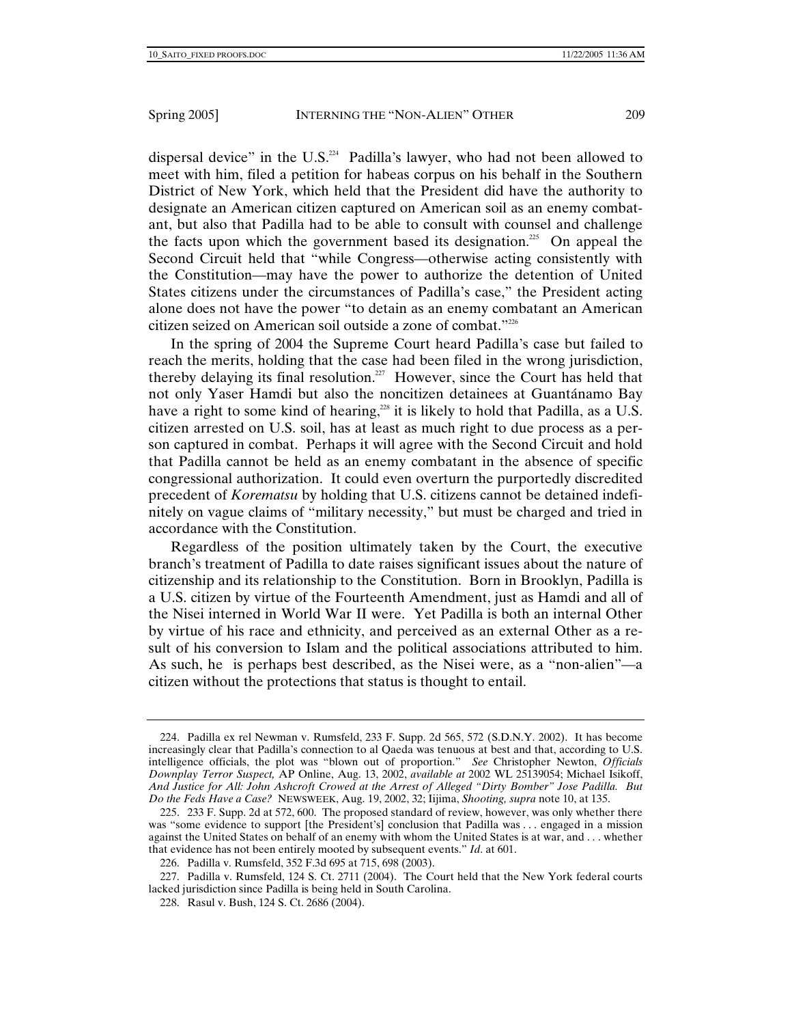dispersal device" in the U.S. $^{224}$  Padilla's lawyer, who had not been allowed to meet with him, filed a petition for habeas corpus on his behalf in the Southern District of New York, which held that the President did have the authority to designate an American citizen captured on American soil as an enemy combatant, but also that Padilla had to be able to consult with counsel and challenge the facts upon which the government based its designation.<sup>25</sup> On appeal the Second Circuit held that "while Congress—otherwise acting consistently with the Constitution—may have the power to authorize the detention of United States citizens under the circumstances of Padilla's case," the President acting alone does not have the power "to detain as an enemy combatant an American citizen seized on American soil outside a zone of combat."226

In the spring of 2004 the Supreme Court heard Padilla's case but failed to reach the merits, holding that the case had been filed in the wrong jurisdiction, thereby delaying its final resolution.<sup>27</sup> However, since the Court has held that not only Yaser Hamdi but also the noncitizen detainees at Guantánamo Bay have a right to some kind of hearing,<sup>228</sup> it is likely to hold that Padilla, as a U.S. citizen arrested on U.S. soil, has at least as much right to due process as a person captured in combat. Perhaps it will agree with the Second Circuit and hold that Padilla cannot be held as an enemy combatant in the absence of specific congressional authorization. It could even overturn the purportedly discredited precedent of *Korematsu* by holding that U.S. citizens cannot be detained indefinitely on vague claims of "military necessity," but must be charged and tried in accordance with the Constitution.

Regardless of the position ultimately taken by the Court, the executive branch's treatment of Padilla to date raises significant issues about the nature of citizenship and its relationship to the Constitution. Born in Brooklyn, Padilla is a U.S. citizen by virtue of the Fourteenth Amendment, just as Hamdi and all of the Nisei interned in World War II were. Yet Padilla is both an internal Other by virtue of his race and ethnicity, and perceived as an external Other as a result of his conversion to Islam and the political associations attributed to him. As such, he is perhaps best described, as the Nisei were, as a "non-alien"—a citizen without the protections that status is thought to entail.

 <sup>224.</sup> Padilla ex rel Newman v. Rumsfeld, 233 F. Supp. 2d 565, 572 (S.D.N.Y. 2002). It has become increasingly clear that Padilla's connection to al Qaeda was tenuous at best and that, according to U.S. intelligence officials, the plot was "blown out of proportion." *See* Christopher Newton, *Officials Downplay Terror Suspect,* AP Online, Aug. 13, 2002, *available at* 2002 WL 25139054; Michael Isikoff, *And Justice for All: John Ashcroft Crowed at the Arrest of Alleged "Dirty Bomber" Jose Padilla. But Do the Feds Have a Case?* NEWSWEEK, Aug. 19, 2002, 32; Iijima, *Shooting, supra* note 10, at 135.

 <sup>225. 233</sup> F. Supp. 2d at 572, 600. The proposed standard of review, however, was only whether there was "some evidence to support [the President's] conclusion that Padilla was . . . engaged in a mission against the United States on behalf of an enemy with whom the United States is at war, and . . . whether that evidence has not been entirely mooted by subsequent events." *Id*. at 601.

 <sup>226.</sup> Padilla v. Rumsfeld, 352 F.3d 695 at 715, 698 (2003).

 <sup>227.</sup> Padilla v. Rumsfeld, 124 S. Ct. 2711 (2004). The Court held that the New York federal courts lacked jurisdiction since Padilla is being held in South Carolina.

 <sup>228.</sup> Rasul v. Bush, 124 S. Ct. 2686 (2004).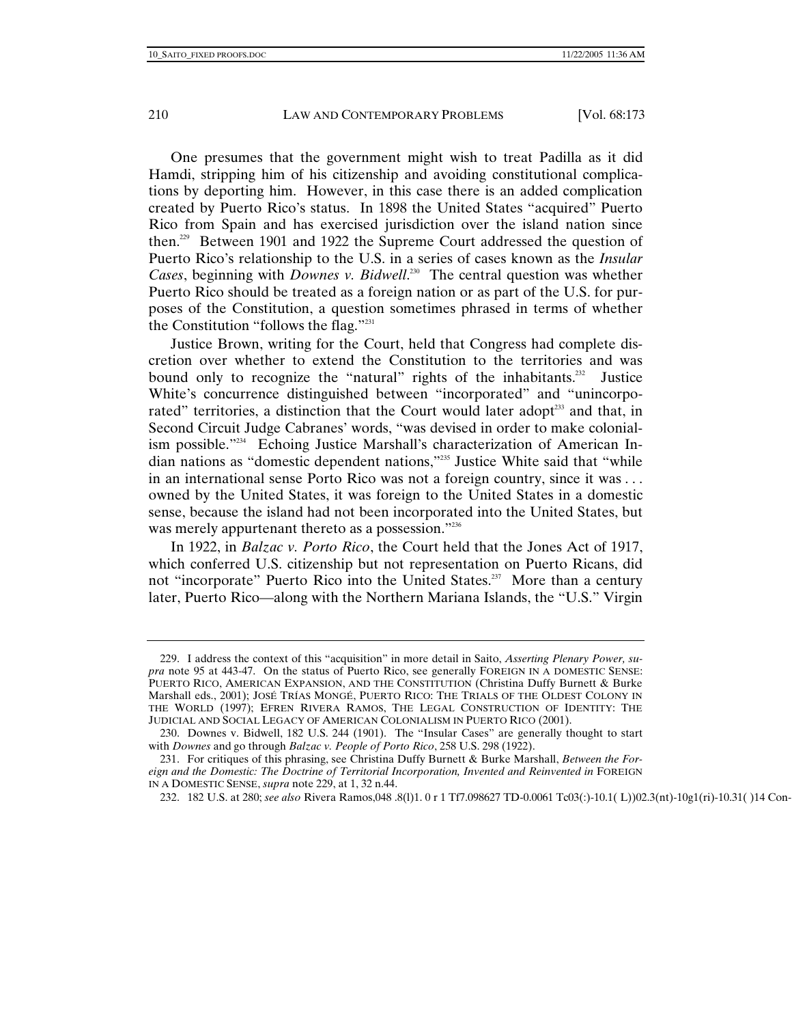One presumes that the government might wish to treat Padilla as it did Hamdi, stripping him of his citizenship and avoiding constitutional complications by deporting him. However, in this case there is an added complication created by Puerto Rico's status. In 1898 the United States "acquired" Puerto Rico from Spain and has exercised jurisdiction over the island nation since then.229 Between 1901 and 1922 the Supreme Court addressed the question of Puerto Rico's relationship to the U.S. in a series of cases known as the *Insular Cases*, beginning with *Downes v. Bidwell*.<sup>230</sup> The central question was whether Puerto Rico should be treated as a foreign nation or as part of the U.S. for purposes of the Constitution, a question sometimes phrased in terms of whether the Constitution "follows the flag."231

Justice Brown, writing for the Court, held that Congress had complete discretion over whether to extend the Constitution to the territories and was bound only to recognize the "natural" rights of the inhabitants.<sup>232</sup> Justice White's concurrence distinguished between "incorporated" and "unincorporated" territories, a distinction that the Court would later adopt<sup>233</sup> and that, in Second Circuit Judge Cabranes' words, "was devised in order to make colonialism possible."234 Echoing Justice Marshall's characterization of American Indian nations as "domestic dependent nations,"235 Justice White said that "while in an international sense Porto Rico was not a foreign country, since it was . . . owned by the United States, it was foreign to the United States in a domestic sense, because the island had not been incorporated into the United States, but was merely appurtenant thereto as a possession."<sup>236</sup>

In 1922, in *Balzac v. Porto Rico*, the Court held that the Jones Act of 1917, which conferred U.S. citizenship but not representation on Puerto Ricans, did not "incorporate" Puerto Rico into the United States.<sup>237</sup> More than a century later, Puerto Rico—along with the Northern Mariana Islands, the "U.S." Virgin

DOMESTIC SENSE , supra

 <sup>229.</sup> I address the context of this "acquisition" in more detail in Saito, *Asserting Plenary Power, supra* note 95 at 443-47. On the status of Puerto Rico, see generally FOREIGN IN A DOMESTIC SENSE: PUERTO RICO, AMERICAN EXPANSION, AND THE CONSTITUTION (Christina Duffy Burnett & Burke Marshall eds., 2001); JOSÉ TRÍAS MONGÉ, PUERTO RICO: THE TRIALS OF THE OLDEST COLONY IN THE WORLD (1997); EFREN RIVERA RAMOS, THE LEGAL CONSTRUCTION OF IDENTITY: THE JUDICIAL AND SOCIAL LEGACY OF AMERICAN COLONIALISM IN PUERTO RICO (2001).

 <sup>230.</sup> Downes v. Bidwell, 182 U.S. 244 (1901). The "Insular Cases" are generally thought to start with *Downes* and go through *Balzac v. People of Porto Rico*, 258 U.S. 298 (1922).

 <sup>231.</sup> For critiques of this phrasing, see Christina Duffy Burnett & Burke Marshall, *Between the Foreign and the Domestic: The Doctrine of Territorial Incorporation, Invented and Reinvented in* FOREIGN IN A DOMESTIC SENSE, *supra* note 229, at 1, 32 n.44.

<sup>232. 182</sup> U.S. at 280; see also Rivera Ramos,048 .8(1)1. 0 r 1 Tf7.098627 TD-0.0061 Tc03(:)-10.1( L))02.3(nt)-10g1(ri)-10.31(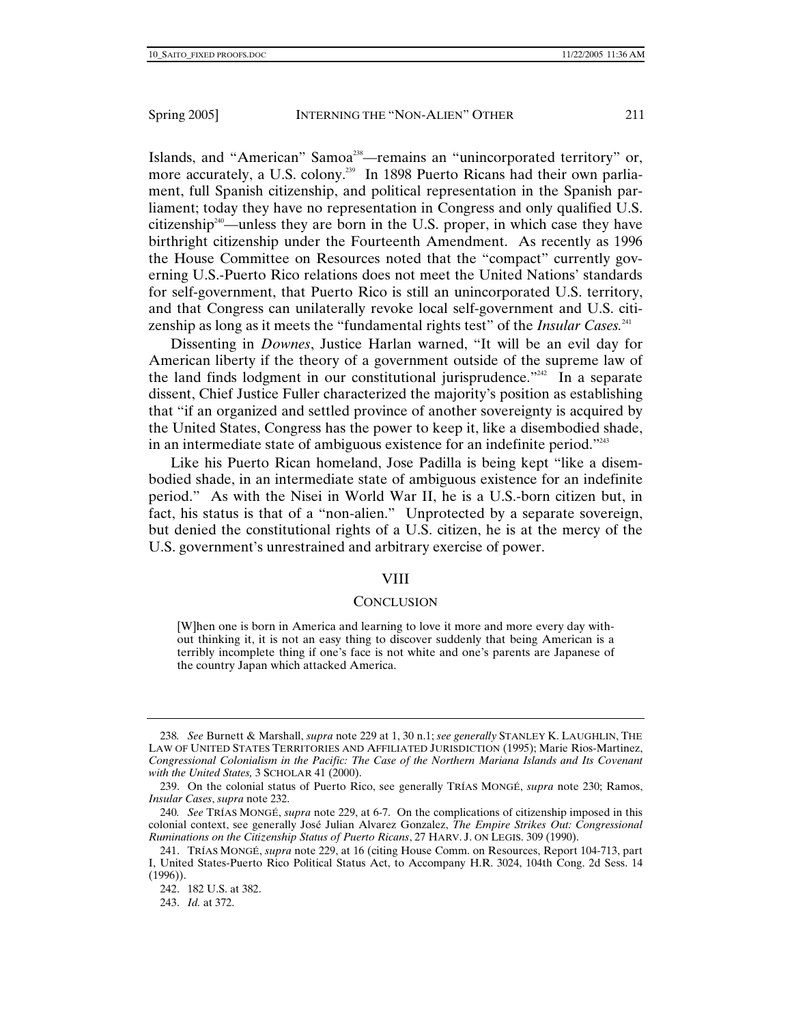Islands, and "American" Samoa<sup>238</sup>—remains an "unincorporated territory" or, more accurately, a U.S. colony.<sup>239</sup> In 1898 Puerto Ricans had their own parliament, full Spanish citizenship, and political representation in the Spanish parliament; today they have no representation in Congress and only qualified U.S. citizenship<sup> $240$ </sup>—unless they are born in the U.S. proper, in which case they have birthright citizenship under the Fourteenth Amendment. As recently as 1996 the House Committee on Resources noted that the "compact" currently governing U.S.-Puerto Rico relations does not meet the United Nations' standards for self-government, that Puerto Rico is still an unincorporated U.S. territory, and that Congress can unilaterally revoke local self-government and U.S. citizenship as long as it meets the "fundamental rights test" of the *Insular Cases.*<sup>241</sup>

Dissenting in *Downes*, Justice Harlan warned, "It will be an evil day for American liberty if the theory of a government outside of the supreme law of the land finds lodgment in our constitutional jurisprudence."<sup>242</sup> In a separate dissent, Chief Justice Fuller characterized the majority's position as establishing that "if an organized and settled province of another sovereignty is acquired by the United States, Congress has the power to keep it, like a disembodied shade, in an intermediate state of ambiguous existence for an indefinite period."<sup>243</sup>

Like his Puerto Rican homeland, Jose Padilla is being kept "like a disembodied shade, in an intermediate state of ambiguous existence for an indefinite period." As with the Nisei in World War II, he is a U.S.-born citizen but, in fact, his status is that of a "non-alien." Unprotected by a separate sovereign, but denied the constitutional rights of a U.S. citizen, he is at the mercy of the U.S. government's unrestrained and arbitrary exercise of power.

#### VIII

#### **CONCLUSION**

[W]hen one is born in America and learning to love it more and more every day without thinking it, it is not an easy thing to discover suddenly that being American is a terribly incomplete thing if one's face is not white and one's parents are Japanese of the country Japan which attacked America.

<sup>238</sup>*. See* Burnett & Marshall, *supra* note 229 at 1, 30 n.1; *see generally* STANLEY K. LAUGHLIN, THE LAW OF UNITED STATES TERRITORIES AND AFFILIATED JURISDICTION (1995); Marie Rios-Martinez, *Congressional Colonialism in the Pacific: The Case of the Northern Mariana Islands and Its Covenant with the United States,* 3 SCHOLAR 41 (2000).

 <sup>239.</sup> On the colonial status of Puerto Rico, see generally TRÍAS MONGÉ, *supra* note 230; Ramos, *Insular Cases*, *supra* note 232.

<sup>240</sup>*. See* TRÍAS MONGÉ, *supra* note 229, at 6-7. On the complications of citizenship imposed in this colonial context, see generally José Julian Alvarez Gonzalez, *The Empire Strikes Out: Congressional Ruminations on the Citizenship Status of Puerto Ricans*, 27 HARV. J. ON LEGIS. 309 (1990).

 <sup>241.</sup> TRÍAS MONGÉ, *supra* note 229, at 16 (citing House Comm. on Resources, Report 104-713, part I, United States-Puerto Rico Political Status Act, to Accompany H.R. 3024, 104th Cong. 2d Sess. 14 (1996)).

 <sup>242. 182</sup> U.S. at 382.

 <sup>243.</sup> *Id.* at 372.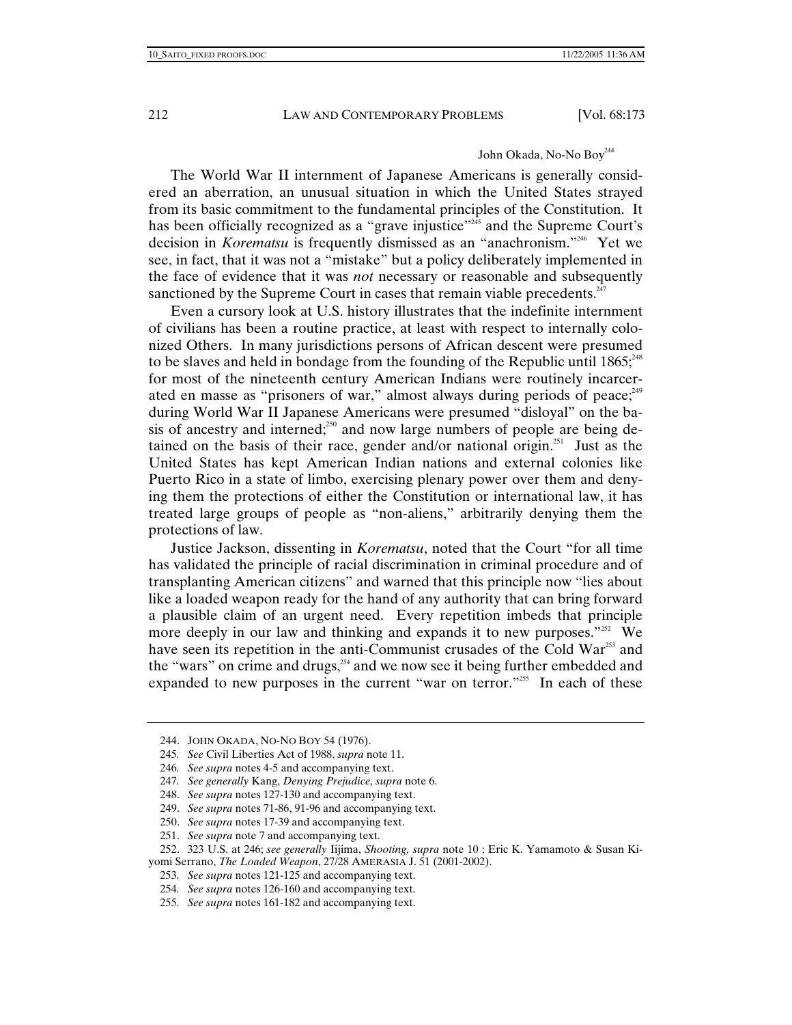# John Okada, No-No Boy<sup>244</sup>

The World War II internment of Japanese Americans is generally considered an aberration, an unusual situation in which the United States strayed from its basic commitment to the fundamental principles of the Constitution. It has been officially recognized as a "grave injustice"<sup>245</sup> and the Supreme Court's decision in *Korematsu* is frequently dismissed as an "anachronism."246 Yet we see, in fact, that it was not a "mistake" but a policy deliberately implemented in the face of evidence that it was *not* necessary or reasonable and subsequently sanctioned by the Supreme Court in cases that remain viable precedents.<sup>247</sup>

Even a cursory look at U.S. history illustrates that the indefinite internment of civilians has been a routine practice, at least with respect to internally colonized Others. In many jurisdictions persons of African descent were presumed to be slaves and held in bondage from the founding of the Republic until  $1865$ ;<sup>248</sup> for most of the nineteenth century American Indians were routinely incarcerated en masse as "prisoners of war," almost always during periods of peace;<sup>249</sup> during World War II Japanese Americans were presumed "disloyal" on the basis of ancestry and interned;<sup>250</sup> and now large numbers of people are being detained on the basis of their race, gender and/or national origin.<sup>251</sup> Just as the United States has kept American Indian nations and external colonies like Puerto Rico in a state of limbo, exercising plenary power over them and denying them the protections of either the Constitution or international law, it has treated large groups of people as "non-aliens," arbitrarily denying them the protections of law.

Justice Jackson, dissenting in *Korematsu*, noted that the Court "for all time has validated the principle of racial discrimination in criminal procedure and of transplanting American citizens" and warned that this principle now "lies about like a loaded weapon ready for the hand of any authority that can bring forward a plausible claim of an urgent need. Every repetition imbeds that principle more deeply in our law and thinking and expands it to new purposes."<sup>252</sup> We have seen its repetition in the anti-Communist crusades of the Cold War<sup>253</sup> and the "wars" on crime and drugs, $254$  and we now see it being further embedded and expanded to new purposes in the current "war on terror."<sup>255</sup> In each of these

 <sup>244.</sup> JOHN OKADA, NO-NO BOY 54 (1976).

<sup>245</sup>*. See* Civil Liberties Act of 1988, *supra* note 11.

<sup>246</sup>*. See supra* notes 4-5 and accompanying text.

<sup>247</sup>*. See generally* Kang, *Denying Prejudice, supra* note 6.

 <sup>248.</sup> *See supra* notes 127-130 and accompanying text.

 <sup>249.</sup> *See supra* notes 71-86, 91-96 and accompanying text.

 <sup>250.</sup> *See supra* notes 17-39 and accompanying text.

 <sup>251.</sup> *See supra* note 7 and accompanying text.

 <sup>252. 323</sup> U.S. at 246; *see generally* Iijima, *Shooting, supra* note 10 ; Eric K. Yamamoto & Susan Kiyomi Serrano, *The Loaded Weapon*, 27/28 AMERASIA J. 51 (2001-2002).

<sup>253</sup>*. See supra* notes 121-125 and accompanying text.

<sup>254</sup>*. See supra* notes 126-160 and accompanying text.

<sup>255</sup>*. See supra* notes 161-182 and accompanying text.